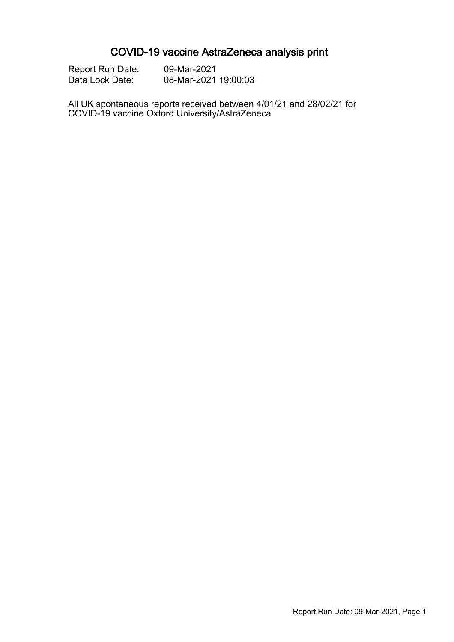# COVID-19 vaccine AstraZeneca analysis print

| <b>Report Run Date:</b> | 09-Mar-2021          |
|-------------------------|----------------------|
| Data Lock Date:         | 08-Mar-2021 19:00:03 |

All UK spontaneous reports received between 4/01/21 and 28/02/21 for COVID-19 vaccine Oxford University/AstraZeneca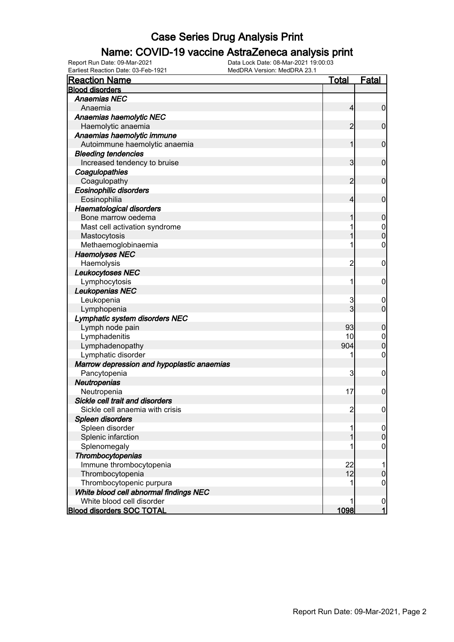### Name: COVID-19 vaccine AstraZeneca analysis print

| <b>Reaction Name</b>                       | <b>Total</b>   | <b>Fatal</b>                     |
|--------------------------------------------|----------------|----------------------------------|
| <b>Blood disorders</b>                     |                |                                  |
| <b>Anaemias NEC</b>                        |                |                                  |
| Anaemia                                    | $\overline{4}$ | $\boldsymbol{0}$                 |
| Anaemias haemolytic NEC                    |                |                                  |
| Haemolytic anaemia                         | 2              | $\mathbf 0$                      |
| Anaemias haemolytic immune                 |                |                                  |
| Autoimmune haemolytic anaemia              | 1              | $\mathbf 0$                      |
| <b>Bleeding tendencies</b>                 |                |                                  |
| Increased tendency to bruise               | 3              | $\mathbf 0$                      |
| Coagulopathies                             |                |                                  |
| Coagulopathy                               | 2              | $\mathbf 0$                      |
| Eosinophilic disorders                     |                |                                  |
| Eosinophilia                               | 4              | $\mathbf 0$                      |
| <b>Haematological disorders</b>            |                |                                  |
| Bone marrow oedema                         | 1              | $\boldsymbol{0}$                 |
| Mast cell activation syndrome              | 1              |                                  |
| Mastocytosis                               | 1              | $\begin{matrix}0\\0\end{matrix}$ |
| Methaemoglobinaemia                        | 1              | $\mathbf 0$                      |
| <b>Haemolyses NEC</b>                      |                |                                  |
| Haemolysis                                 | $\overline{c}$ | $\boldsymbol{0}$                 |
| Leukocytoses NEC                           |                |                                  |
| Lymphocytosis                              | 1              | $\boldsymbol{0}$                 |
| Leukopenias NEC                            |                |                                  |
| Leukopenia                                 | 3              | $\mathbf 0$                      |
| Lymphopenia                                | 3              | $\mathbf 0$                      |
| Lymphatic system disorders NEC             |                |                                  |
| Lymph node pain                            | 93             | $\boldsymbol{0}$                 |
| Lymphadenitis                              | 10             | $\mathbf 0$                      |
| Lymphadenopathy                            | 904            | $\mathbf 0$                      |
| Lymphatic disorder                         | 1              | $\mathbf 0$                      |
| Marrow depression and hypoplastic anaemias |                |                                  |
| Pancytopenia                               | 3              | $\boldsymbol{0}$                 |
| Neutropenias                               |                |                                  |
| Neutropenia                                | 17             | $\boldsymbol{0}$                 |
| Sickle cell trait and disorders            |                |                                  |
| Sickle cell anaemia with crisis            | $\overline{c}$ | $\boldsymbol{0}$                 |
| Spleen disorders                           |                |                                  |
| Spleen disorder                            |                | $\overline{0}$                   |
| Splenic infarction                         |                | $\mathbf 0$                      |
| Splenomegaly                               |                | 0                                |
| Thrombocytopenias                          |                |                                  |
| Immune thrombocytopenia                    | 22             | 1                                |
| Thrombocytopenia                           | 12             | $\boldsymbol{0}$                 |
| Thrombocytopenic purpura                   |                | $\mathbf 0$                      |
| White blood cell abnormal findings NEC     |                |                                  |
| White blood cell disorder                  |                |                                  |
| <b>Blood disorders SOC TOTAL</b>           | 1098           | $\frac{0}{1}$                    |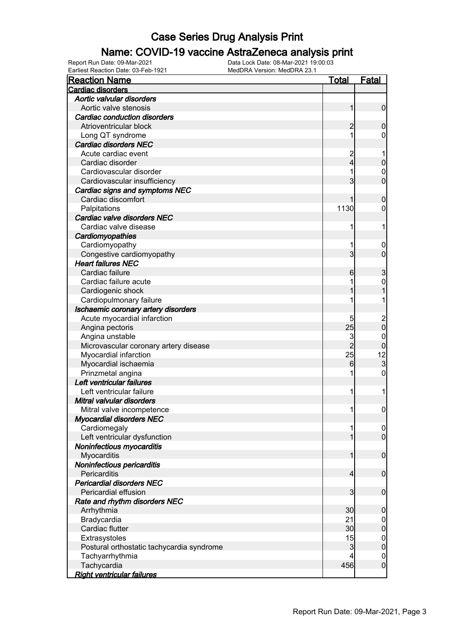### Name: COVID-19 vaccine AstraZeneca analysis print

Earliest Reaction Date: 03-Feb-1921 MedDRA Version: MedDRA 23.1

| <b>Reaction Name</b>                      | <b>Total</b>   | <b>Fatal</b>                           |
|-------------------------------------------|----------------|----------------------------------------|
| <b>Cardiac disorders</b>                  |                |                                        |
| Aortic valvular disorders                 |                |                                        |
| Aortic valve stenosis                     | 1              | $\mathbf 0$                            |
| <b>Cardiac conduction disorders</b>       |                |                                        |
| Atrioventricular block                    | $\overline{c}$ | $\mathbf 0$                            |
| Long QT syndrome                          |                | 0                                      |
| <b>Cardiac disorders NEC</b>              |                |                                        |
| Acute cardiac event                       | $\overline{c}$ |                                        |
| Cardiac disorder                          | 4              | $\mathbf 0$                            |
| Cardiovascular disorder                   |                | $\mathbf 0$                            |
| Cardiovascular insufficiency              | 3              | $\overline{0}$                         |
| Cardiac signs and symptoms NEC            |                |                                        |
| Cardiac discomfort                        |                | $\mathbf 0$                            |
| Palpitations                              | 1130           | 0                                      |
| Cardiac valve disorders NEC               |                |                                        |
| Cardiac valve disease                     | 1              | 1                                      |
| Cardiomyopathies                          |                |                                        |
| Cardiomyopathy                            |                | $\boldsymbol{0}$                       |
| Congestive cardiomyopathy                 | 3              | $\overline{0}$                         |
| <b>Heart failures NEC</b>                 |                |                                        |
| Cardiac failure                           | 6              | $\mathfrak{S}$                         |
| Cardiac failure acute                     |                | $\mathbf 0$                            |
| Cardiogenic shock                         |                |                                        |
| Cardiopulmonary failure                   |                |                                        |
| Ischaemic coronary artery disorders       |                |                                        |
| Acute myocardial infarction               | 5              |                                        |
| Angina pectoris                           | 25             | $\begin{matrix} 2 \\ 0 \end{matrix}$   |
| Angina unstable                           | 3              | 0                                      |
| Microvascular coronary artery disease     | $\overline{2}$ | $\mathbf 0$                            |
| Myocardial infarction                     | 25             |                                        |
| Myocardial ischaemia                      | 6              | $\begin{array}{c} 12 \\ 3 \end{array}$ |
| Prinzmetal angina                         |                | 0                                      |
| Left ventricular failures                 |                |                                        |
| Left ventricular failure                  | 1              | 1                                      |
| Mitral valvular disorders                 |                |                                        |
| Mitral valve incompetence                 | 11             | $\overline{0}$                         |
| <b>Myocardial disorders NEC</b>           |                |                                        |
| Cardiomegaly                              | 1              | $\overline{0}$                         |
| Left ventricular dysfunction              |                | $\overline{0}$                         |
| Noninfectious myocarditis                 |                |                                        |
| Myocarditis                               | 1              | $\mathbf 0$                            |
| Noninfectious pericarditis                |                |                                        |
| Pericarditis                              | $\overline{4}$ | $\mathbf 0$                            |
| <b>Pericardial disorders NEC</b>          |                |                                        |
| Pericardial effusion                      | 3              | $\mathbf 0$                            |
| Rate and rhythm disorders NEC             |                |                                        |
| Arrhythmia                                | 30             | $\boldsymbol{0}$                       |
| Bradycardia                               | 21             | $\mathbf 0$                            |
| Cardiac flutter                           | 30             | $\mathbf 0$                            |
| Extrasystoles                             | 15             | $\mathbf{0}$                           |
| Postural orthostatic tachycardia syndrome | 3              | $\mathbf 0$                            |
| Tachyarrhythmia                           | 4              | $\mathbf 0$                            |
| Tachycardia                               | 456            | $\mathbf 0$                            |
| <b>Right ventricular failures</b>         |                |                                        |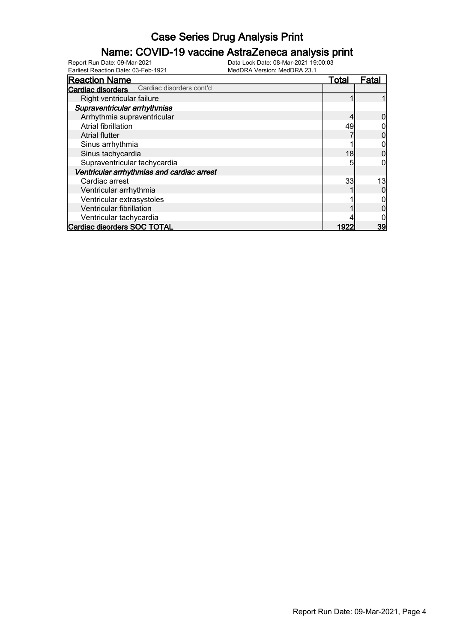### Name: COVID-19 vaccine AstraZeneca analysis print

| <b>Reaction Name</b>                          | Total | Fatal |
|-----------------------------------------------|-------|-------|
| Cardiac disorders cont'd<br>Cardiac disorders |       |       |
| Right ventricular failure                     |       |       |
| Supraventricular arrhythmias                  |       |       |
| Arrhythmia supraventricular                   |       |       |
| Atrial fibrillation                           | 49    |       |
| <b>Atrial flutter</b>                         |       |       |
| Sinus arrhythmia                              |       |       |
| Sinus tachycardia                             | 18    |       |
| Supraventricular tachycardia                  | 5     |       |
| Ventricular arrhythmias and cardiac arrest    |       |       |
| Cardiac arrest                                | 33    | 13    |
| Ventricular arrhythmia                        |       |       |
| Ventricular extrasystoles                     |       |       |
| Ventricular fibrillation                      |       |       |
| Ventricular tachycardia                       |       |       |
| Cardiac disorders SOC TOTAL                   | 1922  | 39    |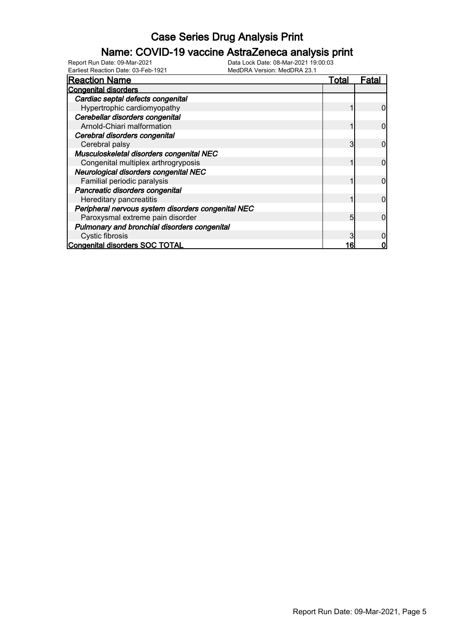### Name: COVID-19 vaccine AstraZeneca analysis print

| <b>Reaction Name</b>                               | Total | Fatal |
|----------------------------------------------------|-------|-------|
| <b>Congenital disorders</b>                        |       |       |
| Cardiac septal defects congenital                  |       |       |
| Hypertrophic cardiomyopathy                        |       |       |
| Cerebellar disorders congenital                    |       |       |
| Arnold-Chiari malformation                         |       |       |
| Cerebral disorders congenital                      |       |       |
| Cerebral palsy                                     |       |       |
| Musculoskeletal disorders congenital NEC           |       |       |
| Congenital multiplex arthrogryposis                |       |       |
| Neurological disorders congenital NEC              |       |       |
| Familial periodic paralysis                        |       |       |
| Pancreatic disorders congenital                    |       |       |
| Hereditary pancreatitis                            |       |       |
| Peripheral nervous system disorders congenital NEC |       |       |
| Paroxysmal extreme pain disorder                   | 5     |       |
| Pulmonary and bronchial disorders congenital       |       |       |
| Cystic fibrosis                                    |       |       |
| Congenital disorders SOC TOTAL                     | 16    |       |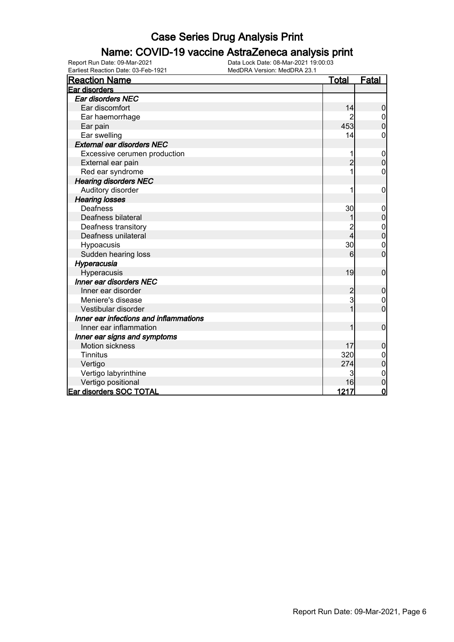### Name: COVID-19 vaccine AstraZeneca analysis print

| <b>Reaction Name</b>                   | <b>Total</b>   | <b>Fatal</b>     |
|----------------------------------------|----------------|------------------|
| Ear disorders                          |                |                  |
| Ear disorders NEC                      |                |                  |
| Ear discomfort                         | 14             | $\mathbf 0$      |
| Ear haemorrhage                        |                |                  |
| Ear pain                               | 453            | $\overline{0}$   |
| Ear swelling                           | 14             | 0                |
| <b>External ear disorders NEC</b>      |                |                  |
| Excessive cerumen production           | 1              | $\boldsymbol{0}$ |
| External ear pain                      | $\overline{2}$ | $\mathbf 0$      |
| Red ear syndrome                       |                | 0                |
| <b>Hearing disorders NEC</b>           |                |                  |
| Auditory disorder                      |                | 0                |
| <b>Hearing losses</b>                  |                |                  |
| Deafness                               | 30             | $\mathbf 0$      |
| Deafness bilateral                     |                | 0                |
| Deafness transitory                    |                | $\boldsymbol{0}$ |
| Deafness unilateral                    | 4              | $\mathbf 0$      |
| Hypoacusis                             | 30             | $\mathbf 0$      |
| Sudden hearing loss                    | 6              | $\overline{0}$   |
| Hyperacusia                            |                |                  |
| Hyperacusis                            | 19             | $\mathbf 0$      |
| Inner ear disorders NEC                |                |                  |
| Inner ear disorder                     | $\overline{c}$ | 0                |
| Meniere's disease                      | 3              | $\boldsymbol{0}$ |
| Vestibular disorder                    | 1              | $\overline{0}$   |
| Inner ear infections and inflammations |                |                  |
| Inner ear inflammation                 | 1              | $\mathbf 0$      |
| Inner ear signs and symptoms           |                |                  |
| <b>Motion sickness</b>                 | 17             | $\mathbf 0$      |
| <b>Tinnitus</b>                        | 320            |                  |
| Vertigo                                | 274            | 0                |
| Vertigo labyrinthine                   |                | $\mathbf{0}$     |
| Vertigo positional                     | 16             | 0                |
| Ear disorders SOC TOTAL                | 1217           | $\overline{0}$   |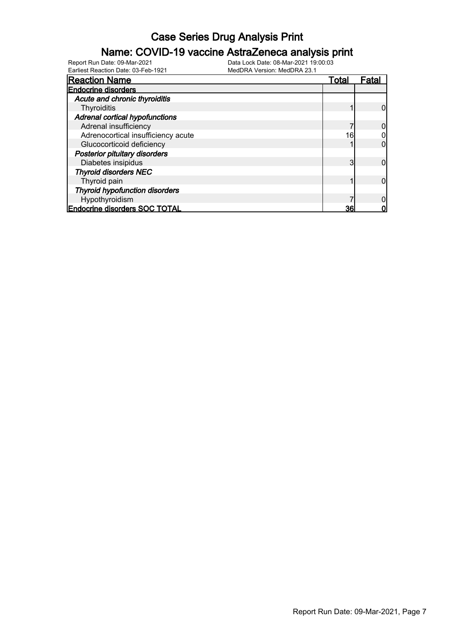### Name: COVID-19 vaccine AstraZeneca analysis print

| <b>Reaction Name</b>                  | Total | Fatal |
|---------------------------------------|-------|-------|
| <b>Endocrine disorders</b>            |       |       |
| Acute and chronic thyroiditis         |       |       |
| Thyroiditis                           |       |       |
| <b>Adrenal cortical hypofunctions</b> |       |       |
| Adrenal insufficiency                 |       |       |
| Adrenocortical insufficiency acute    | 16    |       |
| Glucocorticoid deficiency             |       |       |
| <b>Posterior pituitary disorders</b>  |       |       |
| Diabetes insipidus                    | 3     |       |
| <b>Thyroid disorders NEC</b>          |       |       |
| Thyroid pain                          |       |       |
| <b>Thyroid hypofunction disorders</b> |       |       |
| Hypothyroidism                        |       |       |
| <b>Endocrine disorders SOC TOTAL</b>  | 36    |       |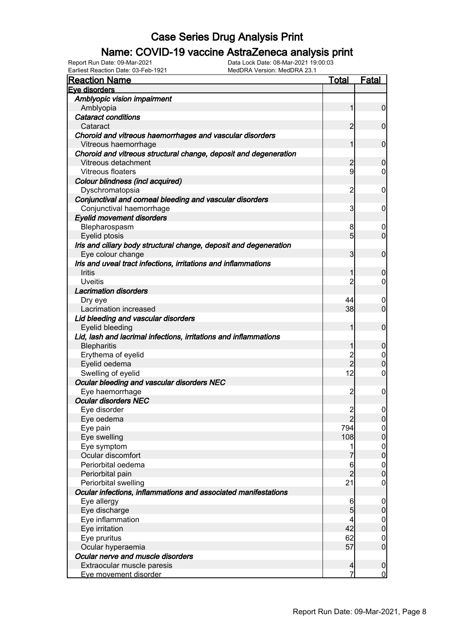### Name: COVID-19 vaccine AstraZeneca analysis print

Earliest Reaction Date: 03-Feb-1921 MedDRA Version: MedDRA 23.1

| <b>Reaction Name</b>                                              | <u>Total</u>   | <b>Fatal</b>     |
|-------------------------------------------------------------------|----------------|------------------|
| Eve disorders                                                     |                |                  |
| Amblyopic vision impairment                                       |                |                  |
| Amblyopia                                                         | 1              | $\overline{0}$   |
| <b>Cataract conditions</b>                                        |                |                  |
| Cataract                                                          | $\overline{2}$ | $\mathbf 0$      |
| Choroid and vitreous haemorrhages and vascular disorders          |                |                  |
| Vitreous haemorrhage                                              | 1              | $\mathbf 0$      |
| Choroid and vitreous structural change, deposit and degeneration  |                |                  |
| Vitreous detachment                                               | $\overline{c}$ | $\mathbf 0$      |
| Vitreous floaters                                                 | 9              | $\overline{0}$   |
| Colour blindness (incl acquired)                                  |                |                  |
| Dyschromatopsia                                                   | $\overline{c}$ | $\mathbf 0$      |
| Conjunctival and corneal bleeding and vascular disorders          |                |                  |
| Conjunctival haemorrhage                                          | 3              | $\overline{0}$   |
| <b>Eyelid movement disorders</b>                                  |                |                  |
| Blepharospasm                                                     | 8              | 0                |
| Eyelid ptosis                                                     | 5              | $\overline{0}$   |
| Iris and ciliary body structural change, deposit and degeneration |                |                  |
| Eye colour change                                                 | 3              | $\mathbf 0$      |
| Iris and uveal tract infections, irritations and inflammations    |                |                  |
| <b>Iritis</b>                                                     | 1              | $\mathbf 0$      |
| <b>Uveitis</b>                                                    | $\overline{2}$ | $\overline{0}$   |
| <b>Lacrimation disorders</b>                                      |                |                  |
| Dry eye                                                           | 44             | 0                |
| Lacrimation increased                                             | 38             | $\overline{0}$   |
| Lid bleeding and vascular disorders                               |                |                  |
| Eyelid bleeding                                                   | 1              | $\mathbf 0$      |
| Lid, lash and lacrimal infections, irritations and inflammations  |                |                  |
| <b>Blepharitis</b>                                                | 1              | $\mathbf 0$      |
| Erythema of eyelid                                                |                | $\overline{0}$   |
| Eyelid oedema                                                     | 2<br>2         | $\mathbf 0$      |
| Swelling of eyelid                                                | 12             | $\overline{0}$   |
| Ocular bleeding and vascular disorders NEC                        |                |                  |
| Eye haemorrhage                                                   | $\overline{c}$ | $\boldsymbol{0}$ |
| <b>Ocular disorders NEC</b>                                       |                |                  |
| Eye disorder                                                      | $\overline{2}$ | $\mathbf 0$      |
| Eye oedema                                                        | $\overline{2}$ | 0                |
| Eye pain                                                          | 794            | 이                |
| Eye swelling                                                      | 108            | $\mathbf 0$      |
| Eye symptom                                                       | 1              | $\overline{0}$   |
| Ocular discomfort                                                 |                | $\mathbf 0$      |
| Periorbital oedema                                                | 6              | $\boldsymbol{0}$ |
| Periorbital pain                                                  | $\overline{2}$ | $\mathbf 0$      |
| Periorbital swelling                                              | 21             | $\boldsymbol{0}$ |
| Ocular infections, inflammations and associated manifestations    |                |                  |
| Eye allergy                                                       | 6              | $\boldsymbol{0}$ |
| Eye discharge                                                     | 5              | $\pmb{0}$        |
| Eye inflammation                                                  | 4              | $\boldsymbol{0}$ |
| Eye irritation                                                    | 42             | $\mathbf 0$      |
| Eye pruritus                                                      | 62             | $\boldsymbol{0}$ |
| Ocular hyperaemia                                                 | 57             | $\mathbf 0$      |
| Ocular nerve and muscle disorders                                 |                |                  |
| Extraocular muscle paresis                                        | $\overline{a}$ | $\boldsymbol{0}$ |
| Eye movement disorder                                             | 7              | <u>0</u>         |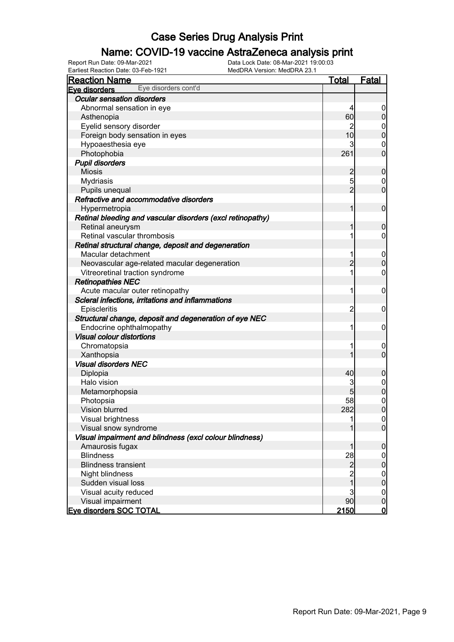### Name: COVID-19 vaccine AstraZeneca analysis print

| <b>Reaction Name</b>                                                               | <b>Total</b>   | <b>Fatal</b>               |
|------------------------------------------------------------------------------------|----------------|----------------------------|
| Eye disorders cont'd<br>Eve disorders                                              |                |                            |
| <b>Ocular sensation disorders</b>                                                  |                |                            |
| Abnormal sensation in eye                                                          | 4              | $\boldsymbol{0}$           |
| Asthenopia                                                                         | 60             | $\pmb{0}$                  |
| Eyelid sensory disorder                                                            | 2              | 0                          |
| Foreign body sensation in eyes                                                     | 10             | $\mathbf 0$                |
| Hypoaesthesia eye                                                                  | 3              | $\mathbf 0$                |
| Photophobia                                                                        | 261            | $\mathbf 0$                |
| <b>Pupil disorders</b>                                                             |                |                            |
| <b>Miosis</b>                                                                      | $\overline{c}$ | $\mathbf 0$                |
| <b>Mydriasis</b>                                                                   | 5              | $\boldsymbol{0}$           |
| Pupils unequal                                                                     | $\overline{2}$ | $\mathbf 0$                |
| Refractive and accommodative disorders                                             |                |                            |
| Hypermetropia                                                                      | 1              | $\boldsymbol{0}$           |
| Retinal bleeding and vascular disorders (excl retinopathy)                         |                |                            |
| Retinal aneurysm                                                                   | 1              | $\mathbf 0$                |
| Retinal vascular thrombosis                                                        | 1              | $\boldsymbol{0}$           |
| Retinal structural change, deposit and degeneration                                |                |                            |
| Macular detachment                                                                 | 1              | $\mathbf 0$                |
| Neovascular age-related macular degeneration                                       | $\overline{2}$ | $\boldsymbol{0}$           |
| Vitreoretinal traction syndrome                                                    | 1              | $\boldsymbol{0}$           |
| <b>Retinopathies NEC</b>                                                           |                |                            |
| Acute macular outer retinopathy                                                    | 1              | $\mathbf 0$                |
| Scleral infections, irritations and inflammations                                  |                |                            |
| Episcleritis                                                                       | $\overline{c}$ | $\mathbf 0$                |
|                                                                                    |                |                            |
| Structural change, deposit and degeneration of eye NEC<br>Endocrine ophthalmopathy | 1              | $\mathbf 0$                |
| <b>Visual colour distortions</b>                                                   |                |                            |
|                                                                                    |                |                            |
| Chromatopsia                                                                       | 1              | $\mathbf 0$<br>$\mathbf 0$ |
| Xanthopsia                                                                         |                |                            |
| <b>Visual disorders NEC</b>                                                        |                |                            |
| Diplopia                                                                           | 40             | $\mathbf 0$                |
| Halo vision                                                                        | 3              | 0                          |
| Metamorphopsia                                                                     | 5              |                            |
| Photopsia                                                                          | 58             | $\mathbf{0}$               |
| Vision blurred                                                                     | 282            | $\mathbf 0$                |
| Visual brightness                                                                  | 1              | 0                          |
| Visual snow syndrome                                                               |                | $\overline{0}$             |
| Visual impairment and blindness (excl colour blindness)                            |                |                            |
| Amaurosis fugax                                                                    | 1              | $\mathbf 0$                |
| <b>Blindness</b>                                                                   | 28             | $\overline{0}$             |
| <b>Blindness transient</b>                                                         | $\overline{a}$ | $\pmb{0}$                  |
| Night blindness                                                                    | $\frac{2}{1}$  | $\boldsymbol{0}$           |
| Sudden visual loss                                                                 |                | $\mathbf 0$                |
| Visual acuity reduced                                                              | 3              | $\mathbf 0$                |
| Visual impairment                                                                  | 90             | $\pmb{0}$                  |
| <b>Eve disorders SOC TOTAL</b>                                                     | 2150           | $\overline{0}$             |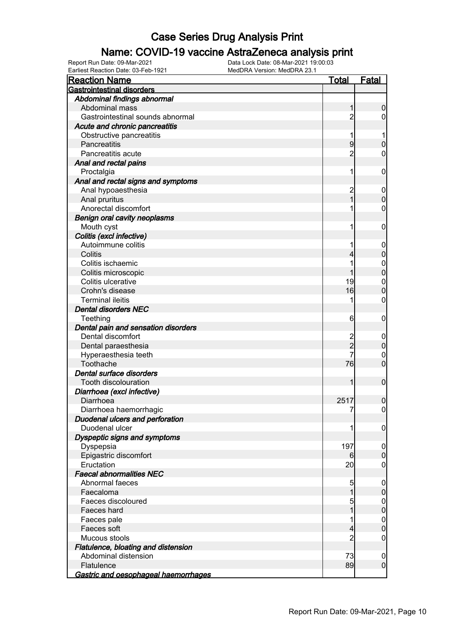### Name: COVID-19 vaccine AstraZeneca analysis print

| <b>Gastrointestinal disorders</b><br>Abdominal findings abnormal<br>Abdominal mass<br>1<br>$\mathbf 0$<br>Gastrointestinal sounds abnormal<br>$\overline{c}$<br>0<br>Acute and chronic pancreatitis<br>Obstructive pancreatitis<br>$\overline{9}$<br>Pancreatitis<br>$\overline{0}$<br>$\overline{c}$<br>Pancreatitis acute<br>0<br>Anal and rectal pains<br>Proctalgia<br>0<br>1<br>Anal and rectal signs and symptoms<br>$\overline{c}$<br>Anal hypoaesthesia<br>$\mathbf 0$<br>$\overline{1}$<br>$\overline{0}$<br>Anal pruritus<br>Anorectal discomfort<br>0<br><b>Benign oral cavity neoplasms</b><br>Mouth cyst<br>0<br>Colitis (excl infective)<br>Autoimmune colitis<br>$\mathbf 0$<br>$\mathbf 0$<br>Colitis<br>4<br>Colitis ischaemic<br>$\mathbf{0}$<br>$\overline{0}$<br>Colitis microscopic<br>Colitis ulcerative<br>19<br>$\overline{0}$<br>$\overline{0}$<br>Crohn's disease<br>16<br><b>Terminal ileitis</b><br>0<br><b>Dental disorders NEC</b><br>Teething<br>6<br>0<br>Dental pain and sensation disorders<br>Dental discomfort<br>2<br>2<br>$\mathbf 0$<br>$\mathbf 0$<br>Dental paraesthesia<br>Hyperaesthesia teeth<br>0<br>$\overline{0}$<br>76<br>Toothache<br>Dental surface disorders<br>$\mathbf 0$<br>Tooth discolouration<br>1<br>Diarrhoea (excl infective)<br>Diarrhoea<br>2517<br>$\mathbf 0$<br>7<br>$\overline{0}$<br>Diarrhoea haemorrhagic<br><b>Duodenal ulcers and perforation</b><br>Duodenal ulcer<br>$\boldsymbol{0}$<br>1<br>Dyspeptic signs and symptoms<br>197<br>Dyspepsia<br>$\boldsymbol{0}$<br>$\overline{0}$<br>Epigastric discomfort<br>61<br>Eructation<br>20<br>0<br><b>Faecal abnormalities NEC</b><br>Abnormal faeces<br>5<br>$\overline{0}$<br>$\boldsymbol{0}$<br>1<br>Faecaloma<br>Faeces discoloured<br>5<br>$\boldsymbol{0}$<br>$\overline{0}$<br>Faeces hard<br>$\mathbf 0$<br>Faeces pale<br>$\overline{0}$<br>Faeces soft<br>4<br>$\overline{2}$<br>Mucous stools<br>0<br>Flatulence, bloating and distension<br>Abdominal distension<br>73<br>$\boldsymbol{0}$<br>$\overline{0}$<br>Flatulence<br>89 | Lamest Reaction Date: 00-1 ep-192<br><b>Reaction Name</b> | <u>Total</u> | Fatal |
|---------------------------------------------------------------------------------------------------------------------------------------------------------------------------------------------------------------------------------------------------------------------------------------------------------------------------------------------------------------------------------------------------------------------------------------------------------------------------------------------------------------------------------------------------------------------------------------------------------------------------------------------------------------------------------------------------------------------------------------------------------------------------------------------------------------------------------------------------------------------------------------------------------------------------------------------------------------------------------------------------------------------------------------------------------------------------------------------------------------------------------------------------------------------------------------------------------------------------------------------------------------------------------------------------------------------------------------------------------------------------------------------------------------------------------------------------------------------------------------------------------------------------------------------------------------------------------------------------------------------------------------------------------------------------------------------------------------------------------------------------------------------------------------------------------------------------------------------------------------------------------------------------------------------------------------------------------------------------------------------------------------------------------------------------------------------|-----------------------------------------------------------|--------------|-------|
|                                                                                                                                                                                                                                                                                                                                                                                                                                                                                                                                                                                                                                                                                                                                                                                                                                                                                                                                                                                                                                                                                                                                                                                                                                                                                                                                                                                                                                                                                                                                                                                                                                                                                                                                                                                                                                                                                                                                                                                                                                                                     |                                                           |              |       |
|                                                                                                                                                                                                                                                                                                                                                                                                                                                                                                                                                                                                                                                                                                                                                                                                                                                                                                                                                                                                                                                                                                                                                                                                                                                                                                                                                                                                                                                                                                                                                                                                                                                                                                                                                                                                                                                                                                                                                                                                                                                                     |                                                           |              |       |
|                                                                                                                                                                                                                                                                                                                                                                                                                                                                                                                                                                                                                                                                                                                                                                                                                                                                                                                                                                                                                                                                                                                                                                                                                                                                                                                                                                                                                                                                                                                                                                                                                                                                                                                                                                                                                                                                                                                                                                                                                                                                     |                                                           |              |       |
|                                                                                                                                                                                                                                                                                                                                                                                                                                                                                                                                                                                                                                                                                                                                                                                                                                                                                                                                                                                                                                                                                                                                                                                                                                                                                                                                                                                                                                                                                                                                                                                                                                                                                                                                                                                                                                                                                                                                                                                                                                                                     |                                                           |              |       |
|                                                                                                                                                                                                                                                                                                                                                                                                                                                                                                                                                                                                                                                                                                                                                                                                                                                                                                                                                                                                                                                                                                                                                                                                                                                                                                                                                                                                                                                                                                                                                                                                                                                                                                                                                                                                                                                                                                                                                                                                                                                                     |                                                           |              |       |
|                                                                                                                                                                                                                                                                                                                                                                                                                                                                                                                                                                                                                                                                                                                                                                                                                                                                                                                                                                                                                                                                                                                                                                                                                                                                                                                                                                                                                                                                                                                                                                                                                                                                                                                                                                                                                                                                                                                                                                                                                                                                     |                                                           |              |       |
|                                                                                                                                                                                                                                                                                                                                                                                                                                                                                                                                                                                                                                                                                                                                                                                                                                                                                                                                                                                                                                                                                                                                                                                                                                                                                                                                                                                                                                                                                                                                                                                                                                                                                                                                                                                                                                                                                                                                                                                                                                                                     |                                                           |              |       |
|                                                                                                                                                                                                                                                                                                                                                                                                                                                                                                                                                                                                                                                                                                                                                                                                                                                                                                                                                                                                                                                                                                                                                                                                                                                                                                                                                                                                                                                                                                                                                                                                                                                                                                                                                                                                                                                                                                                                                                                                                                                                     |                                                           |              |       |
|                                                                                                                                                                                                                                                                                                                                                                                                                                                                                                                                                                                                                                                                                                                                                                                                                                                                                                                                                                                                                                                                                                                                                                                                                                                                                                                                                                                                                                                                                                                                                                                                                                                                                                                                                                                                                                                                                                                                                                                                                                                                     |                                                           |              |       |
|                                                                                                                                                                                                                                                                                                                                                                                                                                                                                                                                                                                                                                                                                                                                                                                                                                                                                                                                                                                                                                                                                                                                                                                                                                                                                                                                                                                                                                                                                                                                                                                                                                                                                                                                                                                                                                                                                                                                                                                                                                                                     |                                                           |              |       |
|                                                                                                                                                                                                                                                                                                                                                                                                                                                                                                                                                                                                                                                                                                                                                                                                                                                                                                                                                                                                                                                                                                                                                                                                                                                                                                                                                                                                                                                                                                                                                                                                                                                                                                                                                                                                                                                                                                                                                                                                                                                                     |                                                           |              |       |
|                                                                                                                                                                                                                                                                                                                                                                                                                                                                                                                                                                                                                                                                                                                                                                                                                                                                                                                                                                                                                                                                                                                                                                                                                                                                                                                                                                                                                                                                                                                                                                                                                                                                                                                                                                                                                                                                                                                                                                                                                                                                     |                                                           |              |       |
|                                                                                                                                                                                                                                                                                                                                                                                                                                                                                                                                                                                                                                                                                                                                                                                                                                                                                                                                                                                                                                                                                                                                                                                                                                                                                                                                                                                                                                                                                                                                                                                                                                                                                                                                                                                                                                                                                                                                                                                                                                                                     |                                                           |              |       |
|                                                                                                                                                                                                                                                                                                                                                                                                                                                                                                                                                                                                                                                                                                                                                                                                                                                                                                                                                                                                                                                                                                                                                                                                                                                                                                                                                                                                                                                                                                                                                                                                                                                                                                                                                                                                                                                                                                                                                                                                                                                                     |                                                           |              |       |
|                                                                                                                                                                                                                                                                                                                                                                                                                                                                                                                                                                                                                                                                                                                                                                                                                                                                                                                                                                                                                                                                                                                                                                                                                                                                                                                                                                                                                                                                                                                                                                                                                                                                                                                                                                                                                                                                                                                                                                                                                                                                     |                                                           |              |       |
|                                                                                                                                                                                                                                                                                                                                                                                                                                                                                                                                                                                                                                                                                                                                                                                                                                                                                                                                                                                                                                                                                                                                                                                                                                                                                                                                                                                                                                                                                                                                                                                                                                                                                                                                                                                                                                                                                                                                                                                                                                                                     |                                                           |              |       |
|                                                                                                                                                                                                                                                                                                                                                                                                                                                                                                                                                                                                                                                                                                                                                                                                                                                                                                                                                                                                                                                                                                                                                                                                                                                                                                                                                                                                                                                                                                                                                                                                                                                                                                                                                                                                                                                                                                                                                                                                                                                                     |                                                           |              |       |
|                                                                                                                                                                                                                                                                                                                                                                                                                                                                                                                                                                                                                                                                                                                                                                                                                                                                                                                                                                                                                                                                                                                                                                                                                                                                                                                                                                                                                                                                                                                                                                                                                                                                                                                                                                                                                                                                                                                                                                                                                                                                     |                                                           |              |       |
|                                                                                                                                                                                                                                                                                                                                                                                                                                                                                                                                                                                                                                                                                                                                                                                                                                                                                                                                                                                                                                                                                                                                                                                                                                                                                                                                                                                                                                                                                                                                                                                                                                                                                                                                                                                                                                                                                                                                                                                                                                                                     |                                                           |              |       |
|                                                                                                                                                                                                                                                                                                                                                                                                                                                                                                                                                                                                                                                                                                                                                                                                                                                                                                                                                                                                                                                                                                                                                                                                                                                                                                                                                                                                                                                                                                                                                                                                                                                                                                                                                                                                                                                                                                                                                                                                                                                                     |                                                           |              |       |
|                                                                                                                                                                                                                                                                                                                                                                                                                                                                                                                                                                                                                                                                                                                                                                                                                                                                                                                                                                                                                                                                                                                                                                                                                                                                                                                                                                                                                                                                                                                                                                                                                                                                                                                                                                                                                                                                                                                                                                                                                                                                     |                                                           |              |       |
|                                                                                                                                                                                                                                                                                                                                                                                                                                                                                                                                                                                                                                                                                                                                                                                                                                                                                                                                                                                                                                                                                                                                                                                                                                                                                                                                                                                                                                                                                                                                                                                                                                                                                                                                                                                                                                                                                                                                                                                                                                                                     |                                                           |              |       |
|                                                                                                                                                                                                                                                                                                                                                                                                                                                                                                                                                                                                                                                                                                                                                                                                                                                                                                                                                                                                                                                                                                                                                                                                                                                                                                                                                                                                                                                                                                                                                                                                                                                                                                                                                                                                                                                                                                                                                                                                                                                                     |                                                           |              |       |
|                                                                                                                                                                                                                                                                                                                                                                                                                                                                                                                                                                                                                                                                                                                                                                                                                                                                                                                                                                                                                                                                                                                                                                                                                                                                                                                                                                                                                                                                                                                                                                                                                                                                                                                                                                                                                                                                                                                                                                                                                                                                     |                                                           |              |       |
|                                                                                                                                                                                                                                                                                                                                                                                                                                                                                                                                                                                                                                                                                                                                                                                                                                                                                                                                                                                                                                                                                                                                                                                                                                                                                                                                                                                                                                                                                                                                                                                                                                                                                                                                                                                                                                                                                                                                                                                                                                                                     |                                                           |              |       |
|                                                                                                                                                                                                                                                                                                                                                                                                                                                                                                                                                                                                                                                                                                                                                                                                                                                                                                                                                                                                                                                                                                                                                                                                                                                                                                                                                                                                                                                                                                                                                                                                                                                                                                                                                                                                                                                                                                                                                                                                                                                                     |                                                           |              |       |
|                                                                                                                                                                                                                                                                                                                                                                                                                                                                                                                                                                                                                                                                                                                                                                                                                                                                                                                                                                                                                                                                                                                                                                                                                                                                                                                                                                                                                                                                                                                                                                                                                                                                                                                                                                                                                                                                                                                                                                                                                                                                     |                                                           |              |       |
|                                                                                                                                                                                                                                                                                                                                                                                                                                                                                                                                                                                                                                                                                                                                                                                                                                                                                                                                                                                                                                                                                                                                                                                                                                                                                                                                                                                                                                                                                                                                                                                                                                                                                                                                                                                                                                                                                                                                                                                                                                                                     |                                                           |              |       |
|                                                                                                                                                                                                                                                                                                                                                                                                                                                                                                                                                                                                                                                                                                                                                                                                                                                                                                                                                                                                                                                                                                                                                                                                                                                                                                                                                                                                                                                                                                                                                                                                                                                                                                                                                                                                                                                                                                                                                                                                                                                                     |                                                           |              |       |
|                                                                                                                                                                                                                                                                                                                                                                                                                                                                                                                                                                                                                                                                                                                                                                                                                                                                                                                                                                                                                                                                                                                                                                                                                                                                                                                                                                                                                                                                                                                                                                                                                                                                                                                                                                                                                                                                                                                                                                                                                                                                     |                                                           |              |       |
|                                                                                                                                                                                                                                                                                                                                                                                                                                                                                                                                                                                                                                                                                                                                                                                                                                                                                                                                                                                                                                                                                                                                                                                                                                                                                                                                                                                                                                                                                                                                                                                                                                                                                                                                                                                                                                                                                                                                                                                                                                                                     |                                                           |              |       |
|                                                                                                                                                                                                                                                                                                                                                                                                                                                                                                                                                                                                                                                                                                                                                                                                                                                                                                                                                                                                                                                                                                                                                                                                                                                                                                                                                                                                                                                                                                                                                                                                                                                                                                                                                                                                                                                                                                                                                                                                                                                                     |                                                           |              |       |
|                                                                                                                                                                                                                                                                                                                                                                                                                                                                                                                                                                                                                                                                                                                                                                                                                                                                                                                                                                                                                                                                                                                                                                                                                                                                                                                                                                                                                                                                                                                                                                                                                                                                                                                                                                                                                                                                                                                                                                                                                                                                     |                                                           |              |       |
|                                                                                                                                                                                                                                                                                                                                                                                                                                                                                                                                                                                                                                                                                                                                                                                                                                                                                                                                                                                                                                                                                                                                                                                                                                                                                                                                                                                                                                                                                                                                                                                                                                                                                                                                                                                                                                                                                                                                                                                                                                                                     |                                                           |              |       |
|                                                                                                                                                                                                                                                                                                                                                                                                                                                                                                                                                                                                                                                                                                                                                                                                                                                                                                                                                                                                                                                                                                                                                                                                                                                                                                                                                                                                                                                                                                                                                                                                                                                                                                                                                                                                                                                                                                                                                                                                                                                                     |                                                           |              |       |
|                                                                                                                                                                                                                                                                                                                                                                                                                                                                                                                                                                                                                                                                                                                                                                                                                                                                                                                                                                                                                                                                                                                                                                                                                                                                                                                                                                                                                                                                                                                                                                                                                                                                                                                                                                                                                                                                                                                                                                                                                                                                     |                                                           |              |       |
|                                                                                                                                                                                                                                                                                                                                                                                                                                                                                                                                                                                                                                                                                                                                                                                                                                                                                                                                                                                                                                                                                                                                                                                                                                                                                                                                                                                                                                                                                                                                                                                                                                                                                                                                                                                                                                                                                                                                                                                                                                                                     |                                                           |              |       |
|                                                                                                                                                                                                                                                                                                                                                                                                                                                                                                                                                                                                                                                                                                                                                                                                                                                                                                                                                                                                                                                                                                                                                                                                                                                                                                                                                                                                                                                                                                                                                                                                                                                                                                                                                                                                                                                                                                                                                                                                                                                                     |                                                           |              |       |
|                                                                                                                                                                                                                                                                                                                                                                                                                                                                                                                                                                                                                                                                                                                                                                                                                                                                                                                                                                                                                                                                                                                                                                                                                                                                                                                                                                                                                                                                                                                                                                                                                                                                                                                                                                                                                                                                                                                                                                                                                                                                     |                                                           |              |       |
|                                                                                                                                                                                                                                                                                                                                                                                                                                                                                                                                                                                                                                                                                                                                                                                                                                                                                                                                                                                                                                                                                                                                                                                                                                                                                                                                                                                                                                                                                                                                                                                                                                                                                                                                                                                                                                                                                                                                                                                                                                                                     |                                                           |              |       |
|                                                                                                                                                                                                                                                                                                                                                                                                                                                                                                                                                                                                                                                                                                                                                                                                                                                                                                                                                                                                                                                                                                                                                                                                                                                                                                                                                                                                                                                                                                                                                                                                                                                                                                                                                                                                                                                                                                                                                                                                                                                                     |                                                           |              |       |
|                                                                                                                                                                                                                                                                                                                                                                                                                                                                                                                                                                                                                                                                                                                                                                                                                                                                                                                                                                                                                                                                                                                                                                                                                                                                                                                                                                                                                                                                                                                                                                                                                                                                                                                                                                                                                                                                                                                                                                                                                                                                     |                                                           |              |       |
|                                                                                                                                                                                                                                                                                                                                                                                                                                                                                                                                                                                                                                                                                                                                                                                                                                                                                                                                                                                                                                                                                                                                                                                                                                                                                                                                                                                                                                                                                                                                                                                                                                                                                                                                                                                                                                                                                                                                                                                                                                                                     |                                                           |              |       |
|                                                                                                                                                                                                                                                                                                                                                                                                                                                                                                                                                                                                                                                                                                                                                                                                                                                                                                                                                                                                                                                                                                                                                                                                                                                                                                                                                                                                                                                                                                                                                                                                                                                                                                                                                                                                                                                                                                                                                                                                                                                                     |                                                           |              |       |
|                                                                                                                                                                                                                                                                                                                                                                                                                                                                                                                                                                                                                                                                                                                                                                                                                                                                                                                                                                                                                                                                                                                                                                                                                                                                                                                                                                                                                                                                                                                                                                                                                                                                                                                                                                                                                                                                                                                                                                                                                                                                     |                                                           |              |       |
|                                                                                                                                                                                                                                                                                                                                                                                                                                                                                                                                                                                                                                                                                                                                                                                                                                                                                                                                                                                                                                                                                                                                                                                                                                                                                                                                                                                                                                                                                                                                                                                                                                                                                                                                                                                                                                                                                                                                                                                                                                                                     |                                                           |              |       |
|                                                                                                                                                                                                                                                                                                                                                                                                                                                                                                                                                                                                                                                                                                                                                                                                                                                                                                                                                                                                                                                                                                                                                                                                                                                                                                                                                                                                                                                                                                                                                                                                                                                                                                                                                                                                                                                                                                                                                                                                                                                                     |                                                           |              |       |
|                                                                                                                                                                                                                                                                                                                                                                                                                                                                                                                                                                                                                                                                                                                                                                                                                                                                                                                                                                                                                                                                                                                                                                                                                                                                                                                                                                                                                                                                                                                                                                                                                                                                                                                                                                                                                                                                                                                                                                                                                                                                     |                                                           |              |       |
|                                                                                                                                                                                                                                                                                                                                                                                                                                                                                                                                                                                                                                                                                                                                                                                                                                                                                                                                                                                                                                                                                                                                                                                                                                                                                                                                                                                                                                                                                                                                                                                                                                                                                                                                                                                                                                                                                                                                                                                                                                                                     |                                                           |              |       |
|                                                                                                                                                                                                                                                                                                                                                                                                                                                                                                                                                                                                                                                                                                                                                                                                                                                                                                                                                                                                                                                                                                                                                                                                                                                                                                                                                                                                                                                                                                                                                                                                                                                                                                                                                                                                                                                                                                                                                                                                                                                                     |                                                           |              |       |
|                                                                                                                                                                                                                                                                                                                                                                                                                                                                                                                                                                                                                                                                                                                                                                                                                                                                                                                                                                                                                                                                                                                                                                                                                                                                                                                                                                                                                                                                                                                                                                                                                                                                                                                                                                                                                                                                                                                                                                                                                                                                     |                                                           |              |       |
|                                                                                                                                                                                                                                                                                                                                                                                                                                                                                                                                                                                                                                                                                                                                                                                                                                                                                                                                                                                                                                                                                                                                                                                                                                                                                                                                                                                                                                                                                                                                                                                                                                                                                                                                                                                                                                                                                                                                                                                                                                                                     |                                                           |              |       |
|                                                                                                                                                                                                                                                                                                                                                                                                                                                                                                                                                                                                                                                                                                                                                                                                                                                                                                                                                                                                                                                                                                                                                                                                                                                                                                                                                                                                                                                                                                                                                                                                                                                                                                                                                                                                                                                                                                                                                                                                                                                                     |                                                           |              |       |
|                                                                                                                                                                                                                                                                                                                                                                                                                                                                                                                                                                                                                                                                                                                                                                                                                                                                                                                                                                                                                                                                                                                                                                                                                                                                                                                                                                                                                                                                                                                                                                                                                                                                                                                                                                                                                                                                                                                                                                                                                                                                     |                                                           |              |       |
| Gastric and oesophageal haemorrhages                                                                                                                                                                                                                                                                                                                                                                                                                                                                                                                                                                                                                                                                                                                                                                                                                                                                                                                                                                                                                                                                                                                                                                                                                                                                                                                                                                                                                                                                                                                                                                                                                                                                                                                                                                                                                                                                                                                                                                                                                                |                                                           |              |       |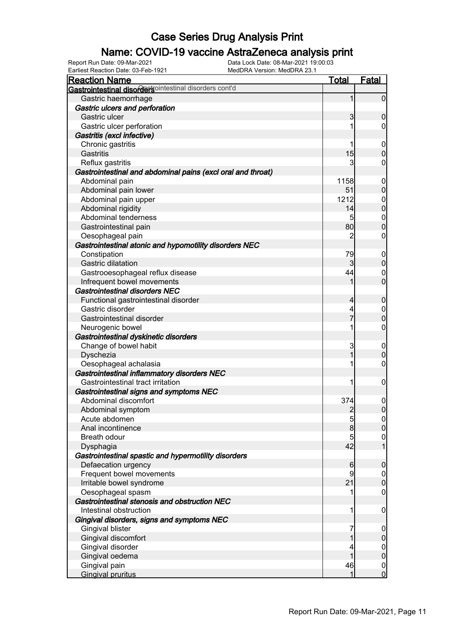### Name: COVID-19 vaccine AstraZeneca analysis print

| <b>Reaction Name</b>                                        | <u>Total</u>    | Fatal            |
|-------------------------------------------------------------|-----------------|------------------|
| Gastrointestinal disordersointestinal disorders cont'd      |                 |                  |
| Gastric haemorrhage                                         | 1               | $\overline{0}$   |
| Gastric ulcers and perforation                              |                 |                  |
| Gastric ulcer                                               | 3               | $\mathbf 0$      |
| Gastric ulcer perforation                                   |                 | 0                |
| Gastritis (excl infective)                                  |                 |                  |
| Chronic gastritis                                           |                 | $\mathbf 0$      |
| Gastritis                                                   | 15              | $\boldsymbol{0}$ |
| Reflux gastritis                                            | 3               | 0                |
| Gastrointestinal and abdominal pains (excl oral and throat) |                 |                  |
| Abdominal pain                                              | 1158            | $\mathbf 0$      |
| Abdominal pain lower                                        | 51              | $\boldsymbol{0}$ |
| Abdominal pain upper                                        | 1212            | $\boldsymbol{0}$ |
| Abdominal rigidity                                          | 14              | $\mathbf 0$      |
| Abdominal tenderness                                        | 5               | $\mathbf{0}$     |
| Gastrointestinal pain                                       | 80              | $\mathbf 0$      |
| Oesophageal pain                                            | 2               | $\mathbf 0$      |
| Gastrointestinal atonic and hypomotility disorders NEC      |                 |                  |
| Constipation                                                | 79              | $\mathbf 0$      |
| Gastric dilatation                                          | 3               | $\mathbf 0$      |
| Gastrooesophageal reflux disease                            | 44              | $\mathbf 0$      |
| Infrequent bowel movements                                  |                 | $\overline{0}$   |
| <b>Gastrointestinal disorders NEC</b>                       |                 |                  |
| Functional gastrointestinal disorder                        | 4               | $\mathbf 0$      |
| Gastric disorder                                            | 4               | $\boldsymbol{0}$ |
| Gastrointestinal disorder                                   | 7               | $\overline{0}$   |
| Neurogenic bowel                                            |                 | $\boldsymbol{0}$ |
| Gastrointestinal dyskinetic disorders                       |                 |                  |
| Change of bowel habit                                       | 3               | $\mathbf 0$      |
| Dyschezia                                                   | 1               | $\boldsymbol{0}$ |
| Oesophageal achalasia                                       |                 | $\boldsymbol{0}$ |
| Gastrointestinal inflammatory disorders NEC                 |                 |                  |
| Gastrointestinal tract irritation                           | 1               | $\boldsymbol{0}$ |
| Gastrointestinal signs and symptoms NEC                     |                 |                  |
| Abdominal discomfort                                        | 374             | $\boldsymbol{0}$ |
| Abdominal symptom                                           | $\overline{2}$  | $\overline{0}$   |
| Acute abdomen                                               | $\overline{5}$  | 0                |
| Anal incontinence                                           | $\bf{8}$        | 0                |
| Breath odour                                                | 5               | $\mathbf 0$      |
| Dysphagia                                                   | 42              | $\overline{1}$   |
| Gastrointestinal spastic and hypermotility disorders        |                 |                  |
| Defaecation urgency                                         | $6 \overline{}$ | $\boldsymbol{0}$ |
| Frequent bowel movements                                    | 9               | $\overline{0}$   |
| Irritable bowel syndrome                                    | 21              | $\mathbf 0$      |
| Oesophageal spasm                                           | 1               | $\mathbf 0$      |
| Gastrointestinal stenosis and obstruction NEC               |                 |                  |
| Intestinal obstruction                                      | 1               | $\mathbf 0$      |
| Gingival disorders, signs and symptoms NEC                  |                 |                  |
| Gingival blister                                            | 7               | $\mathbf 0$      |
| Gingival discomfort                                         |                 | $\pmb{0}$        |
| Gingival disorder                                           |                 | $\boldsymbol{0}$ |
| Gingival oedema                                             |                 | $\overline{0}$   |
| Gingival pain                                               | 46              | $\overline{0}$   |
| <b>Gingival pruritus</b>                                    | 1               | $\overline{0}$   |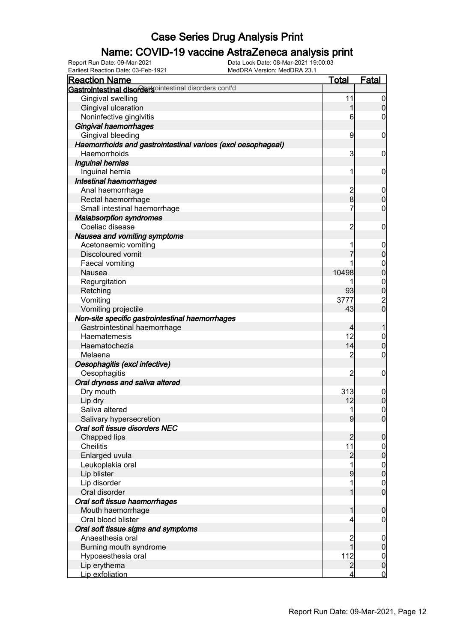### Name: COVID-19 vaccine AstraZeneca analysis print

Earliest Reaction Date: 03-Feb-1921 MedDRA Version: MedDRA 23.1

| <b>Reaction Name</b>                                         | <u>Total</u>    | <b>Fatal</b>                         |
|--------------------------------------------------------------|-----------------|--------------------------------------|
| Gastrointestinal disordersointestinal disorders cont'd       |                 |                                      |
| Gingival swelling                                            | 11              | $\boldsymbol{0}$                     |
| Gingival ulceration                                          | 1               | $\mathbf 0$                          |
| Noninfective gingivitis                                      | $6 \overline{}$ | 0                                    |
| Gingival haemorrhages                                        |                 |                                      |
| Gingival bleeding                                            | $\overline{9}$  | 0                                    |
| Haemorrhoids and gastrointestinal varices (excl oesophageal) |                 |                                      |
| Haemorrhoids                                                 | 3               | 0                                    |
| Inguinal hernias                                             |                 |                                      |
| Inguinal hernia                                              | 1               | 0                                    |
| Intestinal haemorrhages                                      |                 |                                      |
| Anal haemorrhage                                             | $\overline{c}$  | $\boldsymbol{0}$                     |
| Rectal haemorrhage                                           | $\overline{8}$  | $\overline{0}$                       |
| Small intestinal haemorrhage                                 | 7               | 0                                    |
| <b>Malabsorption syndromes</b>                               |                 |                                      |
| Coeliac disease                                              | $\overline{2}$  | $\mathbf 0$                          |
| Nausea and vomiting symptoms                                 |                 |                                      |
| Acetonaemic vomiting                                         | 1               | $\mathbf 0$                          |
| Discoloured vomit                                            |                 | $\mathbf 0$                          |
| Faecal vomiting                                              |                 |                                      |
| Nausea                                                       | 10498           | $\begin{matrix}0\\0\end{matrix}$     |
| Regurgitation                                                | 1               |                                      |
| Retching                                                     | 93              | $\begin{matrix}0\\0\end{matrix}$     |
| Vomiting                                                     | 3777            |                                      |
| Vomiting projectile                                          | 43              | $\frac{2}{0}$                        |
|                                                              |                 |                                      |
| Non-site specific gastrointestinal haemorrhages              |                 |                                      |
| Gastrointestinal haemorrhage                                 | 4<br>12         | 1                                    |
| Haematemesis                                                 |                 | $\mathbf{0}$<br>$\overline{0}$       |
| Haematochezia                                                | 14              |                                      |
| Melaena                                                      | $\overline{2}$  | 0                                    |
| Oesophagitis (excl infective)                                |                 |                                      |
| Oesophagitis                                                 | $\overline{2}$  | $\mathbf 0$                          |
| Oral dryness and saliva altered                              |                 |                                      |
| Dry mouth                                                    | 313             | $\mathbf 0$                          |
| Lip dry                                                      | 12              | $\mathbf 0$                          |
| Saliva altered                                               | $\mathbf{1}$    | $\mathbf 0$                          |
| Salivary hypersecretion                                      | $\overline{9}$  | 0                                    |
| Oral soft tissue disorders NEC                               |                 |                                      |
| Chapped lips                                                 | $\overline{2}$  | $\mathbf 0$                          |
| <b>Cheilitis</b>                                             | 11              | $\boldsymbol{0}$                     |
| Enlarged uvula                                               | $\overline{a}$  | $\pmb{0}$                            |
| Leukoplakia oral                                             | $\overline{1}$  | $\boldsymbol{0}$                     |
| Lip blister                                                  | 9               | $\mathbf 0$                          |
| Lip disorder                                                 | 1               | $\begin{matrix} 0 \\ 0 \end{matrix}$ |
| Oral disorder                                                | 1               |                                      |
| Oral soft tissue haemorrhages                                |                 |                                      |
| Mouth haemorrhage                                            | 1               | $\mathbf 0$                          |
| Oral blood blister                                           | 4               | $\mathbf 0$                          |
| Oral soft tissue signs and symptoms                          |                 |                                      |
| Anaesthesia oral                                             | $\overline{c}$  | $\mathbf 0$                          |
| Burning mouth syndrome                                       | $\overline{1}$  | $\boldsymbol{0}$                     |
| Hypoaesthesia oral                                           | 112             | $\overline{0}$                       |
| Lip erythema                                                 | $\overline{2}$  | $\pmb{0}$                            |
| Lip exfoliation                                              | 4               | $\overline{0}$                       |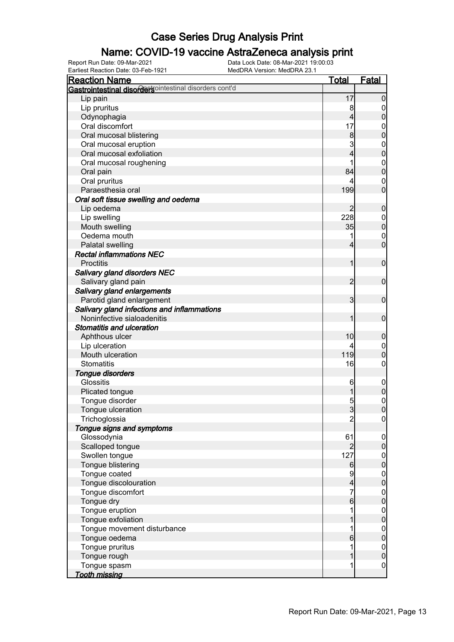### Name: COVID-19 vaccine AstraZeneca analysis print

Earliest Reaction Date: 03-Feb-1921 MedDRA Version: MedDRA 23.1

| <b>Reaction Name</b>                                    | <u>Total</u>    | <u>Fatal</u>     |
|---------------------------------------------------------|-----------------|------------------|
| Gastrointestinal disordertsointestinal disorders cont'd |                 |                  |
| Lip pain                                                | 17              | 0                |
| Lip pruritus                                            | 8               | $\mathbf 0$      |
| Odynophagia                                             | 4               | 0                |
| Oral discomfort                                         | 17              | $\boldsymbol{0}$ |
| Oral mucosal blistering                                 | 8               | 0                |
| Oral mucosal eruption                                   | 3               | $\mathbf{0}$     |
| Oral mucosal exfoliation                                |                 | $\mathbf{0}$     |
| Oral mucosal roughening                                 |                 | $\mathbf{0}$     |
| Oral pain                                               | 84              | $\overline{0}$   |
| Oral pruritus                                           | 4               | $\mathbf 0$      |
| Paraesthesia oral                                       | 199             | $\overline{0}$   |
| Oral soft tissue swelling and oedema                    |                 |                  |
| Lip oedema                                              | 2               | $\boldsymbol{0}$ |
| Lip swelling                                            | 228             | $\mathbf 0$      |
| Mouth swelling                                          | 35              | $\mathbf 0$      |
| Oedema mouth                                            | 1               | $\mathbf 0$      |
| Palatal swelling                                        | 4               | $\overline{0}$   |
| <b>Rectal inflammations NEC</b>                         |                 |                  |
| <b>Proctitis</b>                                        | 1               | $\boldsymbol{0}$ |
| Salivary gland disorders NEC                            |                 |                  |
| Salivary gland pain                                     | 2               | $\mathbf 0$      |
| Salivary gland enlargements                             |                 |                  |
| Parotid gland enlargement                               | 3               | $\mathbf 0$      |
| Salivary gland infections and inflammations             |                 |                  |
| Noninfective sialoadenitis                              |                 | $\mathbf 0$      |
| <b>Stomatitis and ulceration</b>                        |                 |                  |
| Aphthous ulcer                                          | 10              | $\boldsymbol{0}$ |
| Lip ulceration                                          |                 | $\mathbf 0$      |
| Mouth ulceration                                        | 119             | $\overline{0}$   |
| <b>Stomatitis</b>                                       | 16              | 0                |
| <b>Tongue disorders</b>                                 |                 |                  |
| Glossitis                                               | 6               | $\mathbf 0$      |
| Plicated tongue                                         |                 | $\pmb{0}$        |
| Tongue disorder                                         | 5               | $\boldsymbol{0}$ |
| Tongue ulceration                                       | $\overline{3}$  | $\overline{0}$   |
| Trichoglossia                                           | $\overline{c}$  | $\overline{0}$   |
| Tongue signs and symptoms                               |                 |                  |
| Glossodynia                                             | 61              | $\mathbf 0$      |
| Scalloped tongue                                        |                 | $\boldsymbol{0}$ |
| Swollen tongue                                          | 127             | $\boldsymbol{0}$ |
| Tongue blistering                                       | 6               | $\overline{0}$   |
| Tongue coated                                           | 9               | $\mathbf 0$      |
| Tongue discolouration                                   | 4               | $\overline{0}$   |
| Tongue discomfort                                       | 7               | $\mathbf 0$      |
| Tongue dry                                              | $6 \overline{}$ | $\overline{0}$   |
| Tongue eruption                                         | 1               | $\mathbf 0$      |
| Tongue exfoliation                                      |                 | $\mathbf 0$      |
| Tongue movement disturbance                             | 1               | $\mathbf 0$      |
| Tongue oedema                                           | 6               | $\mathbf 0$      |
| Tongue pruritus                                         | 1               | $\boldsymbol{0}$ |
| Tongue rough                                            |                 | $\mathbf 0$      |
| Tongue spasm                                            | 1               | $\mathbf 0$      |
| <b>Tooth missing</b>                                    |                 |                  |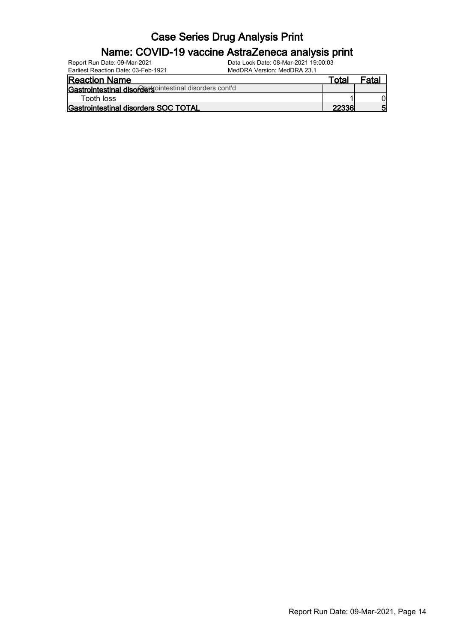#### Name: COVID-19 vaccine AstraZeneca analysis print

| Report Run Date: 09-Mar-2021        | Data Lock Date: 08-Mar-2021 19:00:03 |
|-------------------------------------|--------------------------------------|
| Earliest Reaction Date: 03-Feb-1921 | MedDRA Version: MedDRA 23.1          |

| <b>Reaction Name</b>                                    | ™ota⊫ | Fatal |
|---------------------------------------------------------|-------|-------|
| Gastrointestinal disorder sointestinal disorders cont'd |       |       |
| Tooth loss                                              |       |       |
| <b>IGastrointestinal disorders SOC TOTAL</b>            | 22336 | 51    |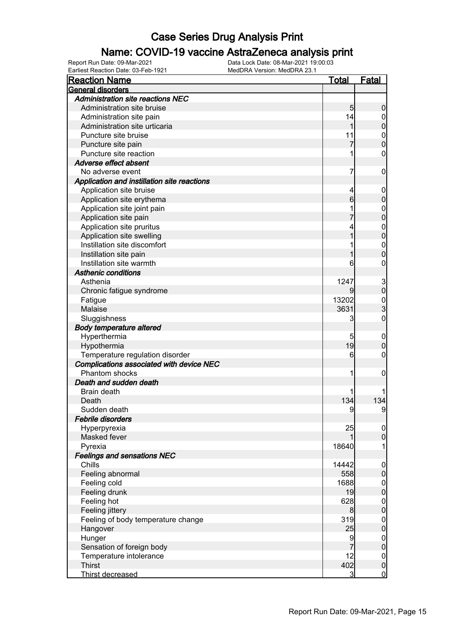### Name: COVID-19 vaccine AstraZeneca analysis print

| <b>Reaction Name</b>                        | Total | <b>Fatal</b>     |
|---------------------------------------------|-------|------------------|
| <b>General disorders</b>                    |       |                  |
| <b>Administration site reactions NEC</b>    |       |                  |
| Administration site bruise                  | 5     | 0                |
| Administration site pain                    | 14    | 0                |
| Administration site urticaria               |       | 0                |
| Puncture site bruise                        | 11    | $\mathbf 0$      |
| Puncture site pain                          |       | O                |
| Puncture site reaction                      | 1     | 0                |
| Adverse effect absent                       |       |                  |
| No adverse event                            | 7     | 0                |
| Application and instillation site reactions |       |                  |
| Application site bruise                     | 4     | 0                |
| Application site erythema                   | 6     | 0                |
| Application site joint pain                 |       | 0                |
| Application site pain                       |       | 0                |
| Application site pruritus                   | 4     | $\mathbf{0}$     |
| Application site swelling                   |       | 0                |
| Instillation site discomfort                |       | $\mathbf 0$      |
| Instillation site pain                      |       | 0                |
| Instillation site warmth                    | 6     | 0                |
| <b>Asthenic conditions</b>                  |       |                  |
| Asthenia                                    | 1247  | 3<br>0           |
| Chronic fatigue syndrome                    |       |                  |
| Fatigue                                     | 13202 | 0<br>3           |
| Malaise                                     | 3631  |                  |
| Sluggishness                                | 3     | 0                |
| <b>Body temperature altered</b>             |       |                  |
| Hyperthermia                                | 5     | $\mathbf 0$      |
| Hypothermia                                 | 19    | 0                |
| Temperature regulation disorder             | 6     | 0                |
| Complications associated with device NEC    |       |                  |
| Phantom shocks                              | 1     | 0                |
| Death and sudden death                      |       |                  |
| Brain death                                 |       |                  |
| Death                                       | 134   | 134              |
| Sudden death                                | 9     | 9                |
| <b>Febrile disorders</b>                    |       |                  |
| Hyperpyrexia                                | 25    | $\mathbf 0$      |
| Masked fever                                |       | 0                |
| Pyrexia                                     | 18640 | 1                |
| <b>Feelings and sensations NEC</b>          |       |                  |
| Chills                                      | 14442 | $\mathbf 0$      |
| Feeling abnormal                            | 558   | 0                |
| Feeling cold                                | 1688  | $\boldsymbol{0}$ |
| Feeling drunk                               | 19    | $\overline{0}$   |
| Feeling hot                                 | 628   | $\boldsymbol{0}$ |
| Feeling jittery                             | 8     | $\overline{0}$   |
| Feeling of body temperature change          | 319   | $\boldsymbol{0}$ |
| Hangover                                    | 25    | 0                |
| Hunger                                      | 9     | $\boldsymbol{0}$ |
| Sensation of foreign body                   |       | $\overline{0}$   |
| Temperature intolerance                     | 12    | $\boldsymbol{0}$ |
| <b>Thirst</b>                               | 402   | $\overline{0}$   |
| Thirst decreased                            | 3     | $\overline{0}$   |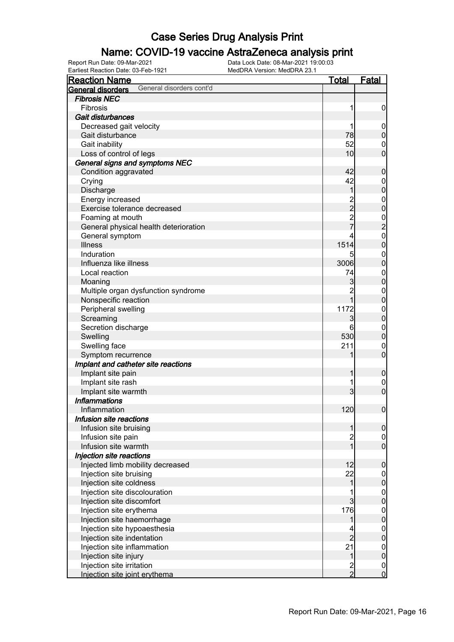### Name: COVID-19 vaccine AstraZeneca analysis print

| <b>Reaction Name</b>                          | <u>Total</u>     | <u>Fatal</u>                               |
|-----------------------------------------------|------------------|--------------------------------------------|
| General disorders cont'd<br>General disorders |                  |                                            |
| <b>Fibrosis NEC</b>                           |                  |                                            |
| Fibrosis                                      | 1                | $\boldsymbol{0}$                           |
| Gait disturbances                             |                  |                                            |
| Decreased gait velocity                       | 1                | $\boldsymbol{0}$                           |
| Gait disturbance                              | 78               | $\pmb{0}$                                  |
| Gait inability                                | 52               | $\mathbf 0$                                |
| Loss of control of legs                       | 10               | $\overline{0}$                             |
| General signs and symptoms NEC                |                  |                                            |
| Condition aggravated                          | 42               | $\boldsymbol{0}$                           |
| Crying                                        | 42               | $\boldsymbol{0}$                           |
| Discharge                                     | 1                | $\mathbf 0$                                |
| Energy increased                              |                  |                                            |
| Exercise tolerance decreased                  | 2<br>2<br>2<br>7 | $0\atop 0$                                 |
| Foaming at mouth                              |                  |                                            |
| General physical health deterioration         |                  |                                            |
| General symptom                               | 4                |                                            |
| <b>Illness</b>                                | 1514             | $\begin{array}{c} 0 \\ 2 \\ 0 \end{array}$ |
| Induration                                    | 5                | $\mathbf{0}$                               |
| Influenza like illness                        | 3006             | $\mathbf 0$                                |
| Local reaction                                | 74               | $\mathbf{0}$                               |
| Moaning                                       | 3                | $\mathbf 0$                                |
| Multiple organ dysfunction syndrome           | $\overline{2}$   | $\mathbf{0}$                               |
| Nonspecific reaction                          | $\overline{1}$   | $\overline{0}$                             |
| Peripheral swelling                           | 1172             | $\mathbf{0}$                               |
| Screaming                                     | 3                | $\mathbf 0$                                |
| Secretion discharge                           | 6                | $\boldsymbol{0}$                           |
| Swelling                                      | 530              | $\overline{0}$                             |
| Swelling face                                 | 211              | $\mathbf{0}$                               |
| Symptom recurrence                            | 1                | $\overline{0}$                             |
| Implant and catheter site reactions           |                  |                                            |
| Implant site pain                             | 1                | $\boldsymbol{0}$                           |
| Implant site rash                             | 1                | $\mathbf 0$                                |
| Implant site warmth                           | 3                | $\overline{0}$                             |
| <b>Inflammations</b>                          |                  |                                            |
| Inflammation                                  | 120              | $\mathbf 0$                                |
| Infusion site reactions                       |                  |                                            |
| Infusion site bruising                        | 1                | $\overline{0}$                             |
| Infusion site pain                            |                  | $\boldsymbol{0}$                           |
| Infusion site warmth                          | $\frac{2}{1}$    | $\mathbf{0}$                               |
| Injection site reactions                      |                  |                                            |
| Injected limb mobility decreased              | 12               | $\boldsymbol{0}$                           |
| Injection site bruising                       | 22               | $\mathbf 0$                                |
| Injection site coldness                       | 1                | $\mathbf 0$                                |
| Injection site discolouration                 | 1                |                                            |
| Injection site discomfort                     | $\overline{3}$   | $0\atop 0$                                 |
| Injection site erythema                       | 176              | $\boldsymbol{0}$                           |
| Injection site haemorrhage                    | 1                | $\mathbf 0$                                |
| Injection site hypoaesthesia                  |                  | $\boldsymbol{0}$                           |
| Injection site indentation                    | $\overline{2}$   | $\mathbf 0$                                |
| Injection site inflammation                   | 21               | $\boldsymbol{0}$                           |
| Injection site injury                         | $\mathbf 1$      | $\mathbf 0$                                |
| Injection site irritation                     |                  | $\boldsymbol{0}$                           |
| Injection site joint erythema                 | $\frac{2}{2}$    | $\overline{0}$                             |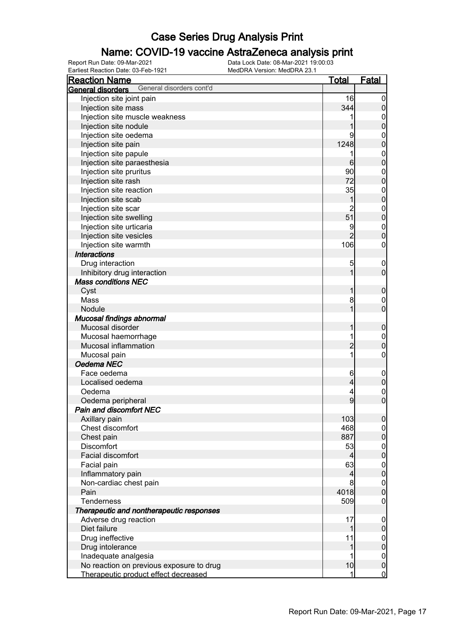### Name: COVID-19 vaccine AstraZeneca analysis print

| <b>Reaction Name</b>                          | <b>Total</b>   | <b>Fatal</b>                     |
|-----------------------------------------------|----------------|----------------------------------|
| General disorders cont'd<br>General disorders |                |                                  |
| Injection site joint pain                     | 16             | $\overline{0}$                   |
| Injection site mass                           | 344            | $\pmb{0}$                        |
| Injection site muscle weakness                |                | $\mathbf 0$                      |
| Injection site nodule                         | 1              | $\overline{0}$                   |
| Injection site oedema                         | 9              | $\mathbf{0}$                     |
| Injection site pain                           | 1248           | $\overline{0}$                   |
| Injection site papule                         | 1              | $\mathbf{0}$                     |
| Injection site paraesthesia                   | 6              | $\overline{0}$                   |
| Injection site pruritus                       | 90             | $\mathbf{0}$                     |
| Injection site rash                           | 72             | $\overline{0}$                   |
| Injection site reaction                       | 35             |                                  |
| Injection site scab                           | 1              | $0\atop 0$                       |
| Injection site scar                           | $\overline{2}$ |                                  |
| Injection site swelling                       | 51             | $\begin{matrix}0\\0\end{matrix}$ |
| Injection site urticaria                      | 9              | $\mathbf{0}$                     |
| Injection site vesicles                       |                | $\overline{0}$                   |
| Injection site warmth                         | 106            | $\pmb{0}$                        |
| <b>Interactions</b>                           |                |                                  |
| Drug interaction                              | 5              | $\boldsymbol{0}$                 |
| Inhibitory drug interaction                   | 1              | $\mathbf 0$                      |
| <b>Mass conditions NEC</b>                    |                |                                  |
| Cyst                                          | 1              | $\boldsymbol{0}$                 |
| Mass                                          | 8              | $\boldsymbol{0}$                 |
| Nodule                                        | 1              | $\overline{0}$                   |
| Mucosal findings abnormal                     |                |                                  |
| Mucosal disorder                              | 1              | $\boldsymbol{0}$                 |
| Mucosal haemorrhage                           | 1              | $\mathbf{0}$                     |
| Mucosal inflammation                          | $\overline{c}$ | $\mathbf 0$                      |
| Mucosal pain                                  | 1              | $\pmb{0}$                        |
| Oedema NEC                                    |                |                                  |
| Face oedema                                   | 6              |                                  |
| Localised oedema                              | $\overline{4}$ | $\boldsymbol{0}$<br>$\mathbf 0$  |
| Oedema                                        | 4              |                                  |
| Oedema peripheral                             | 9              | $\mathbf{0}$<br>$\overline{0}$   |
| <b>Pain and discomfort NEC</b>                |                |                                  |
| Axillary pain                                 | 103            |                                  |
| Chest discomfort                              | 468            | 0                                |
| Chest pain                                    | 887            | 0 <br>$\boldsymbol{0}$           |
| <b>Discomfort</b>                             | 53             |                                  |
| Facial discomfort                             | 4              | $\overline{0}$<br>$\mathbf 0$    |
| Facial pain                                   | 63             |                                  |
| Inflammatory pain                             | $\overline{4}$ | $\overline{0}$<br>$\mathbf 0$    |
| Non-cardiac chest pain                        | 8              |                                  |
| Pain                                          | 4018           | $\boldsymbol{0}$<br>$\mathbf 0$  |
| <b>Tenderness</b>                             | 509            |                                  |
| Therapeutic and nontherapeutic responses      |                | $\mathbf 0$                      |
|                                               | 17             |                                  |
| Adverse drug reaction<br>Diet failure         | 1              | $\mathbf 0$                      |
|                                               |                | $\pmb{0}$                        |
| Drug ineffective                              | 11             | $\boldsymbol{0}$                 |
| Drug intolerance                              | 1              | $\mathbf 0$                      |
| Inadequate analgesia                          | 1              | $\boldsymbol{0}$                 |
| No reaction on previous exposure to drug      | 10             | $\pmb{0}$                        |
| Therapeutic product effect decreased          | 1              | $\overline{0}$                   |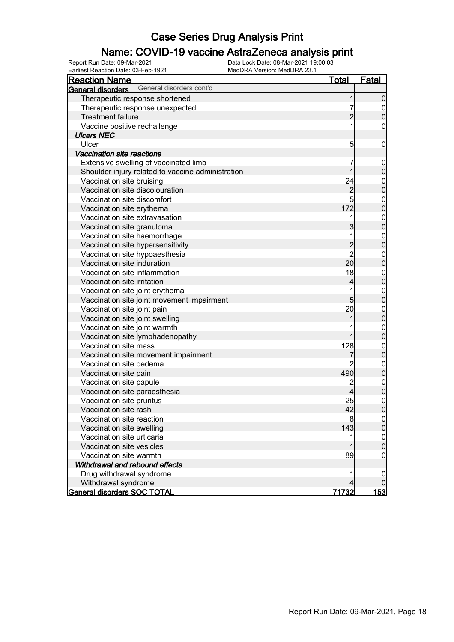### Name: COVID-19 vaccine AstraZeneca analysis print

| <b>Reaction Name</b>                                 | <u>Total</u>   | Fatal                                |
|------------------------------------------------------|----------------|--------------------------------------|
| General disorders cont'd<br><b>General disorders</b> |                |                                      |
| Therapeutic response shortened                       | 1              | $\boldsymbol{0}$                     |
| Therapeutic response unexpected                      | 7              |                                      |
| <b>Treatment failure</b>                             | $\overline{2}$ | $\begin{matrix} 0 \\ 0 \end{matrix}$ |
| Vaccine positive rechallenge                         | 1              | $\boldsymbol{0}$                     |
| <b>Ulcers NEC</b>                                    |                |                                      |
| Ulcer                                                | 5              | $\mathbf 0$                          |
| <b>Vaccination site reactions</b>                    |                |                                      |
| Extensive swelling of vaccinated limb                | 7              | $\mathbf 0$                          |
| Shoulder injury related to vaccine administration    | 1              | $\pmb{0}$                            |
| Vaccination site bruising                            | 24             |                                      |
| Vaccination site discolouration                      | $\overline{c}$ | 0<br>0                               |
| Vaccination site discomfort                          | 5              |                                      |
| Vaccination site erythema                            | 172            | $0$ 0                                |
| Vaccination site extravasation                       | 1              |                                      |
| Vaccination site granuloma                           | 3              | $0$ 0                                |
| Vaccination site haemorrhage                         | 1              |                                      |
| Vaccination site hypersensitivity                    |                | $0$<br>0                             |
| Vaccination site hypoaesthesia                       | $\frac{2}{2}$  |                                      |
| Vaccination site induration                          | 20             | $0$<br>0                             |
| Vaccination site inflammation                        | 18             |                                      |
| Vaccination site irritation                          | 4              | $0$ 0                                |
| Vaccination site joint erythema                      | 1              |                                      |
| Vaccination site joint movement impairment           | 5              | $0\atop 0$                           |
| Vaccination site joint pain                          | 20             |                                      |
| Vaccination site joint swelling                      | 1              | $0$ 0                                |
| Vaccination site joint warmth                        |                |                                      |
| Vaccination site lymphadenopathy                     | 1              | $0\atop 0$                           |
| Vaccination site mass                                | 128            |                                      |
| Vaccination site movement impairment                 | 7              | 0<br>0                               |
| Vaccination site oedema                              | 2              |                                      |
| Vaccination site pain                                | 490            | $0$ 0                                |
| Vaccination site papule                              | $\overline{c}$ |                                      |
| Vaccination site paraesthesia                        | 4              | $0$<br>0                             |
| Vaccination site pruritus                            | 25             |                                      |
| Vaccination site rash                                | 42             | $\begin{matrix}0\\0\end{matrix}$     |
| Vaccination site reaction                            | 8              | 이                                    |
| Vaccination site swelling                            | 143            | $\overline{0}$                       |
| Vaccination site urticaria                           | 1              | 0                                    |
| Vaccination site vesicles                            |                | $\mathbf 0$                          |
| Vaccination site warmth                              | 89             | 0                                    |
| Withdrawal and rebound effects                       |                |                                      |
| Drug withdrawal syndrome                             |                | 0                                    |
| Withdrawal syndrome                                  | $\overline{4}$ |                                      |
| <b>General disorders SOC TOTAL</b>                   | 71732          | <u> 153 </u>                         |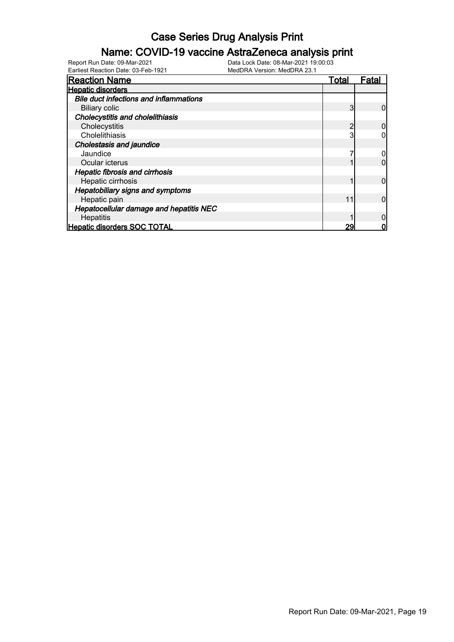### Name: COVID-19 vaccine AstraZeneca analysis print

| <b>Reaction Name</b>                          | Total | Fatal |
|-----------------------------------------------|-------|-------|
| <b>Hepatic disorders</b>                      |       |       |
| <b>Bile duct infections and inflammations</b> |       |       |
| <b>Biliary colic</b>                          |       |       |
| <b>Cholecystitis and cholelithiasis</b>       |       |       |
| Cholecystitis                                 | າ     |       |
| Cholelithiasis                                |       |       |
| <b>Cholestasis and jaundice</b>               |       |       |
| Jaundice                                      |       |       |
| Ocular icterus                                |       |       |
| <b>Hepatic fibrosis and cirrhosis</b>         |       |       |
| Hepatic cirrhosis                             |       |       |
| <b>Hepatobiliary signs and symptoms</b>       |       |       |
| Hepatic pain                                  | 11    |       |
| Hepatocellular damage and hepatitis NEC       |       |       |
| Hepatitis                                     |       |       |
| <b>Hepatic disorders SOC TOTAL</b>            | 29    |       |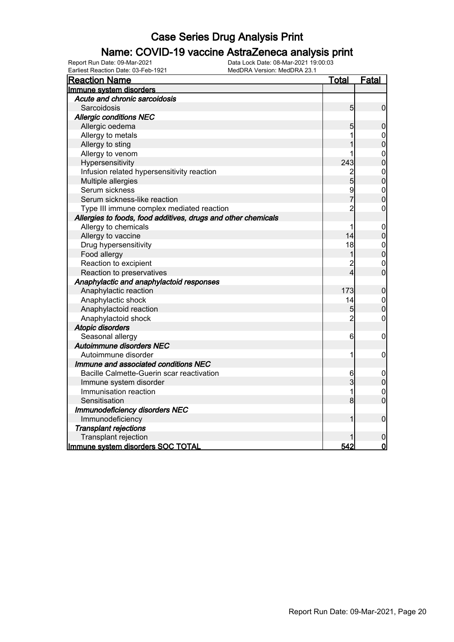### Name: COVID-19 vaccine AstraZeneca analysis print

| <b>Reaction Name</b>                                          | <b>Total</b>   | Fatal                            |
|---------------------------------------------------------------|----------------|----------------------------------|
| Immune system disorders                                       |                |                                  |
| Acute and chronic sarcoidosis                                 |                |                                  |
| Sarcoidosis                                                   | 5              | $\overline{0}$                   |
| <b>Allergic conditions NEC</b>                                |                |                                  |
| Allergic oedema                                               | 5              | $\boldsymbol{0}$                 |
| Allergy to metals                                             | 1              | $\mathbf{0}$                     |
| Allergy to sting                                              |                | $\overline{0}$                   |
| Allergy to venom                                              | 1              | $\pmb{0}$                        |
| Hypersensitivity                                              | 243            | $\overline{0}$                   |
| Infusion related hypersensitivity reaction                    | $\overline{c}$ | $\mathbf{0}$                     |
| Multiple allergies                                            | 5              | $\overline{0}$                   |
| Serum sickness                                                | 9              | $\begin{matrix}0\\0\end{matrix}$ |
| Serum sickness-like reaction                                  | 7              |                                  |
| Type III immune complex mediated reaction                     | $\overline{c}$ | $\mathbf 0$                      |
| Allergies to foods, food additives, drugs and other chemicals |                |                                  |
| Allergy to chemicals                                          | 1              | $\mathbf 0$                      |
| Allergy to vaccine                                            | 14             | $\overline{0}$                   |
| Drug hypersensitivity                                         | 18             | $\mathbf{0}$                     |
| Food allergy                                                  | 1              | $\overline{0}$                   |
| Reaction to excipient                                         | $\overline{2}$ | $\pmb{0}$                        |
| Reaction to preservatives                                     | $\overline{4}$ | $\overline{0}$                   |
| Anaphylactic and anaphylactoid responses                      |                |                                  |
| Anaphylactic reaction                                         | 173            | $\boldsymbol{0}$                 |
| Anaphylactic shock                                            | 14             | $\mathbf{0}$                     |
| Anaphylactoid reaction                                        | 5              | $\overline{0}$                   |
| Anaphylactoid shock                                           | $\overline{c}$ | $\mathbf 0$                      |
| <b>Atopic disorders</b>                                       |                |                                  |
| Seasonal allergy                                              | 6              | $\mathbf 0$                      |
| <b>Autoimmune disorders NEC</b>                               |                |                                  |
| Autoimmune disorder                                           | 1              | $\mathbf 0$                      |
| Immune and associated conditions NEC                          |                |                                  |
| Bacille Calmette-Guerin scar reactivation                     | 6              | 0                                |
| Immune system disorder                                        | 3              | $\mathbf 0$                      |
| Immunisation reaction                                         | 1              | $\mathbf{0}$                     |
| Sensitisation                                                 | 8              | $\overline{0}$                   |
| <b>Immunodeficiency disorders NEC</b>                         |                |                                  |
| Immunodeficiency                                              |                | $\mathbf 0$                      |
| <b>Transplant rejections</b>                                  |                |                                  |
| Transplant rejection                                          |                | 0                                |
| Immune system disorders SOC TOTAL                             | 542            | $\overline{0}$                   |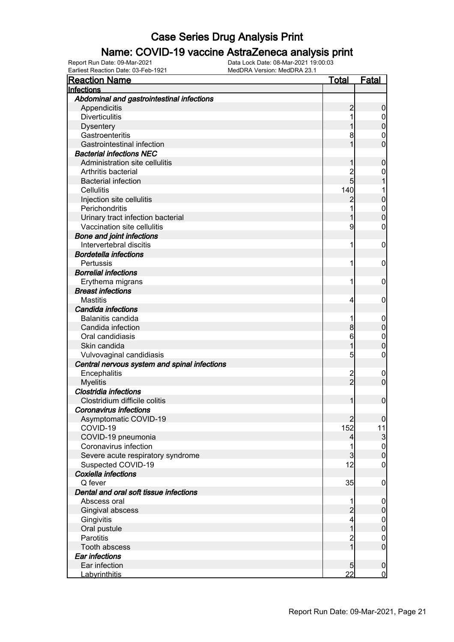#### Name: COVID-19 vaccine AstraZeneca analysis print

Earliest Reaction Date: 03-Feb-1921 MedDRA Version: MedDRA 23.1

| <b>Reaction Name</b>                         | <u>Total</u>                     | <u>Fatal</u>                       |
|----------------------------------------------|----------------------------------|------------------------------------|
| Infections                                   |                                  |                                    |
| Abdominal and gastrointestinal infections    |                                  |                                    |
| Appendicitis                                 | 2                                | 0                                  |
| <b>Diverticulitis</b>                        |                                  |                                    |
| <b>Dysentery</b>                             |                                  | 0                                  |
| Gastroenteritis                              |                                  | 0                                  |
| Gastrointestinal infection                   |                                  | 0                                  |
| <b>Bacterial infections NEC</b>              |                                  |                                    |
| Administration site cellulitis               |                                  | 0                                  |
| Arthritis bacterial                          |                                  | 0                                  |
| <b>Bacterial infection</b>                   | 5                                |                                    |
| Cellulitis                                   | 140                              |                                    |
| Injection site cellulitis                    |                                  | 0                                  |
| Perichondritis                               |                                  | $\mathbf 0$                        |
| Urinary tract infection bacterial            |                                  | O                                  |
| Vaccination site cellulitis                  | 9                                | 0                                  |
| <b>Bone and joint infections</b>             |                                  |                                    |
| Intervertebral discitis                      |                                  | 0                                  |
| <b>Bordetella infections</b>                 |                                  |                                    |
| Pertussis                                    |                                  | 0                                  |
| <b>Borrelial infections</b>                  |                                  |                                    |
| Erythema migrans                             |                                  | 0                                  |
| <b>Breast infections</b>                     |                                  |                                    |
| <b>Mastitis</b>                              | 4                                | 0                                  |
| Candida infections                           |                                  |                                    |
| Balanitis candida                            |                                  | 0                                  |
| Candida infection                            | 8                                | 0                                  |
| Oral candidiasis                             | 6                                | $\mathbf 0$                        |
| Skin candida                                 |                                  | 0                                  |
| Vulvovaginal candidiasis                     | 5                                | 0                                  |
| Central nervous system and spinal infections |                                  |                                    |
| Encephalitis                                 |                                  | 0                                  |
| <b>Myelitis</b>                              | 2<br>2                           | 0                                  |
| Clostridia infections                        |                                  |                                    |
| Clostridium difficile colitis                |                                  | 0                                  |
| <b>Coronavirus infections</b>                |                                  |                                    |
|                                              |                                  |                                    |
| Asymptomatic COVID-19<br>COVID-19            | 152                              | 0 <br>11                           |
| COVID-19 pneumonia                           | $\vert$                          | 3                                  |
| Coronavirus infection                        |                                  |                                    |
| Severe acute respiratory syndrome            | 3                                | $0$<br>0                           |
| Suspected COVID-19                           | 12                               | 0                                  |
| Coxiella infections                          |                                  |                                    |
| Q fever                                      | 35                               | 0                                  |
| Dental and oral soft tissue infections       |                                  |                                    |
| Abscess oral                                 |                                  |                                    |
|                                              | $\overline{2}$                   | $\mathbf 0$<br>$\overline{0}$      |
| Gingival abscess                             | $\overline{4}$                   |                                    |
| Gingivitis                                   | 1                                | $0\atop 0$                         |
| Oral pustule<br><b>Parotitis</b>             |                                  |                                    |
|                                              | $\overline{c}$<br>$\overline{1}$ | $\boldsymbol{0}$<br>$\overline{0}$ |
| Tooth abscess                                |                                  |                                    |
| Ear infections                               |                                  |                                    |
| Ear infection                                | 5<br>22                          | $\boldsymbol{0}$<br>$\overline{0}$ |
| Labyrinthitis                                |                                  |                                    |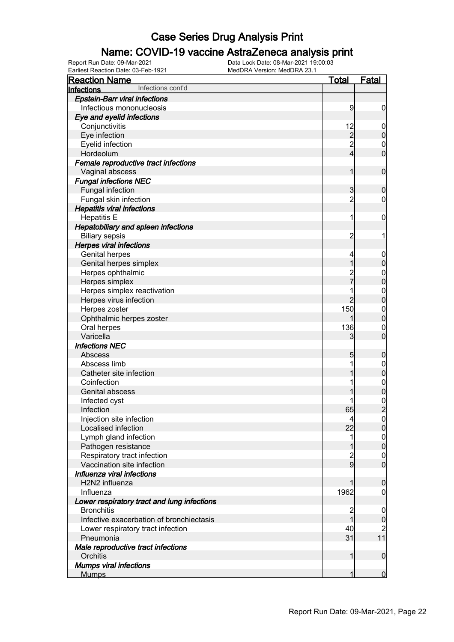### Name: COVID-19 vaccine AstraZeneca analysis print

| <b>Reaction Name</b>                        | <u>Total</u>   | Fatal                                |
|---------------------------------------------|----------------|--------------------------------------|
| Infections cont'd<br>Infections             |                |                                      |
| <b>Epstein-Barr viral infections</b>        |                |                                      |
| Infectious mononucleosis                    | 9              | $\boldsymbol{0}$                     |
| Eye and eyelid infections                   |                |                                      |
| Conjunctivitis                              | 12             | $\mathbf 0$                          |
| Eye infection                               |                | $\mathbf 0$                          |
| Eyelid infection                            | $\frac{2}{2}$  | $\mathbf{0}$                         |
| Hordeolum                                   | $\overline{4}$ | $\overline{0}$                       |
| Female reproductive tract infections        |                |                                      |
| Vaginal abscess                             | 1              | $\mathbf 0$                          |
| <b>Fungal infections NEC</b>                |                |                                      |
| Fungal infection                            | 3              | $\mathbf 0$                          |
| Fungal skin infection                       | $\overline{2}$ | $\mathbf 0$                          |
| <b>Hepatitis viral infections</b>           |                |                                      |
| <b>Hepatitis E</b>                          | 1              | $\mathbf 0$                          |
| Hepatobiliary and spleen infections         |                |                                      |
| <b>Biliary sepsis</b>                       | $\overline{c}$ | 1                                    |
| <b>Herpes viral infections</b>              |                |                                      |
| Genital herpes                              | 4              | $\mathbf 0$                          |
| Genital herpes simplex                      | 1              | $\boldsymbol{0}$                     |
| Herpes ophthalmic                           |                | $\mathbf{0}$                         |
| Herpes simplex                              |                | $\overline{0}$                       |
| Herpes simplex reactivation                 | 1              |                                      |
| Herpes virus infection                      | $\overline{2}$ | $\begin{matrix}0\\0\end{matrix}$     |
| Herpes zoster                               | 150            |                                      |
| Ophthalmic herpes zoster                    |                | $\begin{matrix}0\\0\end{matrix}$     |
| Oral herpes                                 | 136            | $\mathbf 0$                          |
| Varicella                                   | 3              | $\overline{0}$                       |
| <b>Infections NEC</b>                       |                |                                      |
| Abscess                                     | 5              | $\boldsymbol{0}$                     |
| Abscess limb                                | 1              | $\boldsymbol{0}$                     |
| Catheter site infection                     | 1              | $\mathbf 0$                          |
| Coinfection                                 | 1              |                                      |
| Genital abscess                             |                | $0\atop 0$                           |
| Infected cyst                               |                |                                      |
| Infection                                   | 65             | $\frac{0}{2}$                        |
| Injection site infection                    | $\overline{4}$ | $\Omega$                             |
| Localised infection                         | 22             | $\overline{0}$                       |
| Lymph gland infection                       | 1              |                                      |
| Pathogen resistance                         | 1              | $\begin{matrix} 0 \\ 0 \end{matrix}$ |
| Respiratory tract infection                 |                |                                      |
| Vaccination site infection                  | $\frac{2}{9}$  | $\begin{matrix} 0 \\ 0 \end{matrix}$ |
| Influenza viral infections                  |                |                                      |
| H2N2 influenza                              |                | $\boldsymbol{0}$                     |
| Influenza                                   | 1962           | $\mathbf 0$                          |
| Lower respiratory tract and lung infections |                |                                      |
| <b>Bronchitis</b>                           | 2              | $\boldsymbol{0}$                     |
| Infective exacerbation of bronchiectasis    | $\overline{1}$ | $\boldsymbol{0}$                     |
| Lower respiratory tract infection           | 40             | $\overline{c}$                       |
| Pneumonia                                   | 31             | 11                                   |
| Male reproductive tract infections          |                |                                      |
| Orchitis                                    | $\mathbf{1}$   | $\mathbf 0$                          |
| <b>Mumps viral infections</b>               |                |                                      |
| <b>Mumps</b>                                | 1              | $\overline{0}$                       |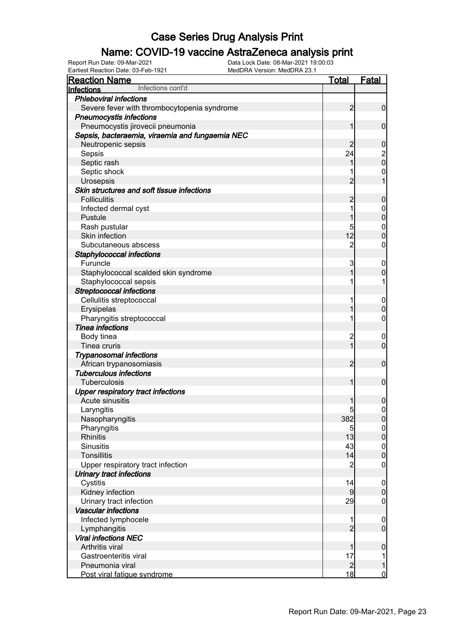### Name: COVID-19 vaccine AstraZeneca analysis print

Earliest Reaction Date: 03-Feb-1921 MedDRA Version: MedDRA 23.1

| <b>Reaction Name</b>                            | <b>Total</b>                     | <b>Fatal</b>                         |
|-------------------------------------------------|----------------------------------|--------------------------------------|
| Infections cont'd<br>Infections                 |                                  |                                      |
| <b>Phleboviral infections</b>                   |                                  |                                      |
| Severe fever with thrombocytopenia syndrome     | $\overline{2}$                   | $\mathbf 0$                          |
| <b>Pneumocystis infections</b>                  |                                  |                                      |
| Pneumocystis jirovecii pneumonia                | 1                                | $\mathbf 0$                          |
| Sepsis, bacteraemia, viraemia and fungaemia NEC |                                  |                                      |
| Neutropenic sepsis                              | $\overline{c}$                   | $\mathbf 0$                          |
| Sepsis                                          | 24                               |                                      |
| Septic rash                                     | 1                                | $\begin{matrix} 2 \\ 0 \end{matrix}$ |
| Septic shock                                    |                                  | $\mathbf 0$                          |
| Urosepsis                                       | $\overline{2}$                   | 1                                    |
| Skin structures and soft tissue infections      |                                  |                                      |
| <b>Folliculitis</b>                             | $\overline{c}$                   | $\mathbf 0$                          |
| Infected dermal cyst                            | 1                                | $\mathbf 0$                          |
| Pustule                                         | 1                                | $\mathbf 0$                          |
| Rash pustular                                   | 5                                | $\mathbf 0$                          |
| Skin infection                                  | 12                               | $\mathbf 0$                          |
| Subcutaneous abscess                            | $\overline{c}$                   | $\mathbf 0$                          |
| Staphylococcal infections                       |                                  |                                      |
| Furuncle                                        | 3                                | $\overline{0}$                       |
| Staphylococcal scalded skin syndrome            | 1                                | $\boldsymbol{0}$                     |
| Staphylococcal sepsis                           |                                  | 1                                    |
| <b>Streptococcal infections</b>                 |                                  |                                      |
| Cellulitis streptococcal                        |                                  |                                      |
|                                                 |                                  | $\boldsymbol{0}$<br>$\mathbf 0$      |
| Erysipelas                                      |                                  |                                      |
| Pharyngitis streptococcal                       |                                  | $\mathbf 0$                          |
| <b>Tinea infections</b>                         |                                  |                                      |
| Body tinea                                      | $\overline{c}$<br>$\overline{1}$ | $\overline{0}$                       |
| Tinea cruris                                    |                                  | $\mathbf 0$                          |
| <b>Trypanosomal infections</b>                  |                                  |                                      |
| African trypanosomiasis                         | $\overline{2}$                   | $\mathbf 0$                          |
| <b>Tuberculous infections</b>                   |                                  |                                      |
| Tuberculosis                                    | 1                                | $\mathbf 0$                          |
| <b>Upper respiratory tract infections</b>       |                                  |                                      |
| Acute sinusitis                                 |                                  | $\boldsymbol{0}$                     |
| Laryngitis                                      | 5 <sub>l</sub>                   | $\boldsymbol{0}$                     |
| Nasopharyngitis                                 | 382                              | 0                                    |
| Pharyngitis                                     | 5                                | 0                                    |
| <b>Rhinitis</b>                                 | 13                               | $\mathbf 0$                          |
| <b>Sinusitis</b>                                | 43                               | $\boldsymbol{0}$                     |
| <b>Tonsillitis</b>                              | 14                               | $\overline{0}$                       |
| Upper respiratory tract infection               | $\overline{c}$                   | $\mathbf 0$                          |
| Urinary tract infections                        |                                  |                                      |
| Cystitis                                        | 4                                | $\mathbf 0$                          |
| Kidney infection                                | $\overline{9}$                   | $\mathbf 0$                          |
| Urinary tract infection                         | 29                               | $\mathbf 0$                          |
| <b>Vascular infections</b>                      |                                  |                                      |
| Infected lymphocele                             | 1                                | $\mathbf 0$                          |
| Lymphangitis                                    | $\overline{2}$                   | $\overline{0}$                       |
| <b>Viral infections NEC</b>                     |                                  |                                      |
| Arthritis viral                                 | 1                                | $\boldsymbol{0}$                     |
| Gastroenteritis viral                           | 17                               | 1                                    |
| Pneumonia viral                                 | $\overline{2}$                   | $\mathbf 1$                          |
| Post viral fatigue syndrome                     | 18                               | $\overline{0}$                       |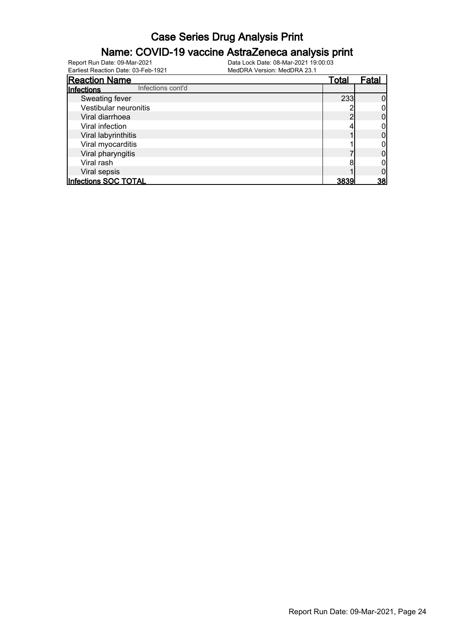#### Name: COVID-19 vaccine AstraZeneca analysis print

| <b>Reaction Name</b>            | <u>Total</u> | Fatal |
|---------------------------------|--------------|-------|
| Infections cont'd<br>Infections |              |       |
| Sweating fever                  | 233          |       |
| Vestibular neuronitis           |              |       |
| Viral diarrhoea                 |              |       |
| Viral infection                 |              |       |
| Viral labyrinthitis             |              |       |
| Viral myocarditis               |              |       |
| Viral pharyngitis               |              |       |
| Viral rash                      |              |       |
| Viral sepsis                    |              |       |
| Infections SOC TOTAL            | 3839         | 38    |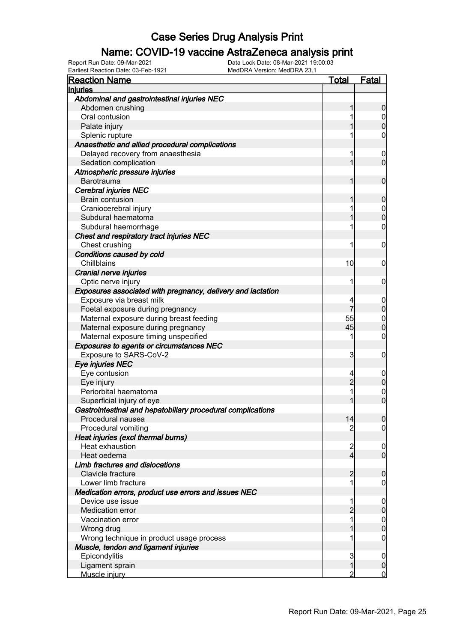### Name: COVID-19 vaccine AstraZeneca analysis print

Earliest Reaction Date: 03-Feb-1921 MedDRA Version: MedDRA 23.1

| <b>Reaction Name</b>                                        | <u>Total</u>   | <u>Fatal</u>     |
|-------------------------------------------------------------|----------------|------------------|
| Injuries                                                    |                |                  |
| Abdominal and gastrointestinal injuries NEC                 |                |                  |
| Abdomen crushing                                            | 1              | $\overline{0}$   |
| Oral contusion                                              |                | $\overline{0}$   |
| Palate injury                                               |                | $\mathbf{0}$     |
| Splenic rupture                                             |                | 0                |
| Anaesthetic and allied procedural complications             |                |                  |
| Delayed recovery from anaesthesia                           | 1              | $\mathbf 0$      |
| Sedation complication                                       | 1              | $\overline{0}$   |
| Atmospheric pressure injuries                               |                |                  |
| Barotrauma                                                  | 1              | $\mathbf 0$      |
| <b>Cerebral injuries NEC</b>                                |                |                  |
| <b>Brain contusion</b>                                      |                | $\mathbf 0$      |
| Craniocerebral injury                                       |                | $\overline{0}$   |
| Subdural haematoma                                          |                | $\overline{0}$   |
| Subdural haemorrhage                                        |                | $\mathbf 0$      |
| Chest and respiratory tract injuries NEC                    |                |                  |
| Chest crushing                                              |                | $\mathbf 0$      |
| Conditions caused by cold                                   |                |                  |
| Chillblains                                                 | 10             | 0                |
| Cranial nerve injuries                                      |                |                  |
| Optic nerve injury                                          |                | $\mathbf 0$      |
| Exposures associated with pregnancy, delivery and lactation |                |                  |
| Exposure via breast milk                                    | 4              | $\overline{0}$   |
| Foetal exposure during pregnancy                            | 7              | $\overline{0}$   |
| Maternal exposure during breast feeding                     | 55             | $\boldsymbol{0}$ |
| Maternal exposure during pregnancy                          | 45             | $\overline{0}$   |
| Maternal exposure timing unspecified                        | 1              | $\mathbf 0$      |
| <b>Exposures to agents or circumstances NEC</b>             |                |                  |
| Exposure to SARS-CoV-2                                      | 3              | 0                |
| Eye injuries NEC                                            |                |                  |
| Eye contusion                                               | 4              | $\boldsymbol{0}$ |
| Eye injury                                                  | $\overline{2}$ | $\overline{0}$   |
| Periorbital haematoma                                       |                | $\mathbf 0$      |
| Superficial injury of eye                                   |                | $\overline{0}$   |
| Gastrointestinal and hepatobiliary procedural complications |                |                  |
| Procedural nausea                                           | 14             |                  |
| Procedural vomiting                                         | $\overline{c}$ | $\overline{0}$   |
| Heat injuries (excl thermal burns)                          |                |                  |
| Heat exhaustion                                             | $\overline{c}$ | $\boldsymbol{0}$ |
| Heat oedema                                                 | $\overline{4}$ | $\overline{0}$   |
| Limb fractures and dislocations                             |                |                  |
| Clavicle fracture                                           | $\overline{2}$ | $\mathbf 0$      |
| Lower limb fracture                                         |                | 0                |
| Medication errors, product use errors and issues NEC        |                |                  |
| Device use issue                                            |                | $\boldsymbol{0}$ |
| Medication error                                            | $\overline{2}$ | $\overline{0}$   |
| Vaccination error                                           |                | $\boldsymbol{0}$ |
| Wrong drug                                                  |                | $\overline{0}$   |
| Wrong technique in product usage process                    |                | 0                |
| Muscle, tendon and ligament injuries                        |                |                  |
| Epicondylitis                                               | 3              | $\boldsymbol{0}$ |
| Ligament sprain                                             |                | $\boldsymbol{0}$ |
| Muscle injury                                               | 2              | $\overline{0}$   |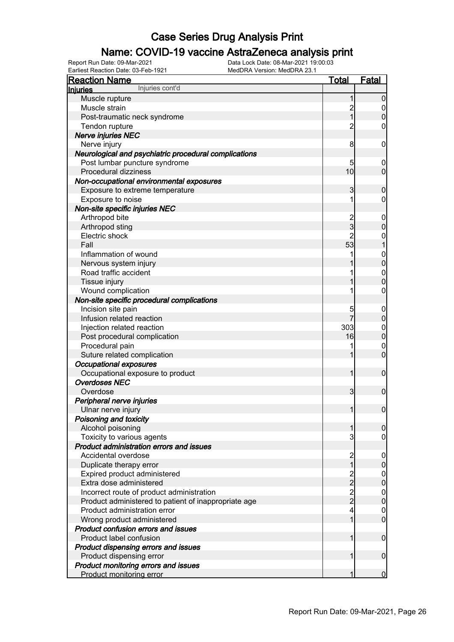### Name: COVID-19 vaccine AstraZeneca analysis print

Earliest Reaction Date: 03-Feb-1921 MedDRA Version: MedDRA 23.1

| <b>Reaction Name</b>                                  | <b>Total</b>            | <b>Fatal</b>                   |
|-------------------------------------------------------|-------------------------|--------------------------------|
| Injuries cont'd<br><b>Injuries</b>                    |                         |                                |
| Muscle rupture                                        | 1                       | $\boldsymbol{0}$               |
| Muscle strain                                         |                         | $\overline{0}$                 |
| Post-traumatic neck syndrome                          | 2<br>1                  | $\boldsymbol{0}$               |
| Tendon rupture                                        | $\overline{c}$          | $\mathbf 0$                    |
| Nerve injuries NEC                                    |                         |                                |
| Nerve injury                                          | 8                       | $\mathbf 0$                    |
| Neurological and psychiatric procedural complications |                         |                                |
| Post lumbar puncture syndrome                         | 5                       | $\boldsymbol{0}$               |
| Procedural dizziness                                  | 10                      | $\mathbf 0$                    |
| Non-occupational environmental exposures              |                         |                                |
| Exposure to extreme temperature                       | 3                       | $\mathbf 0$                    |
| Exposure to noise                                     | 1                       | 0                              |
| Non-site specific injuries NEC                        |                         |                                |
| Arthropod bite                                        |                         | $\boldsymbol{0}$               |
| Arthropod sting                                       | 2<br>3                  | $\mathbf 0$                    |
| Electric shock                                        | $\overline{c}$          | $\boldsymbol{0}$               |
| Fall                                                  | 53                      | $\mathbf{1}$                   |
| Inflammation of wound                                 |                         |                                |
| Nervous system injury                                 |                         | $0\atop 0$                     |
| Road traffic accident                                 |                         |                                |
|                                                       |                         | $\mathbf{0}$<br>$\overline{0}$ |
| Tissue injury                                         |                         |                                |
| Wound complication                                    |                         | $\boldsymbol{0}$               |
| Non-site specific procedural complications            |                         |                                |
| Incision site pain                                    | 5<br>$\overline{7}$     | $\boldsymbol{0}$               |
| Infusion related reaction                             |                         | $\pmb{0}$                      |
| Injection related reaction                            | 303                     | $\boldsymbol{0}$               |
| Post procedural complication                          | 16                      | $\mathbf 0$                    |
| Procedural pain                                       |                         | $\mathbf 0$                    |
| Suture related complication                           |                         | $\mathbf 0$                    |
| <b>Occupational exposures</b>                         |                         |                                |
| Occupational exposure to product                      | 1                       | $\mathbf 0$                    |
| <b>Overdoses NEC</b>                                  |                         |                                |
| Overdose                                              | $\overline{3}$          | $\boldsymbol{0}$               |
| Peripheral nerve injuries                             |                         |                                |
| Ulnar nerve injury                                    | $\mathbf{1}$            | $\boldsymbol{0}$               |
| Poisoning and toxicity                                |                         |                                |
| Alcohol poisoning                                     | $\mathbf{1}$            | $\boldsymbol{0}$               |
| Toxicity to various agents                            | 3                       | 0                              |
| Product administration errors and issues              |                         |                                |
| Accidental overdose                                   | $\frac{2}{1}$           | $\boldsymbol{0}$               |
| Duplicate therapy error                               |                         | $\pmb{0}$                      |
| Expired product administered                          |                         | $\overline{0}$                 |
| Extra dose administered                               | $\frac{2}{2}$<br>2<br>2 | $\mathbf 0$                    |
| Incorrect route of product administration             |                         | $\overline{0}$                 |
| Product administered to patient of inappropriate age  |                         | $\mathbf 0$                    |
| Product administration error                          | 4                       | $\mathbf 0$                    |
| Wrong product administered                            | 1                       | $\overline{0}$                 |
| Product confusion errors and issues                   |                         |                                |
| Product label confusion                               | 1                       | $\boldsymbol{0}$               |
| Product dispensing errors and issues                  |                         |                                |
| Product dispensing error                              | 1                       | $\mathbf 0$                    |
| Product monitoring errors and issues                  |                         |                                |
| Product monitoring error                              | 1                       | $\mathbf 0$                    |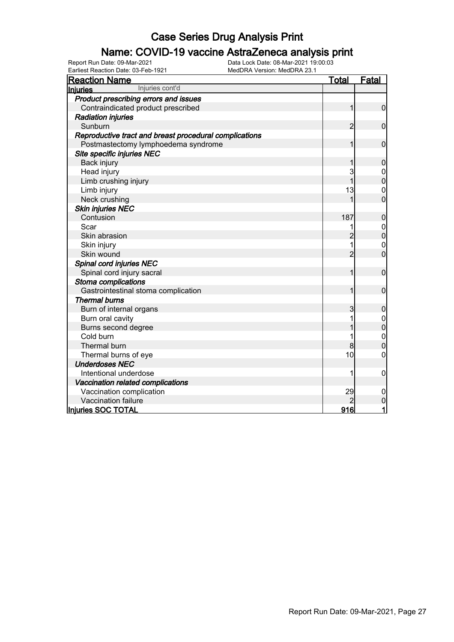### Name: COVID-19 vaccine AstraZeneca analysis print

Earliest Reaction Date: 03-Feb-1921 MedDRA Version: MedDRA 23.1

| <b>Reaction Name</b>                                   | <u>Total</u>   | <b>Fatal</b>     |
|--------------------------------------------------------|----------------|------------------|
| Injuries cont'd<br><b>Injuries</b>                     |                |                  |
| Product prescribing errors and issues                  |                |                  |
| Contraindicated product prescribed                     | 1              | $\mathbf 0$      |
| <b>Radiation injuries</b>                              |                |                  |
| Sunburn                                                | 2              | $\mathbf 0$      |
| Reproductive tract and breast procedural complications |                |                  |
| Postmastectomy lymphoedema syndrome                    |                | $\mathbf 0$      |
| Site specific injuries NEC                             |                |                  |
| Back injury                                            |                | 0                |
| Head injury                                            | 3              | $\mathbf 0$      |
| Limb crushing injury                                   | 1              | 0                |
| Limb injury                                            | 13             | $\mathbf{0}$     |
| Neck crushing                                          |                | $\overline{0}$   |
| <b>Skin injuries NEC</b>                               |                |                  |
| Contusion                                              | 187            | 0                |
| Scar                                                   |                | $\boldsymbol{0}$ |
| Skin abrasion                                          |                | $\boldsymbol{0}$ |
| Skin injury                                            | 1              | $\mathbf 0$      |
| Skin wound                                             | $\overline{2}$ | $\overline{0}$   |
| Spinal cord injuries NEC                               |                |                  |
| Spinal cord injury sacral                              | 1              | $\mathbf 0$      |
| <b>Stoma complications</b>                             |                |                  |
| Gastrointestinal stoma complication                    |                | $\mathbf 0$      |
| <b>Thermal burns</b>                                   |                |                  |
| Burn of internal organs                                | 3              | 0                |
| Burn oral cavity                                       |                | 0                |
| Burns second degree                                    |                | $\mathbf{0}$     |
| Cold burn                                              |                | $\mathbf{0}$     |
| Thermal burn                                           | 8              | 0                |
| Thermal burns of eye                                   | 10             | 0                |
| <b>Underdoses NEC</b>                                  |                |                  |
| Intentional underdose                                  | 1              | 0                |
| Vaccination related complications                      |                |                  |
| Vaccination complication                               | 29             | 0                |
| Vaccination failure                                    |                | 0                |
| Injuries SOC TOTAL                                     | 916            | 1                |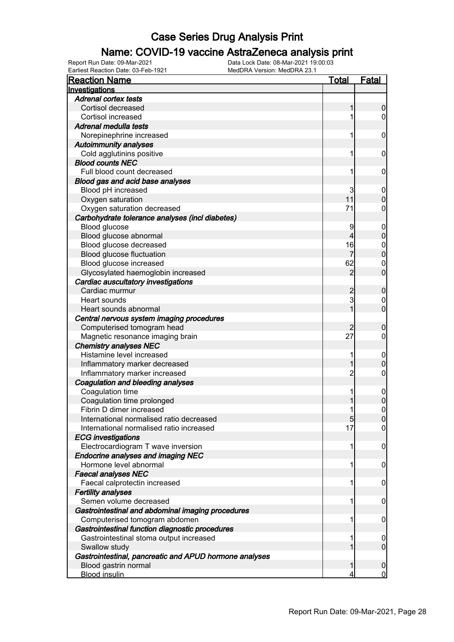### Name: COVID-19 vaccine AstraZeneca analysis print

| <b>Reaction Name</b>                                   | Total          | Fatal            |
|--------------------------------------------------------|----------------|------------------|
| Investigations                                         |                |                  |
| <b>Adrenal cortex tests</b>                            |                |                  |
| Cortisol decreased                                     |                | $\boldsymbol{0}$ |
| Cortisol increased                                     |                | 0                |
| Adrenal medulla tests                                  |                |                  |
| Norepinephrine increased                               |                | $\mathbf 0$      |
| <b>Autoimmunity analyses</b>                           |                |                  |
| Cold agglutinins positive                              | 1              | $\mathbf 0$      |
| <b>Blood counts NEC</b>                                |                |                  |
| Full blood count decreased                             | 1              | $\mathbf 0$      |
| Blood gas and acid base analyses                       |                |                  |
| Blood pH increased                                     | 3              | $\overline{0}$   |
| Oxygen saturation                                      | 11             | $\mathbf 0$      |
| Oxygen saturation decreased                            | 71             | 0                |
| Carbohydrate tolerance analyses (incl diabetes)        |                |                  |
| Blood glucose                                          | 9              | $\boldsymbol{0}$ |
| Blood glucose abnormal                                 | 4              | $\mathbf 0$      |
| Blood glucose decreased                                | 16             | $\mathbf{0}$     |
| Blood glucose fluctuation                              |                | $\mathbf 0$      |
| Blood glucose increased                                | 62             | $\mathbf 0$      |
| Glycosylated haemoglobin increased                     | $\overline{2}$ | $\overline{0}$   |
| Cardiac auscultatory investigations                    |                |                  |
| Cardiac murmur                                         | $\overline{c}$ | $\boldsymbol{0}$ |
| Heart sounds                                           | 3              | 0                |
| Heart sounds abnormal                                  |                | $\overline{0}$   |
| Central nervous system imaging procedures              |                |                  |
| Computerised tomogram head                             | 2              | $\mathbf 0$      |
| Magnetic resonance imaging brain                       | 27             | 0                |
| <b>Chemistry analyses NEC</b>                          |                |                  |
| Histamine level increased                              |                | $\boldsymbol{0}$ |
| Inflammatory marker decreased                          |                | $\mathbf 0$      |
| Inflammatory marker increased                          | 2              | 0                |
| Coagulation and bleeding analyses                      |                |                  |
| Coagulation time                                       |                | $\mathbf 0$      |
| Coagulation time prolonged                             |                | $\mathbf 0$      |
| Fibrin D dimer increased                               | 1              | 0                |
| International normalised ratio decreased               | 5 <sub>5</sub> | 0                |
| International normalised ratio increased               | 17             | $\overline{0}$   |
| <b>ECG</b> investigations                              |                |                  |
| Electrocardiogram T wave inversion                     | 1              | $\mathbf 0$      |
| <b>Endocrine analyses and imaging NEC</b>              |                |                  |
| Hormone level abnormal                                 | 1              | $\mathbf 0$      |
| <b>Faecal analyses NEC</b>                             |                |                  |
| Faecal calprotectin increased                          | 1              | $\mathbf 0$      |
| <b>Fertility analyses</b>                              |                |                  |
| Semen volume decreased                                 | 1              | $\mathbf 0$      |
| Gastrointestinal and abdominal imaging procedures      |                |                  |
| Computerised tomogram abdomen                          | 1              | $\mathbf 0$      |
| Gastrointestinal function diagnostic procedures        |                |                  |
| Gastrointestinal stoma output increased                |                | $\mathbf 0$      |
| Swallow study                                          |                | $\overline{0}$   |
| Gastrointestinal, pancreatic and APUD hormone analyses |                |                  |
| Blood gastrin normal                                   |                | $\boldsymbol{0}$ |
| <b>Blood insulin</b>                                   |                | $\overline{0}$   |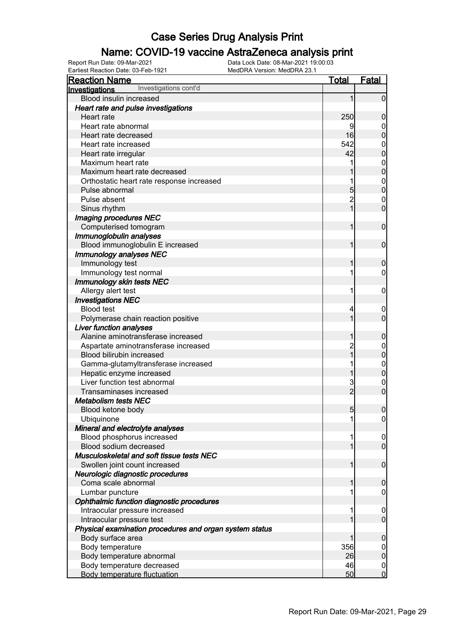### Name: COVID-19 vaccine AstraZeneca analysis print

Earliest Reaction Date: 03-Feb-1921 MedDRA Version: MedDRA 23.1

| <b>Reaction Name</b>                                    | Total           | <b>Fatal</b>     |
|---------------------------------------------------------|-----------------|------------------|
| Investigations cont'd<br>Investigations                 |                 |                  |
| Blood insulin increased                                 | 1               | $\mathbf 0$      |
| Heart rate and pulse investigations                     |                 |                  |
| Heart rate                                              | 250             | $\boldsymbol{0}$ |
| Heart rate abnormal                                     | 9               | $\boldsymbol{0}$ |
| Heart rate decreased                                    | 16              | $\overline{0}$   |
| Heart rate increased                                    | 542             | $\mathbf{0}$     |
| Heart rate irregular                                    | 42              | $\overline{0}$   |
| Maximum heart rate                                      | 1               | $\mathbf{0}$     |
| Maximum heart rate decreased                            |                 | $\overline{0}$   |
| Orthostatic heart rate response increased               | 1               | $\mathbf{0}$     |
| Pulse abnormal                                          | 5               | $\overline{0}$   |
| Pulse absent                                            | $\overline{2}$  | $\mathbf{0}$     |
| Sinus rhythm                                            | $\overline{1}$  | $\overline{0}$   |
| Imaging procedures NEC                                  |                 |                  |
| Computerised tomogram                                   | 1               | $\mathbf 0$      |
| Immunoglobulin analyses                                 |                 |                  |
| Blood immunoglobulin E increased                        | 1               | $\mathbf 0$      |
| <b>Immunology analyses NEC</b>                          |                 |                  |
| Immunology test                                         | 1               | $\mathbf 0$      |
| Immunology test normal                                  | 1               | 0                |
| <b>Immunology skin tests NEC</b>                        |                 |                  |
| Allergy alert test                                      | 1               | $\mathbf 0$      |
| <b>Investigations NEC</b>                               |                 |                  |
| <b>Blood test</b>                                       | 4               | $\mathbf{0}$     |
| Polymerase chain reaction positive                      | 1               | $\overline{0}$   |
| <b>Liver function analyses</b>                          |                 |                  |
| Alanine aminotransferase increased                      | 1               | $\boldsymbol{0}$ |
| Aspartate aminotransferase increased                    | $\overline{2}$  | $\mathbf{0}$     |
| Blood bilirubin increased                               | $\overline{1}$  | $\mathbf 0$      |
| Gamma-glutamyltransferase increased                     | 1               | $\mathbf{0}$     |
| Hepatic enzyme increased                                | 1               | $\mathbf 0$      |
| Liver function test abnormal                            | 3               | $\mathbf 0$      |
| Transaminases increased                                 | $\overline{2}$  | $\overline{0}$   |
| <b>Metabolism tests NEC</b>                             |                 |                  |
| Blood ketone body                                       | $5\overline{)}$ | $\boldsymbol{0}$ |
| Ubiquinone                                              | 11              | 0                |
| Mineral and electrolyte analyses                        |                 |                  |
| Blood phosphorus increased                              | 1               | $\overline{0}$   |
| Blood sodium decreased                                  | $\mathbf{1}$    | $\overline{0}$   |
| Musculoskeletal and soft tissue tests NEC               |                 |                  |
| Swollen joint count increased                           | 1               | $\mathbf 0$      |
| Neurologic diagnostic procedures                        |                 |                  |
| Coma scale abnormal                                     | 1               | $\mathbf 0$      |
| Lumbar puncture                                         | 1               | $\mathbf 0$      |
| Ophthalmic function diagnostic procedures               |                 |                  |
| Intraocular pressure increased                          | 1               | $\mathbf 0$      |
| Intraocular pressure test                               | 1               | $\overline{0}$   |
| Physical examination procedures and organ system status |                 |                  |
| Body surface area                                       | 1               | $\mathbf 0$      |
| Body temperature                                        | 356             | $\boldsymbol{0}$ |
| Body temperature abnormal                               | 26              | $\mathbf 0$      |
| Body temperature decreased                              | 46              | $\boldsymbol{0}$ |
| <b>Body temperature fluctuation</b>                     | 50              | $\overline{0}$   |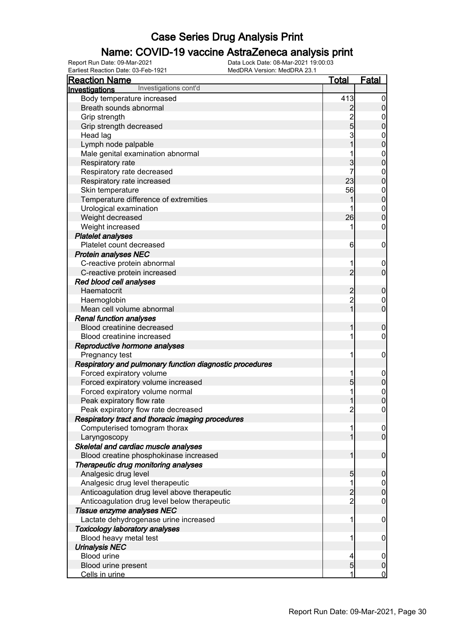### Name: COVID-19 vaccine AstraZeneca analysis print

| <u>Reaction Name</u>                                     | <u>Total</u>   | Fatal                              |
|----------------------------------------------------------|----------------|------------------------------------|
| Investigations cont'd<br>Investigations                  |                |                                    |
| Body temperature increased                               | 413            | $\boldsymbol{0}$                   |
| Breath sounds abnormal                                   | $\overline{2}$ | $\overline{0}$                     |
| Grip strength                                            |                |                                    |
| Grip strength decreased                                  | $\frac{2}{5}$  | $\overline{0}$                     |
| Head lag                                                 | 3              | $\mathbf{0}$                       |
| Lymph node palpable                                      | $\overline{1}$ | $\overline{0}$                     |
| Male genital examination abnormal                        |                | $\boldsymbol{0}$                   |
| Respiratory rate                                         | 3              | $\mathbf 0$                        |
| Respiratory rate decreased                               | 7              | $\mathbf 0$                        |
| Respiratory rate increased                               | 23             | $\mathbf 0$                        |
| Skin temperature                                         | 56             | $\boldsymbol{0}$                   |
| Temperature difference of extremities                    |                | $\overline{0}$                     |
| Urological examination                                   |                |                                    |
| Weight decreased                                         | 26             | $\boldsymbol{0}$<br>$\overline{0}$ |
| Weight increased                                         |                | 0                                  |
|                                                          |                |                                    |
| <b>Platelet analyses</b><br>Platelet count decreased     |                |                                    |
|                                                          | 6              | $\mathbf 0$                        |
| <b>Protein analyses NEC</b>                              |                |                                    |
| C-reactive protein abnormal                              |                | $\overline{0}$                     |
| C-reactive protein increased                             | $\overline{2}$ | $\overline{0}$                     |
| Red blood cell analyses                                  |                |                                    |
| Haematocrit                                              | $\overline{c}$ | $\mathbf 0$                        |
| Haemoglobin                                              | $\overline{c}$ | $\mathbf 0$                        |
| Mean cell volume abnormal                                | $\overline{1}$ | $\overline{0}$                     |
| <b>Renal function analyses</b>                           |                |                                    |
| Blood creatinine decreased                               |                | $\mathbf 0$                        |
| Blood creatinine increased                               |                | 0                                  |
| Reproductive hormone analyses                            |                |                                    |
| Pregnancy test                                           |                | $\mathbf 0$                        |
| Respiratory and pulmonary function diagnostic procedures |                |                                    |
| Forced expiratory volume                                 |                |                                    |
| Forced expiratory volume increased                       | $\overline{5}$ | $\boldsymbol{0}$                   |
| Forced expiratory volume normal                          |                | $\mathbf{0}$                       |
| Peak expiratory flow rate                                |                | $\overline{0}$                     |
| Peak expiratory flow rate decreased                      | $\overline{2}$ | $\mathbf 0$                        |
| Respiratory tract and thoracic imaging procedures        |                |                                    |
| Computerised tomogram thorax                             |                | $\overline{0}$                     |
| Laryngoscopy                                             |                | $\overline{0}$                     |
| Skeletal and cardiac muscle analyses                     |                |                                    |
| Blood creatine phosphokinase increased                   |                | $\mathbf 0$                        |
| Therapeutic drug monitoring analyses                     |                |                                    |
| Analgesic drug level                                     | 5              | $\mathbf 0$                        |
| Analgesic drug level therapeutic                         |                | $\mathbf 0$                        |
| Anticoagulation drug level above therapeutic             | $\overline{2}$ | $\overline{0}$                     |
| Anticoagulation drug level below therapeutic             | $\overline{2}$ | 0                                  |
| Tissue enzyme analyses NEC                               |                |                                    |
| Lactate dehydrogenase urine increased                    | 1              | $\mathbf 0$                        |
| <b>Toxicology laboratory analyses</b>                    |                |                                    |
| Blood heavy metal test                                   |                | $\mathbf 0$                        |
| <b>Urinalysis NEC</b>                                    |                |                                    |
| Blood urine                                              |                | $\mathbf 0$                        |
| Blood urine present                                      | 5              | $\pmb{0}$                          |
| Cells in urine                                           |                | $\mathbf 0$                        |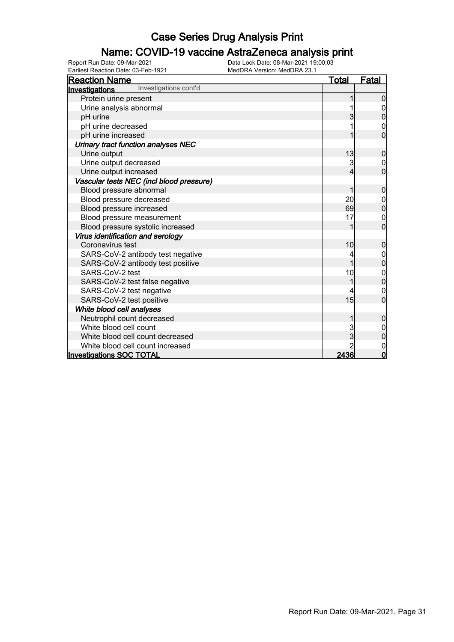### Name: COVID-19 vaccine AstraZeneca analysis print

| <b>Reaction Name</b>                     | <b>Total</b> | <b>Fatal</b>   |
|------------------------------------------|--------------|----------------|
| Investigations cont'd<br>Investigations  |              |                |
| Protein urine present                    |              | 0              |
| Urine analysis abnormal                  |              |                |
| pH urine                                 |              | 0              |
| pH urine decreased                       |              |                |
| pH urine increased                       |              | 0              |
| Urinary tract function analyses NEC      |              |                |
| Urine output                             | 13           | $\mathbf 0$    |
| Urine output decreased                   | 3            | 0              |
| Urine output increased                   | 4            | $\mathbf 0$    |
| Vascular tests NEC (incl blood pressure) |              |                |
| Blood pressure abnormal                  | 1            | $\mathbf 0$    |
| Blood pressure decreased                 | 20           | 0              |
| Blood pressure increased                 | 69           | 0              |
| Blood pressure measurement               | 17           | 0              |
| Blood pressure systolic increased        |              | $\overline{0}$ |
| Virus identification and serology        |              |                |
| Coronavirus test                         | 10           | $\mathbf 0$    |
| SARS-CoV-2 antibody test negative        |              |                |
| SARS-CoV-2 antibody test positive        | 1            | $\overline{0}$ |
| SARS-CoV-2 test                          | 10           | 0              |
| SARS-CoV-2 test false negative           |              | 0              |
| SARS-CoV-2 test negative                 |              | 0              |
| SARS-CoV-2 test positive                 | 15           | $\overline{0}$ |
| White blood cell analyses                |              |                |
| Neutrophil count decreased               |              | $\mathbf 0$    |
| White blood cell count                   | 3            |                |
| White blood cell count decreased         | 3            | $\mathbf 0$    |
| White blood cell count increased         |              | 0              |
| <b>Investigations SOC TOTAL</b>          | 2436         | 0              |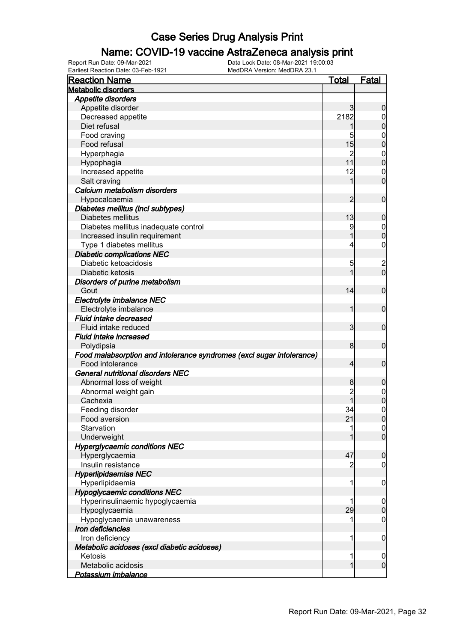### Name: COVID-19 vaccine AstraZeneca analysis print

| <b>Reaction Name</b>                                                  | <u>Total</u>   | <b>Fatal</b>     |
|-----------------------------------------------------------------------|----------------|------------------|
| <b>Metabolic disorders</b>                                            |                |                  |
| <b>Appetite disorders</b>                                             |                |                  |
| Appetite disorder                                                     | 3              | $\boldsymbol{0}$ |
| Decreased appetite                                                    | 2182           | $\boldsymbol{0}$ |
| Diet refusal                                                          | 1              | $\mathbf 0$      |
| Food craving                                                          | 5              | $\mathbf 0$      |
| Food refusal                                                          | 15             | $\mathbf 0$      |
| Hyperphagia                                                           | 2              | $\mathbf 0$      |
| Hypophagia                                                            | 11             | $\mathbf 0$      |
| Increased appetite                                                    | 12             | $\mathbf 0$      |
| Salt craving                                                          | 1              | $\mathbf 0$      |
| Calcium metabolism disorders                                          |                |                  |
| Hypocalcaemia                                                         | 2              | $\mathbf 0$      |
| Diabetes mellitus (incl subtypes)                                     |                |                  |
| Diabetes mellitus                                                     | 13             | $\boldsymbol{0}$ |
| Diabetes mellitus inadequate control                                  | 9              | $\mathbf 0$      |
| Increased insulin requirement                                         |                | $\mathbf 0$      |
| Type 1 diabetes mellitus                                              | 4              | $\mathbf 0$      |
| <b>Diabetic complications NEC</b>                                     |                |                  |
| Diabetic ketoacidosis                                                 | 5              |                  |
| Diabetic ketosis                                                      | 1              | $\frac{2}{0}$    |
| Disorders of purine metabolism                                        |                |                  |
| Gout                                                                  | 14             | $\mathbf 0$      |
| Electrolyte imbalance NEC                                             |                |                  |
| Electrolyte imbalance                                                 | 1              | $\mathbf 0$      |
| Fluid intake decreased                                                |                |                  |
| Fluid intake reduced                                                  | $\mathbf{3}$   | $\mathbf 0$      |
| Fluid intake increased                                                |                |                  |
| Polydipsia                                                            | 8              | $\mathbf 0$      |
| Food malabsorption and intolerance syndromes (excl sugar intolerance) |                |                  |
| Food intolerance                                                      | $\overline{4}$ | $\mathbf 0$      |
| <b>General nutritional disorders NEC</b>                              |                |                  |
| Abnormal loss of weight                                               | 8              | $\boldsymbol{0}$ |
| Abnormal weight gain                                                  | 2              | $\boldsymbol{0}$ |
| Cachexia                                                              |                | $\overline{0}$   |
| Feeding disorder                                                      | 34             | $\boldsymbol{0}$ |
| Food aversion                                                         | 21             | $\overline{0}$   |
| Starvation                                                            | 1              | $\overline{0}$   |
| Underweight                                                           |                | $\overline{0}$   |
|                                                                       |                |                  |
| <b>Hyperglycaemic conditions NEC</b>                                  |                |                  |
| Hyperglycaemia<br>Insulin resistance                                  | 47             | $\boldsymbol{0}$ |
|                                                                       |                | 0                |
| <b>Hyperlipidaemias NEC</b>                                           |                |                  |
| Hyperlipidaemia                                                       | 1              | $\mathbf 0$      |
| <b>Hypoglycaemic conditions NEC</b>                                   |                |                  |
| Hyperinsulinaemic hypoglycaemia                                       |                | $\boldsymbol{0}$ |
| Hypoglycaemia                                                         | 29             | $\pmb{0}$        |
| Hypoglycaemia unawareness                                             | 1              | $\boldsymbol{0}$ |
| Iron deficiencies                                                     |                |                  |
| Iron deficiency                                                       | 1              | $\mathbf 0$      |
| Metabolic acidoses (excl diabetic acidoses)                           |                |                  |
| Ketosis                                                               | 1              | $\overline{0}$   |
| Metabolic acidosis                                                    | 1              | $\mathbf 0$      |
| Potassium imbalance                                                   |                |                  |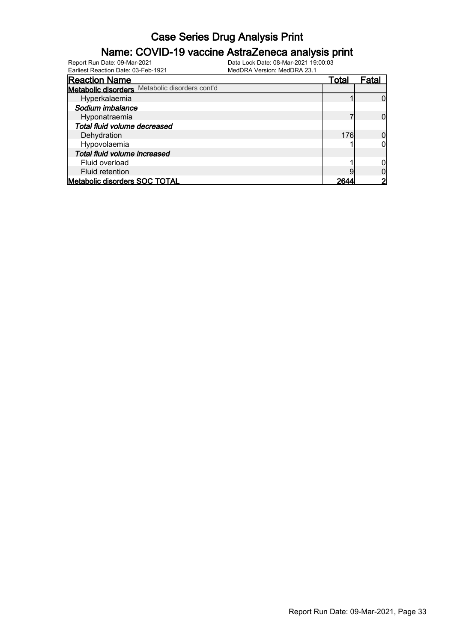### Name: COVID-19 vaccine AstraZeneca analysis print

Earliest Reaction Date: 03-Feb-1921 MedDRA Version: MedDRA 23.1

| <b>Reaction Name</b>                           | Total | Fatal |
|------------------------------------------------|-------|-------|
| Metabolic disorders Metabolic disorders cont'd |       |       |
| Hyperkalaemia                                  |       |       |
| Sodium imbalance                               |       |       |
| Hyponatraemia                                  |       |       |
| Total fluid volume decreased                   |       |       |
| Dehydration                                    | 176   |       |
| Hypovolaemia                                   |       |       |
| Total fluid volume increased                   |       |       |
| Fluid overload                                 |       |       |
| Fluid retention                                |       |       |
| <b>Metabolic disorders SOC TOTAL</b>           | 264   |       |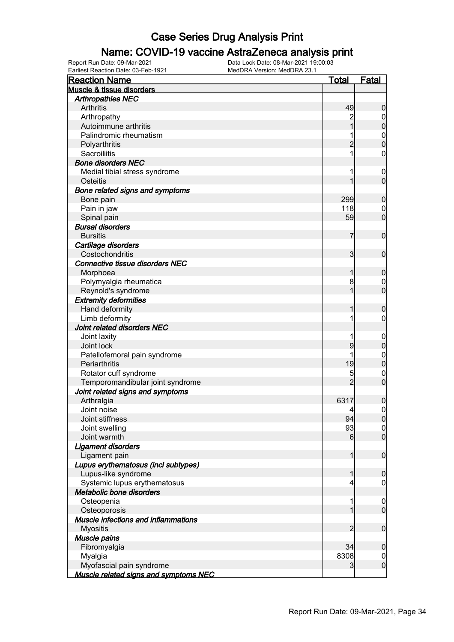#### Name: COVID-19 vaccine AstraZeneca analysis print

| <b>Reaction Name</b>                         | <b>Total</b>    | <b>Fatal</b>     |
|----------------------------------------------|-----------------|------------------|
| Muscle & tissue disorders                    |                 |                  |
| <b>Arthropathies NEC</b>                     |                 |                  |
| Arthritis                                    | 49              | $\boldsymbol{0}$ |
| Arthropathy                                  |                 | $\overline{0}$   |
| Autoimmune arthritis                         |                 | $\pmb{0}$        |
| Palindromic rheumatism                       |                 |                  |
| Polyarthritis                                | $\overline{2}$  | $0\atop 0$       |
| Sacroiliitis                                 |                 | $\mathbf 0$      |
| <b>Bone disorders NEC</b>                    |                 |                  |
| Medial tibial stress syndrome                |                 | $\boldsymbol{0}$ |
| Osteitis                                     | 1               | $\mathbf 0$      |
| Bone related signs and symptoms              |                 |                  |
| Bone pain                                    | 299             | $\boldsymbol{0}$ |
| Pain in jaw                                  | 118             | $\mathbf 0$      |
| Spinal pain                                  | 59              | $\mathbf 0$      |
| <b>Bursal disorders</b>                      |                 |                  |
| <b>Bursitis</b>                              | 7               |                  |
|                                              |                 | $\mathbf 0$      |
| Cartilage disorders                          |                 |                  |
| Costochondritis                              | $\mathbf{3}$    | $\mathbf 0$      |
| <b>Connective tissue disorders NEC</b>       |                 |                  |
| Morphoea                                     | 1               | $\boldsymbol{0}$ |
| Polymyalgia rheumatica                       | 8               | $\boldsymbol{0}$ |
| Reynold's syndrome                           | 1               | $\mathbf 0$      |
| <b>Extremity deformities</b>                 |                 |                  |
| Hand deformity                               | 1               | $\boldsymbol{0}$ |
| Limb deformity                               |                 | $\mathbf 0$      |
| Joint related disorders NEC                  |                 |                  |
| Joint laxity                                 |                 | $\mathbf 0$      |
| Joint lock                                   | 9               | $\mathbf 0$      |
| Patellofemoral pain syndrome                 |                 | $\mathbf{0}$     |
| Periarthritis                                | 19              | $\mathbf 0$      |
| Rotator cuff syndrome                        | 5               | $\mathbf 0$      |
| Temporomandibular joint syndrome             | $\overline{2}$  | $\mathbf 0$      |
| Joint related signs and symptoms             |                 |                  |
| Arthralgia                                   | 6317            | $\mathbf 0$      |
| Joint noise                                  | $\vert 4 \vert$ | $\boldsymbol{0}$ |
| Joint stiffness                              | 94              | 0                |
| Joint swelling                               | 93              | $\overline{0}$   |
| Joint warmth                                 | $6 \mid$        | $\overline{0}$   |
| Ligament disorders                           |                 |                  |
| Ligament pain                                | 1               | $\boldsymbol{0}$ |
| Lupus erythematosus (incl subtypes)          |                 |                  |
| Lupus-like syndrome                          | 1               | $\boldsymbol{0}$ |
| Systemic lupus erythematosus                 | 4               | $\boldsymbol{0}$ |
| Metabolic bone disorders                     |                 |                  |
| Osteopenia                                   | 1               | $\mathbf 0$      |
| Osteoporosis                                 | 1               | $\overline{0}$   |
| Muscle infections and inflammations          |                 |                  |
| <b>Myositis</b>                              | $\overline{c}$  | $\boldsymbol{0}$ |
| Muscle pains                                 |                 |                  |
| Fibromyalgia                                 | 34              | $\boldsymbol{0}$ |
| Myalgia                                      | 8308            | $\mathbf 0$      |
| Myofascial pain syndrome                     | 3               | $\mathbf 0$      |
| <b>Muscle related signs and symptoms NEC</b> |                 |                  |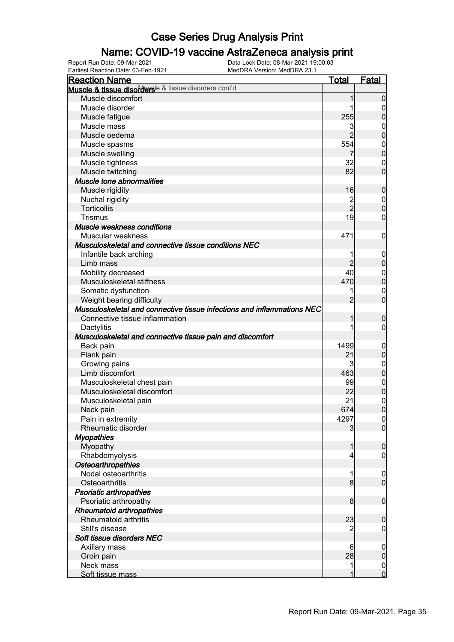### Name: COVID-19 vaccine AstraZeneca analysis print

| <b>Reaction Name</b>                                                   | <u>Total</u>        | <b>Fatal</b>                         |
|------------------------------------------------------------------------|---------------------|--------------------------------------|
| Muscle & tissue disordersle & tissue disorders cont'd                  |                     |                                      |
| Muscle discomfort                                                      | 1                   | $\overline{0}$                       |
| Muscle disorder                                                        | 1                   | 0                                    |
| Muscle fatigue                                                         | 255                 | $\mathbf 0$                          |
| Muscle mass                                                            | 3                   | $\mathbf 0$                          |
| Muscle oedema                                                          | $\overline{2}$      | $\mathbf 0$                          |
| Muscle spasms                                                          | 554                 |                                      |
| Muscle swelling                                                        |                     | $\begin{matrix}0\\0\end{matrix}$     |
| Muscle tightness                                                       | 32                  | $\mathbf 0$                          |
| Muscle twitching                                                       | 82                  | $\overline{0}$                       |
| Muscle tone abnormalities                                              |                     |                                      |
| Muscle rigidity                                                        | 16                  | $\mathbf 0$                          |
| Nuchal rigidity                                                        | $\overline{c}$      |                                      |
| Torticollis                                                            | $\overline{2}$      | $\begin{matrix}0\\0\end{matrix}$     |
| <b>Trismus</b>                                                         | 19                  | $\mathbf 0$                          |
| Muscle weakness conditions                                             |                     |                                      |
| Muscular weakness                                                      | 471                 | $\mathbf 0$                          |
| Musculoskeletal and connective tissue conditions NEC                   |                     |                                      |
|                                                                        |                     |                                      |
| Infantile back arching                                                 | 1<br>$\overline{2}$ | $\mathbf 0$<br>$\mathbf 0$           |
| Limb mass                                                              | 40                  |                                      |
| Mobility decreased                                                     |                     | $\mathbf{0}$                         |
| Musculoskeletal stiffness                                              | 470                 | $\overline{0}$                       |
| Somatic dysfunction                                                    |                     | $\mathbf 0$                          |
| Weight bearing difficulty                                              | $\overline{2}$      | $\overline{0}$                       |
| Musculoskeletal and connective tissue infections and inflammations NEC |                     |                                      |
| Connective tissue inflammation                                         | 1                   | $\mathbf 0$                          |
| Dactylitis                                                             | 1                   | $\mathbf 0$                          |
| Musculoskeletal and connective tissue pain and discomfort              |                     |                                      |
| Back pain                                                              | 1499                | $\mathbf 0$                          |
| Flank pain                                                             | 21                  | $\mathbf 0$                          |
| Growing pains                                                          | 3                   | $\mathbf{0}$                         |
| Limb discomfort                                                        | 463                 | $\overline{0}$                       |
| Musculoskeletal chest pain                                             | 99                  | $\begin{matrix} 0 \\ 0 \end{matrix}$ |
| Musculoskeletal discomfort                                             | 22                  |                                      |
| Musculoskeletal pain                                                   | 21                  | $\begin{matrix}0\\0\end{matrix}$     |
| Neck pain                                                              | 674                 |                                      |
| Pain in extremity                                                      | 4297                | 0                                    |
| Rheumatic disorder                                                     | 3                   | $\overline{0}$                       |
| <b>Myopathies</b>                                                      |                     |                                      |
| Myopathy                                                               | 1                   | $\boldsymbol{0}$                     |
| Rhabdomyolysis                                                         | 4                   | $\mathbf 0$                          |
| <b>Osteoarthropathies</b>                                              |                     |                                      |
| Nodal osteoarthritis                                                   | 1                   | $\mathbf 0$                          |
| Osteoarthritis                                                         | 8 <sup>1</sup>      | $\overline{0}$                       |
| <b>Psoriatic arthropathies</b>                                         |                     |                                      |
| Psoriatic arthropathy                                                  | 8                   | $\boldsymbol{0}$                     |
| Rheumatoid arthropathies                                               |                     |                                      |
| Rheumatoid arthritis                                                   | 23                  | $\mathbf 0$                          |
| Still's disease                                                        | 2                   | $\boldsymbol{0}$                     |
| Soft tissue disorders NEC                                              |                     |                                      |
| Axillary mass                                                          | 6                   | $\mathbf 0$                          |
| Groin pain                                                             | 28                  | $\mathbf 0$                          |
| Neck mass                                                              | 1                   | $\boldsymbol{0}$                     |
| Soft tissue mass                                                       | 1                   | $\overline{0}$                       |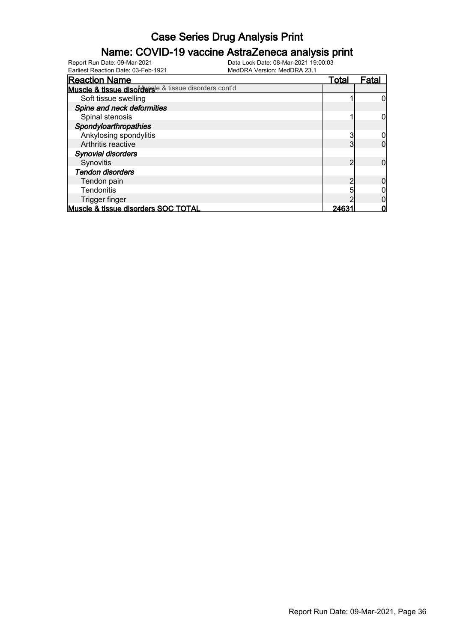### Name: COVID-19 vaccine AstraZeneca analysis print

| <b>Reaction Name</b>                                  | <u>Total</u> | Fatal |
|-------------------------------------------------------|--------------|-------|
| Muscle & tissue disordersle & tissue disorders cont'd |              |       |
| Soft tissue swelling                                  |              |       |
| Spine and neck deformities                            |              |       |
| Spinal stenosis                                       |              |       |
| Spondyloarthropathies                                 |              |       |
| Ankylosing spondylitis                                | 3            |       |
| Arthritis reactive                                    | 3            |       |
| <b>Synovial disorders</b>                             |              |       |
| Synovitis                                             | ŋ            |       |
| <b>Tendon disorders</b>                               |              |       |
| Tendon pain                                           |              |       |
| <b>Tendonitis</b>                                     |              |       |
| Trigger finger                                        |              |       |
| Muscle & tissue disorders SOC TOTAL                   | 2463         |       |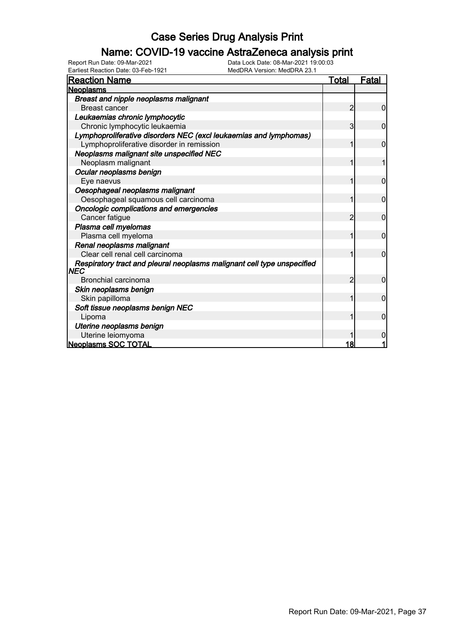### Name: COVID-19 vaccine AstraZeneca analysis print

Earliest Reaction Date: 03-Feb-1921 MedDRA Version: MedDRA 23.1

| <b>Reaction Name</b>                                                            | <u>Total</u>   | Fatal          |
|---------------------------------------------------------------------------------|----------------|----------------|
| <b>Neoplasms</b>                                                                |                |                |
| Breast and nipple neoplasms malignant                                           |                |                |
| <b>Breast cancer</b>                                                            | 2              | 0              |
| Leukaemias chronic lymphocytic                                                  |                |                |
| Chronic lymphocytic leukaemia                                                   | 3              | 0              |
| Lymphoproliferative disorders NEC (excl leukaemias and lymphomas)               |                |                |
| Lymphoproliferative disorder in remission                                       |                | $\Omega$       |
| Neoplasms malignant site unspecified NEC                                        |                |                |
| Neoplasm malignant                                                              |                |                |
| Ocular neoplasms benign                                                         |                |                |
| Eye naevus                                                                      |                | $\overline{0}$ |
| Oesophageal neoplasms malignant                                                 |                |                |
| Oesophageal squamous cell carcinoma                                             |                | 0              |
| Oncologic complications and emergencies                                         |                |                |
| Cancer fatigue                                                                  | $\overline{2}$ | $\overline{0}$ |
| Plasma cell myelomas                                                            |                |                |
| Plasma cell myeloma                                                             |                | $\mathbf 0$    |
| Renal neoplasms malignant                                                       |                |                |
| Clear cell renal cell carcinoma                                                 | 1              | $\overline{0}$ |
| Respiratory tract and pleural neoplasms malignant cell type unspecified<br> NEC |                |                |
| <b>Bronchial carcinoma</b>                                                      | $\overline{2}$ | $\mathbf 0$    |
| Skin neoplasms benign                                                           |                |                |
| Skin papilloma                                                                  | 1              | $\overline{0}$ |
| Soft tissue neoplasms benign NEC                                                |                |                |
| Lipoma                                                                          |                | $\mathbf{0}$   |
| Uterine neoplasms benign                                                        |                |                |
| Uterine leiomyoma                                                               |                | 0              |
| <b>Neoplasms SOC TOTAL</b>                                                      | 18             |                |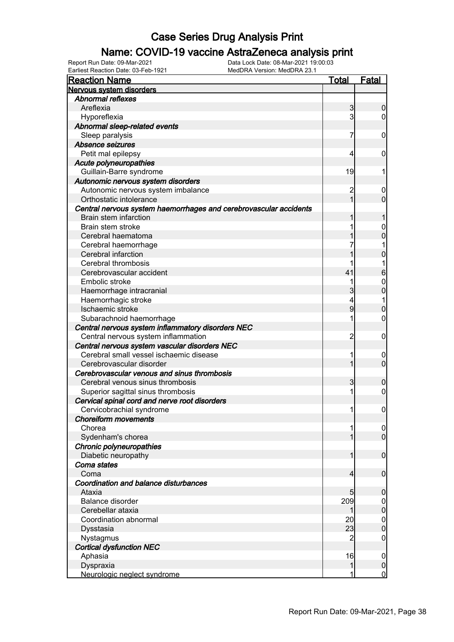### Name: COVID-19 vaccine AstraZeneca analysis print

Earliest Reaction Date: 03-Feb-1921 MedDRA Version: MedDRA 23.1

| <b>Reaction Name</b>                                              | Total          | <b>Fatal</b>     |
|-------------------------------------------------------------------|----------------|------------------|
| Nervous system disorders                                          |                |                  |
| Abnormal reflexes                                                 |                |                  |
| Areflexia                                                         | 3              | 0                |
| Hyporeflexia                                                      | 3              | 0                |
| Abnormal sleep-related events                                     |                |                  |
| Sleep paralysis                                                   | 7              | 0                |
| Absence seizures                                                  |                |                  |
| Petit mal epilepsy                                                | 4              | 0                |
| Acute polyneuropathies                                            |                |                  |
| Guillain-Barre syndrome                                           | 19             | 1                |
| Autonomic nervous system disorders                                |                |                  |
| Autonomic nervous system imbalance                                | $\overline{c}$ | 0                |
| Orthostatic intolerance                                           |                | 0                |
| Central nervous system haemorrhages and cerebrovascular accidents |                |                  |
| Brain stem infarction                                             |                |                  |
| Brain stem stroke                                                 |                | 0                |
| Cerebral haematoma                                                |                | 0                |
| Cerebral haemorrhage                                              |                |                  |
| Cerebral infarction                                               |                | 0                |
| Cerebral thrombosis<br>Cerebrovascular accident                   | 41             |                  |
| Embolic stroke                                                    |                | 6                |
|                                                                   |                | 0<br>0           |
| Haemorrhage intracranial<br>Haemorrhagic stroke                   | 4              |                  |
| Ischaemic stroke                                                  | 9              | 0                |
| Subarachnoid haemorrhage                                          |                | 0                |
| Central nervous system inflammatory disorders NEC                 |                |                  |
| Central nervous system inflammation                               | 2              | 0                |
| Central nervous system vascular disorders NEC                     |                |                  |
| Cerebral small vessel ischaemic disease                           | 1              | 0                |
| Cerebrovascular disorder                                          |                | 0                |
| Cerebrovascular venous and sinus thrombosis                       |                |                  |
| Cerebral venous sinus thrombosis                                  | 3              | 0                |
| Superior sagittal sinus thrombosis                                | 1              | 0                |
| Cervical spinal cord and nerve root disorders                     |                |                  |
| Cervicobrachial syndrome                                          | 1              | $\mathbf 0$      |
| Choreiform movements                                              |                |                  |
| Chorea                                                            |                | $\overline{0}$   |
| Sydenham's chorea                                                 |                | $\overline{0}$   |
| Chronic polyneuropathies                                          |                |                  |
| Diabetic neuropathy                                               |                | $\mathbf 0$      |
| Coma states                                                       |                |                  |
| Coma                                                              | 4              | $\mathbf 0$      |
| Coordination and balance disturbances                             |                |                  |
| Ataxia                                                            | 5              | 0                |
| Balance disorder                                                  | 209            | 0                |
| Cerebellar ataxia                                                 |                | 0                |
| Coordination abnormal                                             | 20             | $\mathbf 0$<br>0 |
| Dysstasia                                                         | 23<br>2        | 0                |
| Nystagmus<br><b>Cortical dysfunction NEC</b>                      |                |                  |
| Aphasia                                                           | 16             | $\boldsymbol{0}$ |
| Dyspraxia                                                         | 1              | 0                |
| Neurologic neglect syndrome                                       |                | 0                |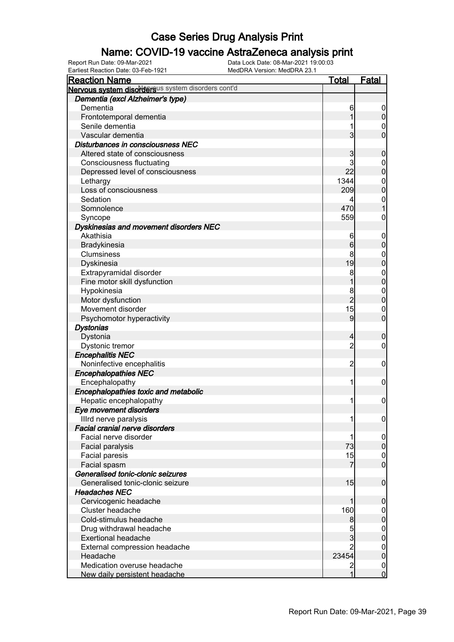### Name: COVID-19 vaccine AstraZeneca analysis print

Earliest Reaction Date: 03-Feb-1921 MedDRA Version: MedDRA 23.1

| <b>Reaction Name</b>                               | <u>Total</u>   | <b>Fatal</b>     |
|----------------------------------------------------|----------------|------------------|
| Nervous system disordersus system disorders cont'd |                |                  |
| Dementia (excl Alzheimer's type)                   |                |                  |
| Dementia                                           | 6              | 0                |
| Frontotemporal dementia                            | 1              | $\mathbf 0$      |
| Senile dementia                                    |                | $\mathbf 0$      |
| Vascular dementia                                  | 3              | $\overline{0}$   |
| Disturbances in consciousness NEC                  |                |                  |
| Altered state of consciousness                     | 3              | $\mathbf 0$      |
| <b>Consciousness fluctuating</b>                   | 3              | $\boldsymbol{0}$ |
| Depressed level of consciousness                   | 22             | $\overline{0}$   |
| Lethargy                                           | 1344           | $\mathbf{0}$     |
| Loss of consciousness                              | 209            | $\overline{0}$   |
| Sedation                                           | 4              | $\mathbf{0}$     |
| Somnolence                                         | 470            | $\mathbf{1}$     |
| Syncope                                            | 559            | $\mathbf 0$      |
| Dyskinesias and movement disorders NEC             |                |                  |
| Akathisia                                          | 6              | $\mathbf 0$      |
| Bradykinesia                                       | 6              | $\boldsymbol{0}$ |
| Clumsiness                                         | 8              | $\mathbf 0$      |
| Dyskinesia                                         | 19             | $\overline{0}$   |
| Extrapyramidal disorder                            | 8              | $\mathbf{0}$     |
| Fine motor skill dysfunction                       | 1              | $\overline{0}$   |
| Hypokinesia                                        | 8              | $\mathbf{0}$     |
| Motor dysfunction                                  | $\overline{2}$ | $\overline{0}$   |
| Movement disorder                                  | 15             | $\mathbf 0$      |
| Psychomotor hyperactivity                          | 9              | $\overline{0}$   |
| <b>Dystonias</b>                                   |                |                  |
| Dystonia                                           | $\overline{4}$ | $\mathbf 0$      |
| Dystonic tremor                                    | $\overline{2}$ | $\mathbf 0$      |
| <b>Encephalitis NEC</b>                            |                |                  |
| Noninfective encephalitis                          | $\overline{2}$ | $\mathbf 0$      |
| <b>Encephalopathies NEC</b>                        |                |                  |
| Encephalopathy                                     | 1              | $\mathbf 0$      |
| Encephalopathies toxic and metabolic               |                |                  |
| Hepatic encephalopathy                             | 1              | $\mathbf 0$      |
| <b>Eye movement disorders</b>                      |                |                  |
| Illrd nerve paralysis                              | 11             | 0                |
| Facial cranial nerve disorders                     |                |                  |
| Facial nerve disorder                              | 1              | $\overline{0}$   |
| Facial paralysis                                   | 73             | $\mathbf 0$      |
| <b>Facial paresis</b>                              | 15             | $\overline{0}$   |
| Facial spasm                                       | 7              | $\overline{0}$   |
| Generalised tonic-clonic seizures                  |                |                  |
| Generalised tonic-clonic seizure                   | 15             | $\boldsymbol{0}$ |
| <b>Headaches NEC</b>                               |                |                  |
| Cervicogenic headache                              | 1              | $\mathbf 0$      |
| Cluster headache                                   | 160            | $\mathbf 0$      |
| Cold-stimulus headache                             | 8              | $\boldsymbol{0}$ |
| Drug withdrawal headache                           | 5              | $\mathbf 0$      |
| <b>Exertional headache</b>                         | $\overline{3}$ | $\boldsymbol{0}$ |
| External compression headache                      | $\overline{2}$ | $\mathbf 0$      |
| Headache                                           | 23454          | $\mathbf 0$      |
| Medication overuse headache                        | $\overline{2}$ | $\overline{0}$   |
| New daily persistent headache                      | 1              | $\overline{0}$   |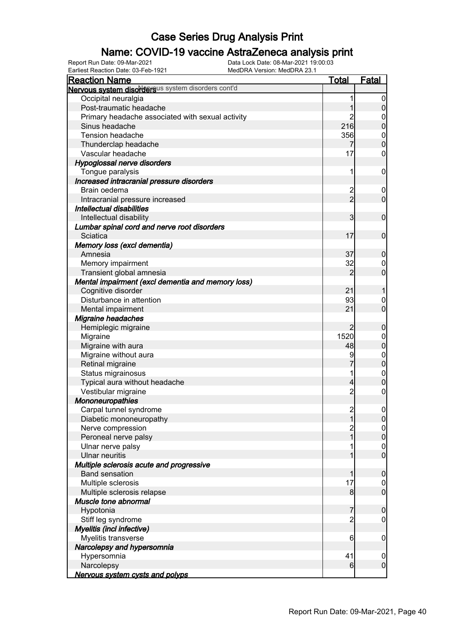### Name: COVID-19 vaccine AstraZeneca analysis print

| <b>Reaction Name</b>                               | <u>Total</u>            | Fatal                         |
|----------------------------------------------------|-------------------------|-------------------------------|
| Nervous system disordersus system disorders cont'd |                         |                               |
| Occipital neuralgia                                |                         | $\overline{0}$                |
| Post-traumatic headache                            |                         | $\overline{0}$                |
| Primary headache associated with sexual activity   | $\overline{c}$          | $\boldsymbol{0}$              |
| Sinus headache                                     | 216                     | $\mathbf 0$                   |
| Tension headache                                   | 356                     | $\boldsymbol{0}$              |
| Thunderclap headache                               | 7                       | $\mathbf 0$                   |
| Vascular headache                                  | 17                      | $\mathbf 0$                   |
| Hypoglossal nerve disorders                        |                         |                               |
| Tongue paralysis                                   | 1                       | $\mathbf 0$                   |
| Increased intracranial pressure disorders          |                         |                               |
| Brain oedema                                       | $\overline{\mathbf{c}}$ | $\mathbf 0$                   |
| Intracranial pressure increased                    | $\overline{2}$          | $\overline{0}$                |
| Intellectual disabilities                          |                         |                               |
| Intellectual disability                            | 3                       | $\mathbf 0$                   |
| Lumbar spinal cord and nerve root disorders        |                         |                               |
| Sciatica                                           | 17                      | $\mathbf 0$                   |
| Memory loss (excl dementia)                        |                         |                               |
|                                                    | 37                      |                               |
| Amnesia                                            |                         | $\mathbf 0$                   |
| Memory impairment                                  | 32<br>$\overline{2}$    | $\mathbf 0$<br>$\overline{0}$ |
| Transient global amnesia                           |                         |                               |
| Mental impairment (excl dementia and memory loss)  |                         |                               |
| Cognitive disorder                                 | 21                      | 1                             |
| Disturbance in attention                           | 93                      | $\mathbf 0$                   |
| Mental impairment                                  | 21                      | $\overline{0}$                |
| <b>Migraine headaches</b>                          |                         |                               |
| Hemiplegic migraine                                | $\overline{2}$          | $\mathbf 0$                   |
| Migraine                                           | 1520                    | $\boldsymbol{0}$              |
| Migraine with aura                                 | 48                      | $\mathbf 0$                   |
| Migraine without aura                              | 9                       | $\mathbf{0}$                  |
| Retinal migraine                                   |                         | $\overline{0}$                |
| Status migrainosus                                 |                         | $\mathbf{0}$                  |
| Typical aura without headache                      | 4                       | $\mathbf 0$                   |
| Vestibular migraine                                | $\overline{c}$          | $\boldsymbol{0}$              |
| <b>Mononeuropathies</b>                            |                         |                               |
| Carpal tunnel syndrome                             | $\overline{2}$          | $\mathbf 0$                   |
| Diabetic mononeuropathy                            | 1                       | 0                             |
| Nerve compression                                  |                         | $\overline{0}$                |
| Peroneal nerve palsy                               |                         | $\mathbf 0$                   |
| Ulnar nerve palsy                                  |                         | $\boldsymbol{0}$              |
| <b>Ulnar neuritis</b>                              |                         | $\overline{0}$                |
| Multiple sclerosis acute and progressive           |                         |                               |
| <b>Band sensation</b>                              | 1                       | $\boldsymbol{0}$              |
| Multiple sclerosis                                 | 17                      | $\overline{0}$                |
| Multiple sclerosis relapse                         | 8                       | $\overline{0}$                |
| Muscle tone abnormal                               |                         |                               |
| Hypotonia                                          | 7                       | $\boldsymbol{0}$              |
| Stiff leg syndrome                                 | $\overline{c}$          | 0                             |
| Myelitis (incl infective)                          |                         |                               |
| Myelitis transverse                                | 6                       | $\mathbf 0$                   |
| Narcolepsy and hypersomnia                         |                         |                               |
| Hypersomnia                                        | 41                      | $\mathbf 0$                   |
| Narcolepsy                                         | 6                       | $\overline{0}$                |
| Nervous system cysts and polyps                    |                         |                               |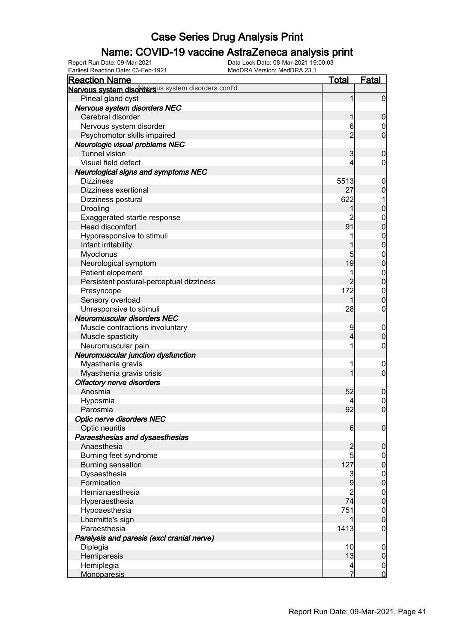### Name: COVID-19 vaccine AstraZeneca analysis print

Earliest Reaction Date: 03-Feb-1921 MedDRA Version: MedDRA 23.1

| <b>Reaction Name</b>                               | <b>Total</b>     | <b>Fatal</b>                     |
|----------------------------------------------------|------------------|----------------------------------|
| Nervous system disordersus system disorders cont'd |                  |                                  |
| Pineal gland cyst                                  | 1                | $\overline{0}$                   |
| Nervous system disorders NEC                       |                  |                                  |
| Cerebral disorder                                  | 1                | $\mathbf 0$                      |
| Nervous system disorder                            | 6                | 0                                |
| Psychomotor skills impaired                        | $\overline{2}$   | $\mathbf 0$                      |
| Neurologic visual problems NEC                     |                  |                                  |
| <b>Tunnel vision</b>                               | 3                | $\boldsymbol{0}$                 |
| Visual field defect                                | 4                | 0                                |
| <b>Neurological signs and symptoms NEC</b>         |                  |                                  |
| <b>Dizziness</b>                                   | 5513             | $\mathbf 0$                      |
| Dizziness exertional                               | 27               | $\mathbf 0$                      |
| Dizziness postural                                 | 622              |                                  |
| Drooling                                           |                  | $\mathbf 0$                      |
| Exaggerated startle response                       | 2                | $\mathbf{0}$                     |
| Head discomfort                                    | 91               | $\overline{0}$                   |
| Hyporesponsive to stimuli                          |                  |                                  |
| Infant irritability                                |                  | $0\atop 0$                       |
| Myoclonus                                          | 5                | $\mathbf{0}$                     |
| Neurological symptom                               | 19               | $\overline{0}$                   |
| Patient elopement                                  |                  |                                  |
| Persistent postural-perceptual dizziness           | $\overline{2}$   | $\begin{matrix}0\\0\end{matrix}$ |
| Presyncope                                         | 172              | $\mathbf{0}$                     |
| Sensory overload                                   | 1                | $\mathbf 0$                      |
| Unresponsive to stimuli                            | 28               | $\boldsymbol{0}$                 |
| <b>Neuromuscular disorders NEC</b>                 |                  |                                  |
| Muscle contractions involuntary                    | 9                | $\mathbf 0$                      |
| Muscle spasticity                                  | 4                | $\mathbf 0$                      |
| Neuromuscular pain                                 |                  | $\boldsymbol{0}$                 |
| Neuromuscular junction dysfunction                 |                  |                                  |
| Myasthenia gravis                                  |                  | $\mathbf 0$                      |
| Myasthenia gravis crisis                           |                  | $\mathbf 0$                      |
| <b>Olfactory nerve disorders</b>                   |                  |                                  |
| Anosmia                                            | 52               | $\mathbf 0$                      |
| Hyposmia                                           |                  | $\mathbf{0}$                     |
| Parosmia                                           | 92               | $\overline{0}$                   |
| Optic nerve disorders NEC                          |                  |                                  |
| Optic neuritis                                     | $6 \overline{6}$ | $\boldsymbol{0}$                 |
| Paraesthesias and dysaesthesias                    |                  |                                  |
| Anaesthesia                                        | $\overline{a}$   | $\boldsymbol{0}$                 |
| Burning feet syndrome                              | 5                | $\overline{0}$                   |
| <b>Burning sensation</b>                           | 127              | $\mathbf 0$                      |
| Dysaesthesia                                       | 3                | $\boldsymbol{0}$                 |
| Formication                                        | 9                | $\overline{0}$                   |
| Hemianaesthesia                                    | $\overline{c}$   | $\boldsymbol{0}$                 |
| Hyperaesthesia                                     | 74               | $\overline{0}$                   |
| Hypoaesthesia                                      | 751              | $\boldsymbol{0}$                 |
| Lhermitte's sign                                   | 1                | $\mathbf 0$                      |
| Paraesthesia                                       | 1413             | $\mathbf 0$                      |
| Paralysis and paresis (excl cranial nerve)         |                  |                                  |
| Diplegia                                           | 10               | $\mathbf 0$                      |
| Hemiparesis                                        | 13               | $\mathbf 0$                      |
| Hemiplegia                                         | 4                | $\overline{0}$                   |
| <b>Monoparesis</b>                                 | 7                | $\overline{0}$                   |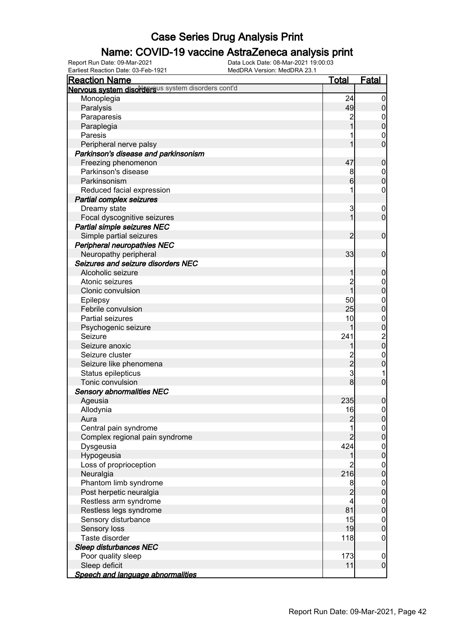### Name: COVID-19 vaccine AstraZeneca analysis print

| <b>Reaction Name</b>                               | <u>Total</u>    | <u>Fatal</u>                                 |
|----------------------------------------------------|-----------------|----------------------------------------------|
| Nervous system disordersus system disorders cont'd |                 |                                              |
| Monoplegia                                         | 24              | $\boldsymbol{0}$                             |
| Paralysis                                          | 49              | $\boldsymbol{0}$                             |
| Paraparesis                                        | $\overline{c}$  |                                              |
| Paraplegia                                         | 1               | $0\atop 0$                                   |
| Paresis                                            | 1               |                                              |
| Peripheral nerve palsy                             | 1               | $\begin{matrix}0\\0\end{matrix}$             |
| Parkinson's disease and parkinsonism               |                 |                                              |
| Freezing phenomenon                                | 47              | $\mathbf 0$                                  |
| Parkinson's disease                                | 8               |                                              |
| Parkinsonism                                       | $6\overline{6}$ | $\begin{matrix}0\\0\end{matrix}$             |
| Reduced facial expression                          | 1               | $\pmb{0}$                                    |
| <b>Partial complex seizures</b>                    |                 |                                              |
| Dreamy state                                       | 3               |                                              |
|                                                    | $\overline{1}$  | $\boldsymbol{0}$<br>$\mathbf 0$              |
| Focal dyscognitive seizures                        |                 |                                              |
| <b>Partial simple seizures NEC</b>                 |                 |                                              |
| Simple partial seizures                            | $\overline{2}$  | $\mathbf 0$                                  |
| <b>Peripheral neuropathies NEC</b>                 |                 |                                              |
| Neuropathy peripheral                              | 33              | $\mathbf 0$                                  |
| Seizures and seizure disorders NEC                 |                 |                                              |
| Alcoholic seizure                                  | 1               | $\mathbf 0$                                  |
| Atonic seizures                                    | $\overline{2}$  | $0\atop 0$                                   |
| Clonic convulsion                                  | $\overline{1}$  |                                              |
| Epilepsy                                           | 50              | $\begin{matrix}0\\0\end{matrix}$             |
| Febrile convulsion                                 | 25              |                                              |
| Partial seizures                                   | 10              |                                              |
| Psychogenic seizure                                | 1               |                                              |
| Seizure                                            | 241             | $\begin{array}{c}\n0 \\ 0 \\ 0\n\end{array}$ |
| Seizure anoxic                                     | 1               |                                              |
| Seizure cluster                                    | $\frac{2}{3}$   | $0\atop 0$                                   |
| Seizure like phenomena                             |                 |                                              |
| Status epilepticus                                 |                 | 1                                            |
| Tonic convulsion                                   | $\bf{8}$        | $\overline{0}$                               |
| <b>Sensory abnormalities NEC</b>                   |                 |                                              |
| Ageusia                                            | 235             | $\mathbf 0$                                  |
| Allodynia                                          | 16              | $\mathbf 0$                                  |
| Aura                                               | $\overline{c}$  | 0                                            |
| Central pain syndrome                              | 1               | $\overline{0}$                               |
| Complex regional pain syndrome                     | 2               | $\overline{0}$                               |
| Dysgeusia                                          | 424             |                                              |
| Hypogeusia                                         | 1               | $0\atop 0$                                   |
| Loss of proprioception                             | 2               |                                              |
| Neuralgia                                          | 216             | $\begin{matrix} 0 \\ 0 \end{matrix}$         |
| Phantom limb syndrome                              | 8               |                                              |
| Post herpetic neuralgia                            | $\overline{2}$  | $0$<br>0                                     |
| Restless arm syndrome                              | 4               |                                              |
| Restless legs syndrome                             | 81              | $0\atop 0$                                   |
| Sensory disturbance                                | 15              |                                              |
| Sensory loss                                       | 19              | $0\atop 0$                                   |
| Taste disorder                                     | 118             | $\mathbf 0$                                  |
| <b>Sleep disturbances NEC</b>                      |                 |                                              |
| Poor quality sleep                                 | 173             | $\mathbf 0$                                  |
| Sleep deficit                                      | 11              | $\overline{0}$                               |
| <b>Speech and language abnormalities</b>           |                 |                                              |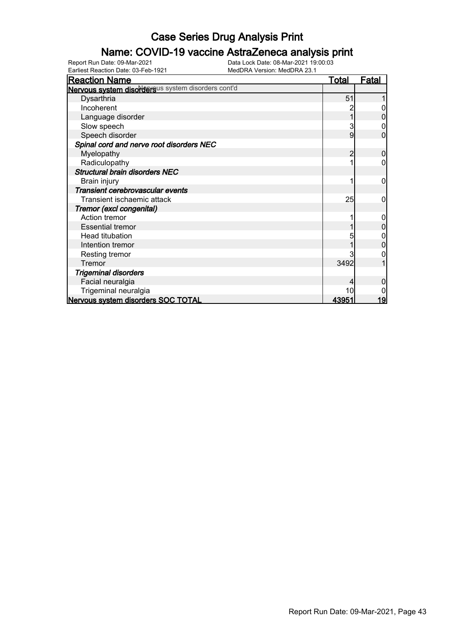### Name: COVID-19 vaccine AstraZeneca analysis print

Earliest Reaction Date: 03-Feb-1921 MedDRA Version: MedDRA 23.1

| <b>Reaction Name</b>                               | <u>Total</u> | <u>Fatal</u> |
|----------------------------------------------------|--------------|--------------|
| Nervous system disordersus system disorders cont'd |              |              |
| Dysarthria                                         | 51           |              |
| Incoherent                                         |              |              |
| Language disorder                                  |              |              |
| Slow speech                                        |              |              |
| Speech disorder                                    | 9            | 0            |
| Spinal cord and nerve root disorders NEC           |              |              |
| Myelopathy                                         | 2            | 0            |
| Radiculopathy                                      |              | 0            |
| <b>Structural brain disorders NEC</b>              |              |              |
| Brain injury                                       |              | 0            |
| Transient cerebrovascular events                   |              |              |
| Transient ischaemic attack                         | 25           | 0            |
| Tremor (excl congenital)                           |              |              |
| Action tremor                                      |              | 0            |
| <b>Essential tremor</b>                            |              |              |
| <b>Head titubation</b>                             |              |              |
| Intention tremor                                   |              |              |
| Resting tremor                                     |              |              |
| Tremor                                             | 3492         |              |
| <b>Trigeminal disorders</b>                        |              |              |
| Facial neuralgia                                   |              |              |
| Trigeminal neuralgia                               |              |              |
| Nervous system disorders SOC TOTAL                 | <u>43951</u> | 19           |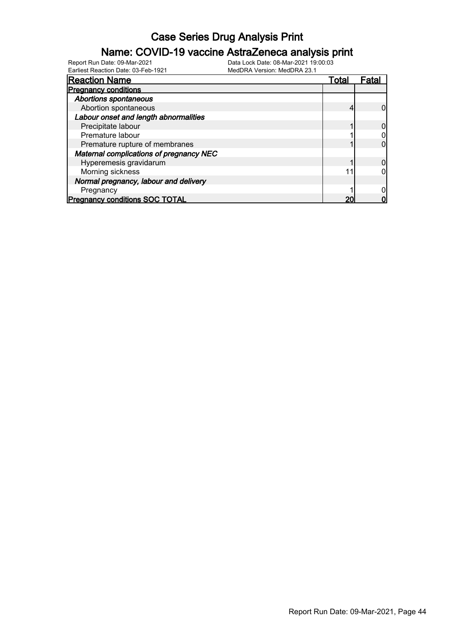### Name: COVID-19 vaccine AstraZeneca analysis print

| <b>Reaction Name</b>                    | Total | Fata |
|-----------------------------------------|-------|------|
| <b>Pregnancy conditions</b>             |       |      |
| <b>Abortions spontaneous</b>            |       |      |
| Abortion spontaneous                    |       |      |
| Labour onset and length abnormalities   |       |      |
| Precipitate labour                      |       |      |
| Premature labour                        |       |      |
| Premature rupture of membranes          |       |      |
| Maternal complications of pregnancy NEC |       |      |
| Hyperemesis gravidarum                  |       |      |
| Morning sickness                        |       |      |
| Normal pregnancy, labour and delivery   |       |      |
| Pregnancy                               |       |      |
| <b>Pregnancy conditions SOC TOTAL</b>   |       |      |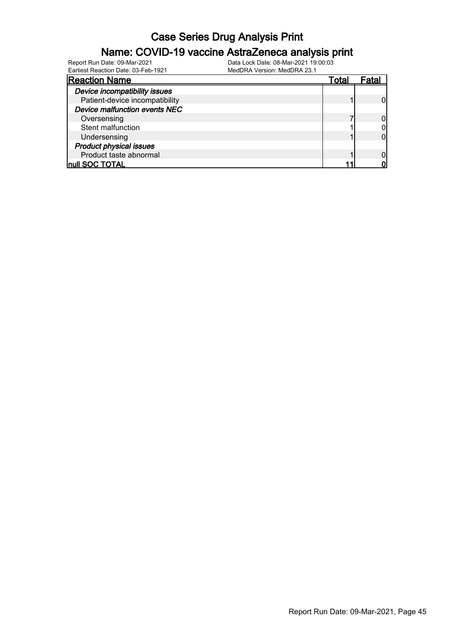#### Name: COVID-19 vaccine AstraZeneca analysis print

| <b>Reaction Name</b>           | Гotal |  |
|--------------------------------|-------|--|
| Device incompatibility issues  |       |  |
| Patient-device incompatibility |       |  |
| Device malfunction events NEC  |       |  |
| Oversensing                    |       |  |
| Stent malfunction              |       |  |
| Undersensing                   |       |  |
| <b>Product physical issues</b> |       |  |
| Product taste abnormal         |       |  |
| Inull SOC TOTAL                |       |  |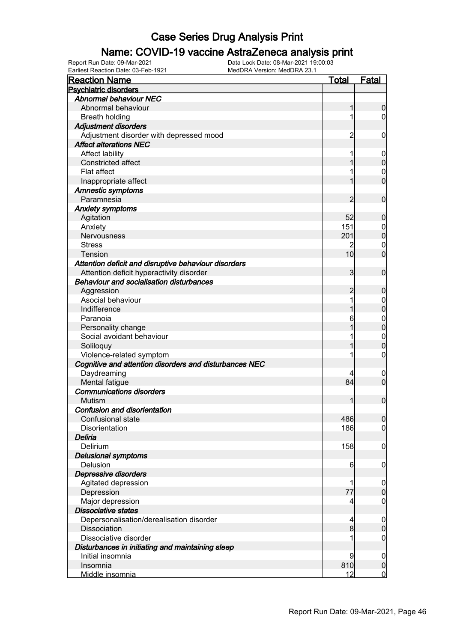### Name: COVID-19 vaccine AstraZeneca analysis print

| <b>Reaction Name</b>                                                                 | <u>Total</u>            | <b>Fatal</b>     |
|--------------------------------------------------------------------------------------|-------------------------|------------------|
| <b>Psychiatric disorders</b>                                                         |                         |                  |
| <b>Abnormal behaviour NEC</b>                                                        |                         |                  |
| Abnormal behaviour                                                                   | 1                       | $\boldsymbol{0}$ |
| <b>Breath holding</b>                                                                | 1                       | $\overline{0}$   |
| <b>Adjustment disorders</b>                                                          |                         |                  |
| Adjustment disorder with depressed mood                                              | $\overline{2}$          | $\mathbf 0$      |
| <b>Affect alterations NEC</b>                                                        |                         |                  |
| <b>Affect lability</b>                                                               |                         | $\mathbf 0$      |
| <b>Constricted affect</b>                                                            |                         | $\mathbf 0$      |
| Flat affect                                                                          |                         | $\mathbf 0$      |
| Inappropriate affect                                                                 |                         | $\overline{0}$   |
| <b>Amnestic symptoms</b>                                                             |                         |                  |
| Paramnesia                                                                           | 2                       | $\mathbf 0$      |
| <b>Anxiety symptoms</b>                                                              |                         |                  |
| Agitation                                                                            | 52                      | $\boldsymbol{0}$ |
| Anxiety                                                                              | 151                     | 0                |
| <b>Nervousness</b>                                                                   | 201                     | $\mathbf 0$      |
| <b>Stress</b>                                                                        | 2                       | $\mathbf 0$      |
| Tension                                                                              | 10 <sup>1</sup>         | $\overline{0}$   |
|                                                                                      |                         |                  |
| Attention deficit and disruptive behaviour disorders                                 | $\overline{\mathbf{3}}$ | $\mathbf 0$      |
| Attention deficit hyperactivity disorder<br>Behaviour and socialisation disturbances |                         |                  |
|                                                                                      |                         |                  |
| Aggression                                                                           | 2                       | $\boldsymbol{0}$ |
| Asocial behaviour                                                                    |                         | $\mathbf 0$      |
| Indifference                                                                         |                         | $\mathbf 0$      |
| Paranoia                                                                             | 6                       | $\mathbf{0}$     |
| Personality change                                                                   |                         | $\overline{0}$   |
| Social avoidant behaviour                                                            |                         | $\mathbf{0}$     |
| Soliloquy                                                                            |                         | $\mathbf 0$      |
| Violence-related symptom                                                             |                         | 0                |
| Cognitive and attention disorders and disturbances NEC                               |                         |                  |
| Daydreaming                                                                          |                         | $\mathbf 0$      |
| Mental fatigue                                                                       | 84                      | $\mathbf 0$      |
| <b>Communications disorders</b>                                                      |                         |                  |
| <b>Mutism</b>                                                                        | 1                       | $\mathbf 0$      |
| Confusion and disorientation                                                         |                         |                  |
| Confusional state                                                                    | 486                     | 0                |
| Disorientation                                                                       | 186                     | $\overline{0}$   |
| Deliria                                                                              |                         |                  |
| Delirium                                                                             | 158                     | $\mathbf 0$      |
| <b>Delusional symptoms</b>                                                           |                         |                  |
| Delusion                                                                             | 6                       | $\mathbf 0$      |
| <b>Depressive disorders</b>                                                          |                         |                  |
| Agitated depression                                                                  | 1                       | $\mathbf 0$      |
| Depression                                                                           | 77                      | $\pmb{0}$        |
| Major depression                                                                     | 4                       | $\mathbf 0$      |
| <b>Dissociative states</b>                                                           |                         |                  |
| Depersonalisation/derealisation disorder                                             | $\overline{4}$          | $\mathbf 0$      |
| Dissociation                                                                         | $\bf{8}$                | $\pmb{0}$        |
| Dissociative disorder                                                                |                         | $\mathbf 0$      |
| Disturbances in initiating and maintaining sleep                                     |                         |                  |
| Initial insomnia                                                                     | 9                       | $\boldsymbol{0}$ |
| Insomnia                                                                             | 810                     | $\pmb{0}$        |
| Middle insomnia                                                                      | 12                      | $\overline{0}$   |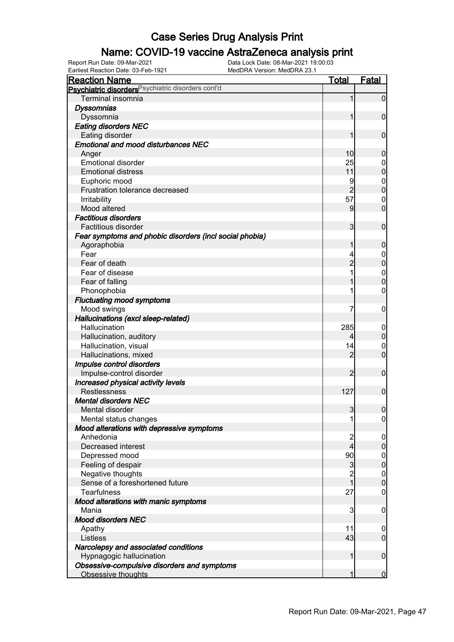### Name: COVID-19 vaccine AstraZeneca analysis print

| <b>Reaction Name</b>                                    | <u>Total</u>   | <b>Fatal</b>     |
|---------------------------------------------------------|----------------|------------------|
| Psychiatric disorders Psychiatric disorders cont'd      |                |                  |
| Terminal insomnia                                       | 1              | $\overline{0}$   |
| <b>Dyssomnias</b>                                       |                |                  |
| Dyssomnia                                               | 1              | $\mathbf 0$      |
| <b>Eating disorders NEC</b>                             |                |                  |
| Eating disorder                                         | 1              | $\mathbf 0$      |
| <b>Emotional and mood disturbances NEC</b>              |                |                  |
| Anger                                                   | 10             | $\mathbf 0$      |
| <b>Emotional disorder</b>                               | 25             | 0                |
| <b>Emotional distress</b>                               | 11             | $\mathbf 0$      |
| Euphoric mood                                           | 9              | $\mathbf{0}$     |
| Frustration tolerance decreased                         | $\overline{2}$ | $\mathbf 0$      |
| <b>Irritability</b>                                     | 57             | $\mathbf 0$      |
| Mood altered                                            | 9              | $\overline{0}$   |
| <b>Factitious disorders</b>                             |                |                  |
| Factitious disorder                                     | 3              | $\mathbf 0$      |
| Fear symptoms and phobic disorders (incl social phobia) |                |                  |
| Agoraphobia                                             | 1              | $\boldsymbol{0}$ |
| Fear                                                    |                | $\mathbf 0$      |
| Fear of death                                           | $\overline{2}$ | $\mathbf 0$      |
| Fear of disease                                         |                | $\mathbf{0}$     |
| Fear of falling                                         |                | $\mathbf 0$      |
| Phonophobia                                             | 1              | 0                |
| <b>Fluctuating mood symptoms</b>                        |                |                  |
| Mood swings                                             | 7              | $\mathbf 0$      |
| Hallucinations (excl sleep-related)                     |                |                  |
| Hallucination                                           | 285            | $\mathbf 0$      |
| Hallucination, auditory                                 | 4              | $\mathbf 0$      |
| Hallucination, visual                                   | 14             | $\mathbf 0$      |
| Hallucinations, mixed                                   | $\overline{2}$ | $\overline{0}$   |
| Impulse control disorders                               |                |                  |
| Impulse-control disorder                                | 2              | $\mathbf 0$      |
| Increased physical activity levels                      |                |                  |
| Restlessness                                            | 127            | $\mathbf 0$      |
| <b>Mental disorders NEC</b>                             |                |                  |
| Mental disorder                                         | $\overline{3}$ | $\boldsymbol{0}$ |
| Mental status changes                                   | 11             | 0                |
| Mood alterations with depressive symptoms               |                |                  |
| Anhedonia                                               | 2              | $\boldsymbol{0}$ |
| Decreased interest                                      | $\overline{4}$ | $\boldsymbol{0}$ |
| Depressed mood                                          | 90             | $\overline{0}$   |
| Feeling of despair                                      | $\mathbf{3}$   | $\mathbf 0$      |
| Negative thoughts                                       | $\overline{c}$ | $\boldsymbol{0}$ |
| Sense of a foreshortened future                         | $\mathbf{1}$   | $\mathbf 0$      |
| <b>Tearfulness</b>                                      | 27             | $\mathbf 0$      |
| Mood alterations with manic symptoms                    |                |                  |
| Mania                                                   | 3              | $\mathbf 0$      |
| <b>Mood disorders NEC</b>                               |                |                  |
| Apathy                                                  | 11             | 0                |
| Listless                                                | 43             | $\overline{0}$   |
| Narcolepsy and associated conditions                    |                |                  |
| Hypnagogic hallucination                                | 1              | $\boldsymbol{0}$ |
| Obsessive-compulsive disorders and symptoms             |                |                  |
| Obsessive thoughts                                      | 1              | $\mathbf 0$      |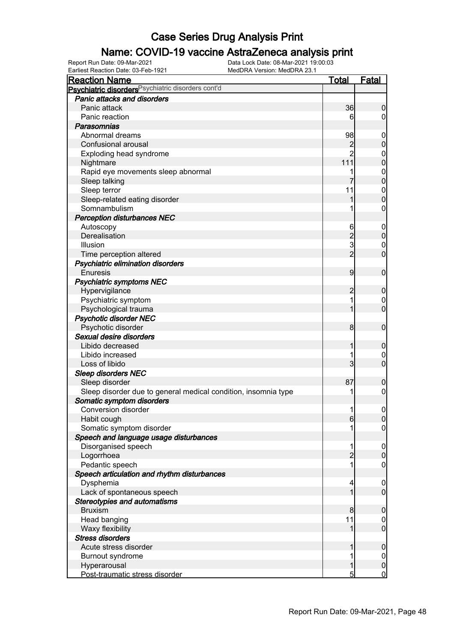### Name: COVID-19 vaccine AstraZeneca analysis print

| <b>Reaction Name</b>                                           | <u>Total</u>   | <b>Fatal</b>                    |
|----------------------------------------------------------------|----------------|---------------------------------|
| Psychiatric disorders <sup>Psychiatric disorders cont'd</sup>  |                |                                 |
| Panic attacks and disorders                                    |                |                                 |
| Panic attack                                                   | 36             | $\boldsymbol{0}$                |
| Panic reaction                                                 | 6              | $\overline{0}$                  |
| Parasomnias                                                    |                |                                 |
| Abnormal dreams                                                | 98             | $\mathbf 0$                     |
| Confusional arousal                                            | $\overline{c}$ | $\pmb{0}$                       |
| Exploding head syndrome                                        | $\overline{2}$ | $\boldsymbol{0}$                |
| Nightmare                                                      | 111            | $\mathbf 0$                     |
| Rapid eye movements sleep abnormal                             |                | $\boldsymbol{0}$                |
| Sleep talking                                                  |                | $\mathbf 0$                     |
| Sleep terror                                                   | 11             | $\boldsymbol{0}$                |
| Sleep-related eating disorder                                  | 1              | $\mathbf 0$                     |
| Somnambulism                                                   |                | $\mathbf 0$                     |
| <b>Perception disturbances NEC</b>                             |                |                                 |
| Autoscopy                                                      | 6              | $\mathbf 0$                     |
| Derealisation                                                  |                | $\pmb{0}$                       |
| Illusion                                                       | $\frac{2}{3}$  | $\boldsymbol{0}$                |
| Time perception altered                                        | $\overline{2}$ | $\mathbf 0$                     |
| Psychiatric elimination disorders                              |                |                                 |
| Enuresis                                                       | 9              | $\mathbf 0$                     |
| <b>Psychiatric symptoms NEC</b>                                |                |                                 |
| Hypervigilance                                                 | $\overline{c}$ | $\boldsymbol{0}$                |
| Psychiatric symptom                                            |                | $\boldsymbol{0}$                |
| Psychological trauma                                           | 1              | $\mathbf 0$                     |
| <b>Psychotic disorder NEC</b>                                  |                |                                 |
| Psychotic disorder                                             | 8              | $\mathbf 0$                     |
| Sexual desire disorders                                        |                |                                 |
| Libido decreased                                               | 1              | $\boldsymbol{0}$                |
| Libido increased                                               |                | 0                               |
| Loss of libido                                                 | 3              | $\mathbf 0$                     |
| <b>Sleep disorders NEC</b>                                     |                |                                 |
| Sleep disorder                                                 | 87             | $\boldsymbol{0}$                |
| Sleep disorder due to general medical condition, insomnia type |                | $\mathbf 0$                     |
| Somatic symptom disorders                                      |                |                                 |
| Conversion disorder                                            | 11             | $\boldsymbol{0}$                |
| Habit cough                                                    | $6 \,$         | $\overline{0}$                  |
| Somatic symptom disorder                                       |                | $\overline{0}$                  |
| Speech and language usage disturbances                         |                |                                 |
| Disorganised speech                                            | 1              | $\mathbf 0$                     |
| Logorrhoea                                                     | $\overline{c}$ | $\mathbf 0$                     |
| Pedantic speech                                                | 1              | $\mathbf 0$                     |
| Speech articulation and rhythm disturbances                    |                |                                 |
| Dysphemia                                                      | 4              |                                 |
|                                                                | 1              | $\boldsymbol{0}$<br>$\mathbf 0$ |
| Lack of spontaneous speech                                     |                |                                 |
| <b>Stereotypies and automatisms</b><br><b>Bruxism</b>          | 8              |                                 |
|                                                                | 11             | $\mathbf 0$                     |
| Head banging                                                   |                | $\boldsymbol{0}$                |
| Waxy flexibility                                               | 1              | $\mathbf 0$                     |
| <b>Stress disorders</b>                                        |                |                                 |
| Acute stress disorder                                          | 1              | $\boldsymbol{0}$                |
| Burnout syndrome                                               |                | $\boldsymbol{0}$                |
| Hyperarousal                                                   | 1              | $\mathbf 0$                     |
| Post-traumatic stress disorder                                 | 5              | $\overline{0}$                  |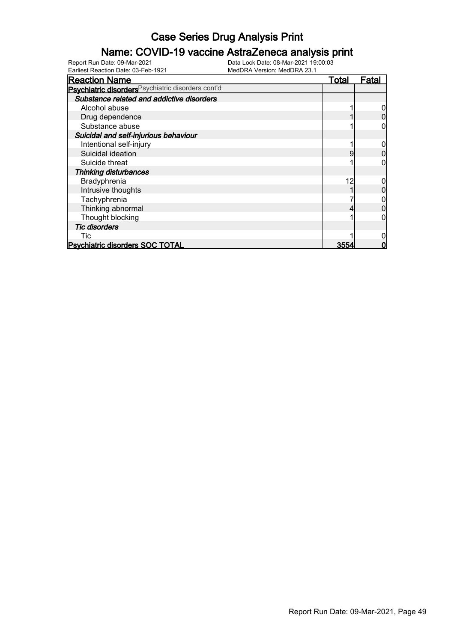### Name: COVID-19 vaccine AstraZeneca analysis print

Earliest Reaction Date: 03-Feb-1921 MedDRA Version: MedDRA 23.1

| <b>Reaction Name</b>                               | <b>Total</b> | Fatal |
|----------------------------------------------------|--------------|-------|
| Psychiatric disorders Psychiatric disorders cont'd |              |       |
| Substance related and addictive disorders          |              |       |
| Alcohol abuse                                      |              |       |
| Drug dependence                                    |              |       |
| Substance abuse                                    |              |       |
| Suicidal and self-injurious behaviour              |              |       |
| Intentional self-injury                            |              |       |
| Suicidal ideation                                  | 9            |       |
| Suicide threat                                     |              |       |
| <b>Thinking disturbances</b>                       |              |       |
| Bradyphrenia                                       | 12           |       |
| Intrusive thoughts                                 |              |       |
| Tachyphrenia                                       |              |       |
| Thinking abnormal                                  |              |       |
| Thought blocking                                   |              |       |
| <b>Tic disorders</b>                               |              |       |
| Tic                                                |              |       |
| <b>Psychiatric disorders SOC TOTAL</b>             | 3554         |       |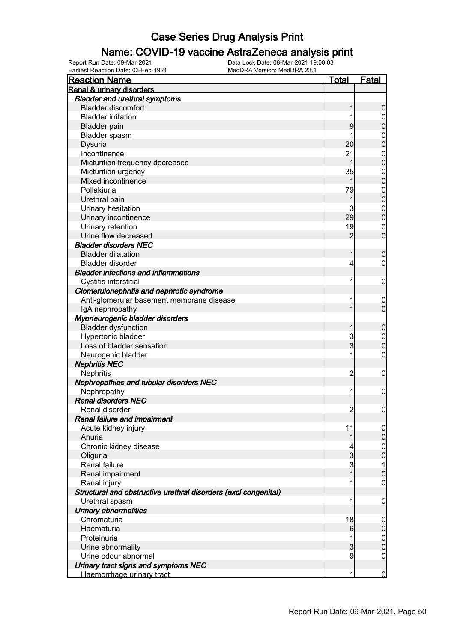#### Name: COVID-19 vaccine AstraZeneca analysis print

| <b>Reaction Name</b>                                            | <u>Total</u>    | <b>Fatal</b>     |
|-----------------------------------------------------------------|-----------------|------------------|
| Renal & urinary disorders                                       |                 |                  |
| <b>Bladder and urethral symptoms</b>                            |                 |                  |
| <b>Bladder discomfort</b>                                       | 1               | $\boldsymbol{0}$ |
| <b>Bladder irritation</b>                                       | 1               | $\mathbf 0$      |
| <b>Bladder pain</b>                                             | 9               | $\mathbf 0$      |
| Bladder spasm                                                   |                 | $\mathbf 0$      |
| Dysuria                                                         | 20              | $\overline{0}$   |
| Incontinence                                                    | 21              | $\mathbf{0}$     |
| Micturition frequency decreased                                 | 1               | $\overline{0}$   |
| Micturition urgency                                             | 35              | $\mathbf{0}$     |
| Mixed incontinence                                              | 1               | $\overline{0}$   |
| Pollakiuria                                                     | 79              | $\mathbf{0}$     |
| Urethral pain                                                   | 1               | $\overline{0}$   |
| Urinary hesitation                                              | 3               | $\mathbf{0}$     |
| Urinary incontinence                                            | 29              | $\overline{0}$   |
| Urinary retention                                               | 19              | $\mathbf 0$      |
| Urine flow decreased                                            | $\overline{2}$  | $\overline{0}$   |
| <b>Bladder disorders NEC</b>                                    |                 |                  |
| <b>Bladder dilatation</b>                                       | 1               | $\mathbf 0$      |
| <b>Bladder disorder</b>                                         | 4               | $\mathbf 0$      |
| <b>Bladder infections and inflammations</b>                     |                 |                  |
| Cystitis interstitial                                           | 1               | $\mathbf 0$      |
| Glomerulonephritis and nephrotic syndrome                       |                 |                  |
| Anti-glomerular basement membrane disease                       | 1               | $\boldsymbol{0}$ |
| IgA nephropathy                                                 | 1               | $\overline{0}$   |
| Myoneurogenic bladder disorders                                 |                 |                  |
| <b>Bladder dysfunction</b>                                      | 1               | $\mathbf 0$      |
| Hypertonic bladder                                              |                 | $\mathbf{0}$     |
| Loss of bladder sensation                                       | $\frac{3}{3}$   | $\overline{0}$   |
| Neurogenic bladder                                              | 1               | 0                |
| <b>Nephritis NEC</b>                                            |                 |                  |
| Nephritis                                                       | $\overline{2}$  | $\mathbf 0$      |
| Nephropathies and tubular disorders NEC                         |                 |                  |
| Nephropathy                                                     | 1               | $\mathbf 0$      |
| <b>Renal disorders NEC</b>                                      |                 |                  |
| Renal disorder                                                  | $\overline{2}$  | $\boldsymbol{0}$ |
| Renal failure and impairment                                    |                 |                  |
| Acute kidney injury                                             | 11              | $\overline{0}$   |
| Anuria                                                          | 1               | $\mathbf 0$      |
| Chronic kidney disease                                          | 4               | $\boldsymbol{0}$ |
| Oliguria                                                        | $\overline{3}$  | $\overline{0}$   |
| Renal failure                                                   | $\overline{3}$  | 1                |
| Renal impairment                                                | 1               | $\mathbf 0$      |
| Renal injury                                                    | 1               | $\mathbf 0$      |
| Structural and obstructive urethral disorders (excl congenital) |                 |                  |
| Urethral spasm                                                  | 1               | $\mathbf 0$      |
| <b>Urinary abnormalities</b>                                    |                 |                  |
| Chromaturia                                                     | 18              | $\boldsymbol{0}$ |
| Haematuria                                                      | $6 \overline{}$ | $\pmb{0}$        |
| Proteinuria                                                     | 1               | $\boldsymbol{0}$ |
| Urine abnormality                                               | $\overline{3}$  | $\mathbf 0$      |
| Urine odour abnormal                                            | 9               | $\mathbf 0$      |
| Urinary tract signs and symptoms NEC                            |                 |                  |
| Haemorrhage urinary tract                                       | 1               | $\overline{0}$   |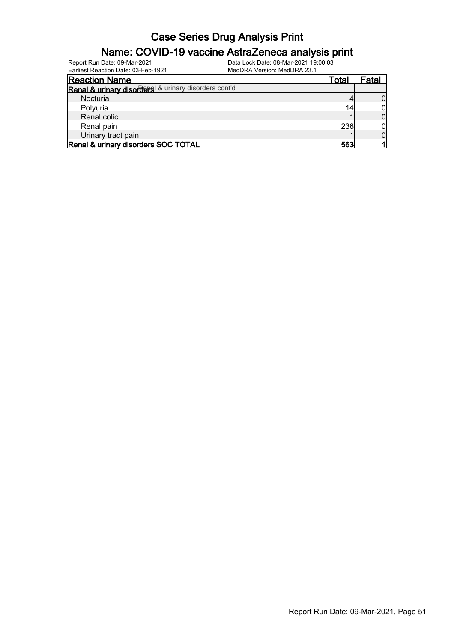### Name: COVID-19 vaccine AstraZeneca analysis print

Earliest Reaction Date: 03-Feb-1921 MedDRA Version: MedDRA 23.1

| Canical Reagaon Date, 00-1 GD-1921                   | <u>MCUDINA VCISION. MCUDINA ZV. I</u> |       |
|------------------------------------------------------|---------------------------------------|-------|
| <b>Reaction Name</b>                                 | Total                                 | Fatal |
| Renal & urinary disorders & urinary disorders cont'd |                                       |       |
| Nocturia                                             |                                       |       |
| Polyuria                                             | 14                                    |       |
| Renal colic                                          |                                       |       |
| Renal pain                                           | <b>236</b>                            |       |
| Urinary tract pain                                   |                                       |       |
| Renal & urinary disorders SOC TOTAL                  | 563                                   |       |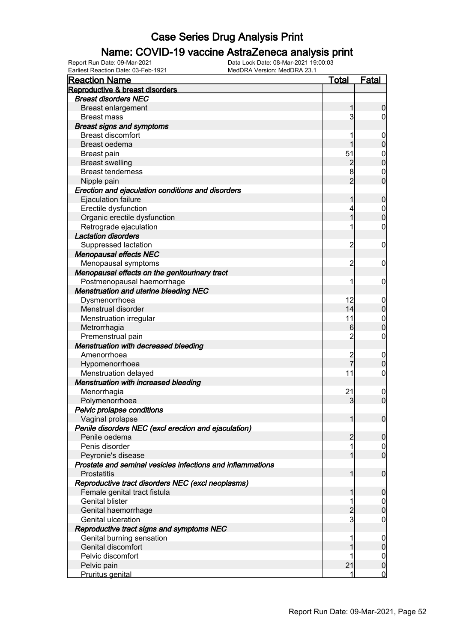### Name: COVID-19 vaccine AstraZeneca analysis print

| <b>Reaction Name</b>                                       | <u>Total</u>   | <b>Fatal</b>                         |
|------------------------------------------------------------|----------------|--------------------------------------|
| Reproductive & breast disorders                            |                |                                      |
| <b>Breast disorders NEC</b>                                |                |                                      |
| <b>Breast enlargement</b>                                  | 1              | 0                                    |
| <b>Breast mass</b>                                         | $\mathbf{3}$   | $\mathbf 0$                          |
| <b>Breast signs and symptoms</b>                           |                |                                      |
| <b>Breast discomfort</b>                                   | 1              | $\mathbf 0$                          |
| Breast oedema                                              |                | $\boldsymbol{0}$                     |
| <b>Breast pain</b>                                         | 51             | $\mathbf{0}$                         |
| <b>Breast swelling</b>                                     | $\overline{c}$ | $\overline{0}$                       |
| <b>Breast tenderness</b>                                   | 8              | $\mathbf 0$                          |
| Nipple pain                                                | $\overline{2}$ | $\overline{0}$                       |
| Erection and ejaculation conditions and disorders          |                |                                      |
| Ejaculation failure                                        | 1              | $\mathbf 0$                          |
| Erectile dysfunction                                       | 4              |                                      |
| Organic erectile dysfunction                               | 1              | $\begin{matrix} 0 \\ 0 \end{matrix}$ |
| Retrograde ejaculation                                     | 1              | 0                                    |
| <b>Lactation disorders</b>                                 |                |                                      |
| Suppressed lactation                                       | $\overline{2}$ | $\mathbf 0$                          |
| <b>Menopausal effects NEC</b>                              |                |                                      |
| Menopausal symptoms                                        | $\overline{2}$ | 0                                    |
| Menopausal effects on the genitourinary tract              |                |                                      |
| Postmenopausal haemorrhage                                 | 1              | 0                                    |
| <b>Menstruation and uterine bleeding NEC</b>               |                |                                      |
| Dysmenorrhoea                                              | 12             | $\overline{0}$                       |
| Menstrual disorder                                         | 14             | $\boldsymbol{0}$                     |
| Menstruation irregular                                     | 11             |                                      |
| Metrorrhagia                                               | 6              | $\mathbf{0}$<br>$\overline{0}$       |
| Premenstrual pain                                          | $\overline{2}$ | $\mathbf 0$                          |
| Menstruation with decreased bleeding                       |                |                                      |
| Amenorrhoea                                                | $\overline{c}$ |                                      |
|                                                            | $\overline{7}$ | $\mathbf 0$<br>$\overline{0}$        |
| Hypomenorrhoea<br>Menstruation delayed                     | 11             | $\mathbf 0$                          |
| Menstruation with increased bleeding                       |                |                                      |
|                                                            | 21             |                                      |
| Menorrhagia                                                | 3              | $\mathbf 0$<br>$\overline{0}$        |
| Polymenorrhoea                                             |                |                                      |
| Pelvic prolapse conditions                                 |                |                                      |
| Vaginal prolapse                                           | 11             | 0                                    |
| Penile disorders NEC (excl erection and ejaculation)       |                |                                      |
| Penile oedema                                              | 2              | $\mathbf 0$                          |
| Penis disorder                                             | 1              | $\overline{0}$                       |
| Peyronie's disease                                         | 1              | $\overline{0}$                       |
| Prostate and seminal vesicles infections and inflammations |                |                                      |
| Prostatitis                                                | 1              | $\mathbf 0$                          |
| Reproductive tract disorders NEC (excl neoplasms)          |                |                                      |
| Female genital tract fistula                               | 1              | $\mathbf 0$                          |
| <b>Genital blister</b>                                     | 1              | $\boldsymbol{0}$                     |
| Genital haemorrhage                                        | $\overline{2}$ | $\boldsymbol{0}$                     |
| Genital ulceration                                         | $\mathbf{3}$   | $\overline{0}$                       |
| Reproductive tract signs and symptoms NEC                  |                |                                      |
| Genital burning sensation                                  | 1              | 0                                    |
| Genital discomfort                                         |                | $\boldsymbol{0}$                     |
| Pelvic discomfort                                          |                | $\overline{0}$                       |
| Pelvic pain                                                | 21             | $\pmb{0}$                            |
| Pruritus genital                                           | 1              | $\overline{0}$                       |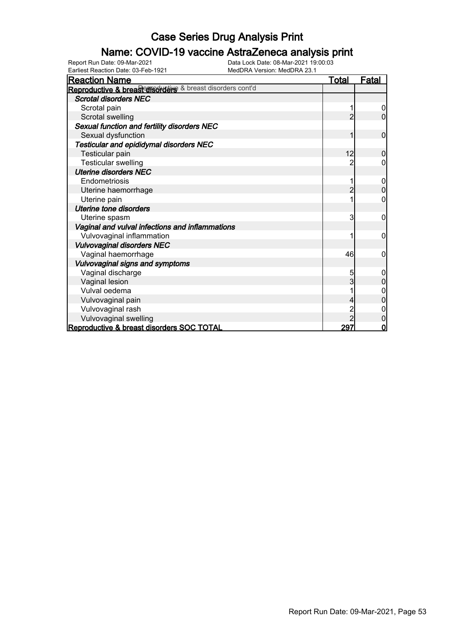### Name: COVID-19 vaccine AstraZeneca analysis print

Earliest Reaction Date: 03-Feb-1921 MedDRA Version: MedDRA 23.1

| <b>Reaction Name</b>                                      | <u>Total</u>   | <u>Fatal</u>   |
|-----------------------------------------------------------|----------------|----------------|
| Reproductive & breast disorders & breast disorders cont'd |                |                |
| <b>Scrotal disorders NEC</b>                              |                |                |
| Scrotal pain                                              |                | 0              |
| Scrotal swelling                                          | 2              | $\overline{0}$ |
| Sexual function and fertility disorders NEC               |                |                |
| Sexual dysfunction                                        |                | $\mathbf 0$    |
| Testicular and epididymal disorders NEC                   |                |                |
| Testicular pain                                           | 12             | 0              |
| <b>Testicular swelling</b>                                |                | 0              |
| <b>Uterine disorders NEC</b>                              |                |                |
| Endometriosis                                             |                | 0              |
| Uterine haemorrhage                                       | $\overline{c}$ | 0              |
| Uterine pain                                              |                | 0              |
| <b>Uterine tone disorders</b>                             |                |                |
| Uterine spasm                                             | 3              | $\mathbf 0$    |
| Vaginal and vulval infections and inflammations           |                |                |
| Vulvovaginal inflammation                                 |                | 0              |
| <b>Vulvovaginal disorders NEC</b>                         |                |                |
| Vaginal haemorrhage                                       | 46             | 0              |
| Vulvovaginal signs and symptoms                           |                |                |
| Vaginal discharge                                         | 5              | 0              |
| Vaginal lesion                                            | 3              | 0              |
| Vulval oedema                                             |                | 0              |
| Vulvovaginal pain                                         |                |                |
| Vulvovaginal rash                                         |                |                |
| Vulvovaginal swelling                                     |                | 0              |
| Reproductive & breast disorders SOC TOTAL                 | 297            | 0              |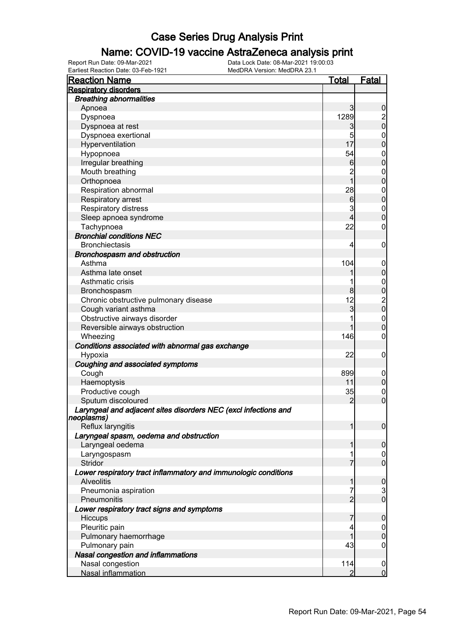### Name: COVID-19 vaccine AstraZeneca analysis print

| <b>Reaction Name</b>                                                                 | <b>Total</b>    | <b>Fatal</b>                           |
|--------------------------------------------------------------------------------------|-----------------|----------------------------------------|
| <b>Respiratory disorders</b>                                                         |                 |                                        |
| <b>Breathing abnormalities</b>                                                       |                 |                                        |
| Apnoea                                                                               | $\mathbf{3}$    | $\boldsymbol{0}$                       |
| Dyspnoea                                                                             | 1289            |                                        |
| Dyspnoea at rest                                                                     | 3               | $\frac{2}{0}$                          |
| Dyspnoea exertional                                                                  | 5               | $\boldsymbol{0}$                       |
| Hyperventilation                                                                     | 17              | $\overline{0}$                         |
| Hypopnoea                                                                            | 54              | $\boldsymbol{0}$                       |
| Irregular breathing                                                                  | $6 \,$          | $\overline{0}$                         |
| Mouth breathing                                                                      | $\overline{c}$  | $\boldsymbol{0}$                       |
| Orthopnoea                                                                           | $\overline{1}$  | $\overline{0}$                         |
| Respiration abnormal                                                                 | 28              | $\boldsymbol{0}$                       |
| Respiratory arrest                                                                   | $6 \overline{}$ | $\mathbf 0$                            |
| Respiratory distress                                                                 | 3               |                                        |
| Sleep apnoea syndrome                                                                | 4               | $\boldsymbol{0}$<br>$\overline{0}$     |
|                                                                                      | 22              |                                        |
| Tachypnoea<br><b>Bronchial conditions NEC</b>                                        |                 | $\boldsymbol{0}$                       |
|                                                                                      |                 |                                        |
| <b>Bronchiectasis</b>                                                                | 4               | $\mathbf 0$                            |
| Bronchospasm and obstruction                                                         |                 |                                        |
| Asthma                                                                               | 104             | $\mathbf 0$                            |
| Asthma late onset                                                                    |                 | $\pmb{0}$                              |
| Asthmatic crisis                                                                     |                 | $0\atop 0$                             |
| Bronchospasm                                                                         | 8               |                                        |
| Chronic obstructive pulmonary disease                                                | 12              | $\begin{bmatrix} 2 \\ 0 \end{bmatrix}$ |
| Cough variant asthma                                                                 | 3               |                                        |
| Obstructive airways disorder                                                         |                 | $\boldsymbol{0}$                       |
| Reversible airways obstruction                                                       | 1               | $\overline{0}$                         |
| Wheezing                                                                             | 146             | $\boldsymbol{0}$                       |
| Conditions associated with abnormal gas exchange                                     |                 |                                        |
| Hypoxia                                                                              | 22              | $\mathbf 0$                            |
| Coughing and associated symptoms                                                     |                 |                                        |
| Cough                                                                                | 899             | $\mathbf 0$                            |
| Haemoptysis                                                                          | 11              | $\mathbf 0$                            |
| Productive cough                                                                     | 35              | $\boldsymbol{0}$                       |
| Sputum discoloured                                                                   | $\overline{c}$  | $\overline{0}$                         |
| Laryngeal and adjacent sites disorders NEC (excl infections and<br>neoplasms)        |                 |                                        |
| Reflux laryngitis                                                                    |                 | $\mathbf 0$                            |
| Laryngeal spasm, oedema and obstruction                                              |                 |                                        |
| Laryngeal oedema                                                                     | 1               | 0                                      |
| Laryngospasm                                                                         | 1               | $\mathbf 0$                            |
| Stridor                                                                              | 7               | $\mathbf 0$                            |
|                                                                                      |                 |                                        |
| Lower respiratory tract inflammatory and immunologic conditions<br><b>Alveolitis</b> |                 |                                        |
|                                                                                      | 1               | $\boldsymbol{0}$                       |
| Pneumonia aspiration                                                                 | 7               | $\frac{3}{0}$                          |
| Pneumonitis                                                                          | $\overline{2}$  |                                        |
| Lower respiratory tract signs and symptoms                                           |                 |                                        |
| Hiccups                                                                              | 7               | 0                                      |
| Pleuritic pain                                                                       | 4               | $\mathbf 0$                            |
| Pulmonary haemorrhage                                                                |                 | $\mathbf 0$                            |
| Pulmonary pain                                                                       | 43              | $\boldsymbol{0}$                       |
| Nasal congestion and inflammations                                                   |                 |                                        |
| Nasal congestion                                                                     | 114             | $\mathbf 0$                            |
| Nasal inflammation                                                                   | 2               | $\overline{0}$                         |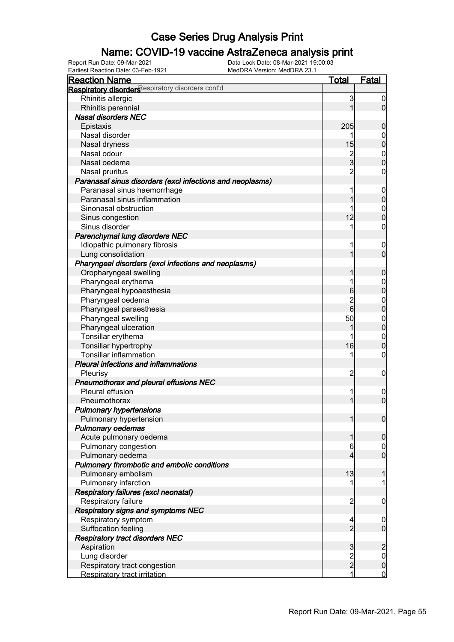### Name: COVID-19 vaccine AstraZeneca analysis print

Earliest Reaction Date: 03-Feb-1921 MedDRA Version: MedDRA 23.1

| <b>Reaction Name</b>                                      | <u>Total</u>   | Fatal            |
|-----------------------------------------------------------|----------------|------------------|
| Respiratory disorders espiratory disorders cont'd         |                |                  |
| Rhinitis allergic                                         | 3              |                  |
| Rhinitis perennial                                        |                | 0                |
| <b>Nasal disorders NEC</b>                                |                |                  |
| Epistaxis                                                 | 205            | 0                |
| Nasal disorder                                            | 1              | 0                |
| Nasal dryness                                             | 15             | 0                |
| Nasal odour                                               | $\overline{c}$ | 0                |
| Nasal oedema                                              | 3              | 0                |
| Nasal pruritus                                            | $\overline{2}$ | 0                |
| Paranasal sinus disorders (excl infections and neoplasms) |                |                  |
| Paranasal sinus haemorrhage                               |                | 0                |
| Paranasal sinus inflammation                              |                | 0                |
| Sinonasal obstruction                                     |                | 0                |
| Sinus congestion                                          | 12             | 0                |
| Sinus disorder                                            | 1              | 0                |
| Parenchymal lung disorders NEC                            |                |                  |
| Idiopathic pulmonary fibrosis                             |                | 0                |
| Lung consolidation                                        |                | 0                |
| Pharyngeal disorders (excl infections and neoplasms)      |                |                  |
| Oropharyngeal swelling                                    |                | 0                |
| Pharyngeal erythema                                       |                | 0                |
| Pharyngeal hypoaesthesia                                  | 6              | 0                |
| Pharyngeal oedema                                         | $\overline{c}$ | 0                |
| Pharyngeal paraesthesia                                   | 6              | 0                |
| Pharyngeal swelling                                       | 50             | 0                |
| Pharyngeal ulceration                                     |                | 0                |
| Tonsillar erythema                                        |                | 0                |
| Tonsillar hypertrophy                                     | 16             | 0                |
| <b>Tonsillar inflammation</b>                             | 1              | 0                |
| <b>Pleural infections and inflammations</b>               |                |                  |
| Pleurisy                                                  | 2              | 0                |
| Pneumothorax and pleural effusions NEC                    |                |                  |
| Pleural effusion                                          | 1              | 0                |
| Pneumothorax                                              |                | 0                |
| <b>Pulmonary hypertensions</b>                            |                |                  |
| Pulmonary hypertension                                    |                | 0                |
| <b>Pulmonary oedemas</b>                                  |                |                  |
| Acute pulmonary oedema                                    |                | 0                |
| Pulmonary congestion                                      | 6              | $\boldsymbol{0}$ |
| Pulmonary oedema                                          | 4              | $\overline{0}$   |
| Pulmonary thrombotic and embolic conditions               |                |                  |
| Pulmonary embolism                                        | 13             |                  |
| Pulmonary infarction                                      | 1              | 1                |
| Respiratory failures (excl neonatal)                      |                |                  |
| Respiratory failure                                       | $\overline{2}$ | 0                |
| Respiratory signs and symptoms NEC                        |                |                  |
| Respiratory symptom                                       | 4              | 0                |
| Suffocation feeling                                       | $\overline{2}$ | $\mathbf 0$      |
| <b>Respiratory tract disorders NEC</b>                    |                |                  |
| Aspiration                                                | 3              | $\overline{c}$   |
| Lung disorder                                             |                | $\boldsymbol{0}$ |
| Respiratory tract congestion                              | $\frac{2}{2}$  | $\mathbf 0$      |
| Respiratory tract irritation                              | 1              | $\mathbf 0$      |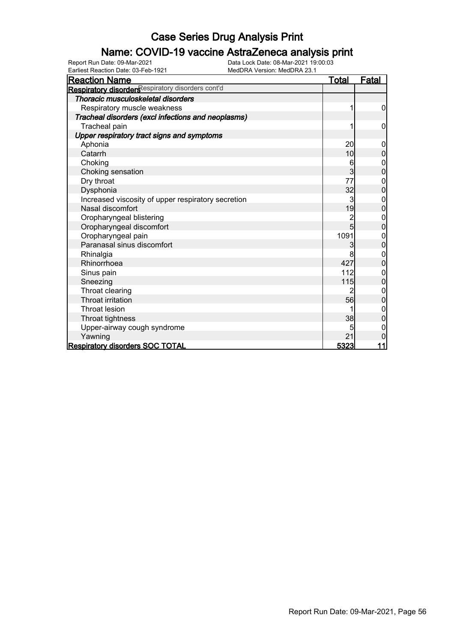### Name: COVID-19 vaccine AstraZeneca analysis print

Earliest Reaction Date: 03-Feb-1921 MedDRA Version: MedDRA 23.1

| <b>Reaction Name</b>                                          | <u>Total</u>   | <u>Fatal</u>     |
|---------------------------------------------------------------|----------------|------------------|
| Respiratory disorders <sup>Respiratory disorders cont'd</sup> |                |                  |
| Thoracic musculoskeletal disorders                            |                |                  |
| Respiratory muscle weakness                                   | 1              | $\overline{0}$   |
| Tracheal disorders (excl infections and neoplasms)            |                |                  |
| Tracheal pain                                                 | 1              | 0                |
| Upper respiratory tract signs and symptoms                    |                |                  |
| Aphonia                                                       | 20             | 0                |
| Catarrh                                                       | 10             | $\overline{0}$   |
| Choking                                                       | 6              | 0                |
| Choking sensation                                             | $\overline{3}$ | $\overline{0}$   |
| Dry throat                                                    | 77             | 0                |
| Dysphonia                                                     | 32             | 0                |
| Increased viscosity of upper respiratory secretion            | 3              | 0                |
| Nasal discomfort                                              | 19             | 0                |
| Oropharyngeal blistering                                      | 2              | $\overline{0}$   |
| Oropharyngeal discomfort                                      | 5              | 0                |
| Oropharyngeal pain                                            | 1091           | $\boldsymbol{0}$ |
| Paranasal sinus discomfort                                    | 3              | $\overline{0}$   |
| Rhinalgia                                                     | 8              | $\mathbf 0$      |
| Rhinorrhoea                                                   | 427            | $\overline{0}$   |
| Sinus pain                                                    | 112            | 0                |
| Sneezing                                                      | 115            | $\mathbf 0$      |
| Throat clearing                                               | 2              | 0                |
| <b>Throat irritation</b>                                      | 56             | $\mathbf 0$      |
| <b>Throat lesion</b>                                          |                | 0                |
| Throat tightness                                              | 38             | 0                |
| Upper-airway cough syndrome                                   | 5              | 0                |
| Yawning                                                       | 21             | 0                |
| <b>Respiratory disorders SOC TOTAL</b>                        | 5323           | 11               |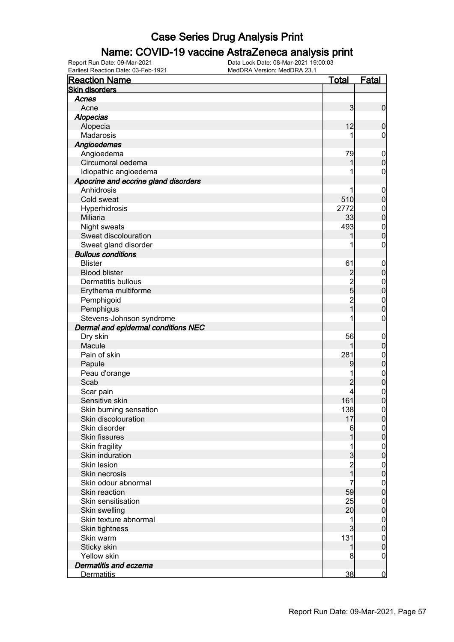### Name: COVID-19 vaccine AstraZeneca analysis print

Earliest Reaction Date: 03-Feb-1921 MedDRA Version: MedDRA 23.1

| <b>Reaction Name</b>                 | <u>Total</u>                    | <b>Fatal</b>                         |
|--------------------------------------|---------------------------------|--------------------------------------|
| <b>Skin disorders</b>                |                                 |                                      |
| Acnes                                |                                 |                                      |
| Acne                                 | 3                               | $\mathbf 0$                          |
| <b>Alopecias</b>                     |                                 |                                      |
| Alopecia                             | 12                              | $\mathbf 0$                          |
| Madarosis                            |                                 | $\mathbf 0$                          |
| Angioedemas                          |                                 |                                      |
| Angioedema                           | 79                              | $\boldsymbol{0}$                     |
| Circumoral oedema                    | 1                               | $\overline{0}$                       |
| Idiopathic angioedema                | 1                               | $\boldsymbol{0}$                     |
| Apocrine and eccrine gland disorders |                                 |                                      |
| Anhidrosis                           | 1                               | $\boldsymbol{0}$                     |
| Cold sweat                           | 510                             | $\mathbf 0$                          |
| Hyperhidrosis                        | 2772                            |                                      |
| <b>Miliaria</b>                      | 33                              | $0$<br>0                             |
| Night sweats                         | 493                             |                                      |
| Sweat discolouration                 |                                 | $\begin{matrix} 0 \\ 0 \end{matrix}$ |
| Sweat gland disorder                 |                                 | $\pmb{0}$                            |
| <b>Bullous conditions</b>            |                                 |                                      |
| <b>Blister</b>                       | 61                              |                                      |
| <b>Blood blister</b>                 |                                 | $\boldsymbol{0}$<br>$\mathbf 0$      |
| <b>Dermatitis bullous</b>            | $2$<br>$2$<br>$5$<br>$2$<br>$1$ |                                      |
|                                      |                                 | $0\atop 0$                           |
| Erythema multiforme                  |                                 |                                      |
| Pemphigoid                           |                                 | $\begin{matrix} 0 \\ 0 \end{matrix}$ |
| Pemphigus                            |                                 |                                      |
| Stevens-Johnson syndrome             |                                 | $\pmb{0}$                            |
| Dermal and epidermal conditions NEC  |                                 |                                      |
| Dry skin                             | 56                              | $\boldsymbol{0}$                     |
| Macule                               | 1                               | $\mathbf 0$                          |
| Pain of skin                         | 281                             | $\mathbf{0}$                         |
| Papule                               | 9                               | $\mathbf 0$                          |
| Peau d'orange                        | 1                               | $0\atop 0$                           |
| Scab                                 | $\overline{c}$                  |                                      |
| Scar pain                            | 4                               | $0\atop 0$                           |
| Sensitive skin                       | 161                             |                                      |
| Skin burning sensation               | 138                             | $\boldsymbol{0}$                     |
| Skin discolouration                  | 17                              | 0                                    |
| Skin disorder                        | 6                               | 이                                    |
| <b>Skin fissures</b>                 | 1                               | $\mathbf 0$                          |
| Skin fragility                       | 1                               | $\overline{0}$                       |
| Skin induration                      | $\overline{3}$                  | $\overline{0}$                       |
| Skin lesion                          | $\frac{2}{1}$                   | $\boldsymbol{0}$                     |
| Skin necrosis                        |                                 | $\mathbf 0$                          |
| Skin odour abnormal                  | 7                               | $\boldsymbol{0}$                     |
| Skin reaction                        | 59                              | $\overline{0}$                       |
| Skin sensitisation                   | 25                              | $\boldsymbol{0}$                     |
| Skin swelling                        | 20                              | $\overline{0}$                       |
| Skin texture abnormal                | 1                               | $\boldsymbol{0}$                     |
| Skin tightness                       | $\overline{3}$                  | $\mathbf 0$                          |
| Skin warm                            | 131                             | $\boldsymbol{0}$                     |
| Sticky skin                          | 1                               | $\mathbf 0$                          |
| Yellow skin                          | 8                               | $\overline{0}$                       |
| Dermatitis and eczema                |                                 |                                      |
| <b>Dermatitis</b>                    | 38                              | $\overline{0}$                       |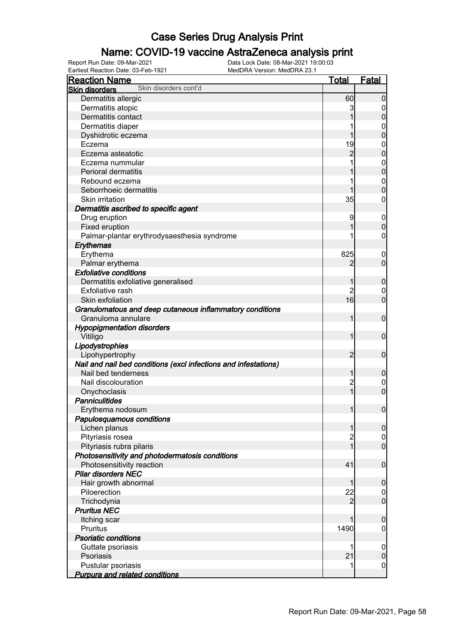### Name: COVID-19 vaccine AstraZeneca analysis print

| <b>Reaction Name</b>                                            | <b>Total</b>   | <b>Fatal</b>                    |
|-----------------------------------------------------------------|----------------|---------------------------------|
| Skin disorders cont'd<br><b>Skin disorders</b>                  |                |                                 |
| Dermatitis allergic                                             | 60             | 0                               |
| Dermatitis atopic                                               | 3              | 0                               |
| Dermatitis contact                                              |                | $\boldsymbol{0}$                |
| Dermatitis diaper                                               |                | 0                               |
| Dyshidrotic eczema                                              |                | $\mathbf 0$                     |
| Eczema                                                          | 19             | $\mathbf 0$                     |
| Eczema asteatotic                                               | $\overline{c}$ | $\mathbf 0$                     |
| Eczema nummular                                                 |                | $\boldsymbol{0}$                |
| Perioral dermatitis                                             |                | $\mathbf 0$                     |
| Rebound eczema                                                  |                | $\mathbf 0$                     |
| Seborrhoeic dermatitis                                          |                | $\boldsymbol{0}$                |
| Skin irritation                                                 | 35             | 0                               |
| Dermatitis ascribed to specific agent                           |                |                                 |
|                                                                 |                |                                 |
| Drug eruption                                                   | 9              | $\mathbf 0$<br>$\boldsymbol{0}$ |
| Fixed eruption                                                  |                |                                 |
| Palmar-plantar erythrodysaesthesia syndrome                     |                | 0                               |
| Erythemas                                                       |                |                                 |
| Erythema                                                        | 825            | $\boldsymbol{0}$                |
| Palmar erythema                                                 | 2              | $\mathbf 0$                     |
| <b>Exfoliative conditions</b>                                   |                |                                 |
| Dermatitis exfoliative generalised                              | 1              | $\mathbf 0$                     |
| Exfoliative rash                                                | $\overline{2}$ | 0                               |
| Skin exfoliation                                                | 16             | $\mathbf 0$                     |
| Granulomatous and deep cutaneous inflammatory conditions        |                |                                 |
| Granuloma annulare                                              | 1              | $\mathbf 0$                     |
| <b>Hypopigmentation disorders</b>                               |                |                                 |
| Vitiligo                                                        | 1              | $\mathbf 0$                     |
| Lipodystrophies                                                 |                |                                 |
| Lipohypertrophy                                                 | $\overline{2}$ | $\mathbf 0$                     |
| Nail and nail bed conditions (excl infections and infestations) |                |                                 |
| Nail bed tenderness                                             | 1              | $\mathbf 0$                     |
| Nail discolouration                                             | $\overline{c}$ | 0                               |
| Onychoclasis                                                    | $\mathbf{1}$   | $\mathbf 0$                     |
| Panniculitides                                                  |                |                                 |
| Erythema nodosum                                                | $\mathbf{1}$   | $\boldsymbol{0}$                |
| Papulosquamous conditions                                       |                |                                 |
| Lichen planus                                                   | $\mathbf{1}$   | $\overline{0}$                  |
| Pityriasis rosea                                                | $\overline{c}$ | $\overline{0}$                  |
| Pityriasis rubra pilaris                                        | 1              | $\overline{0}$                  |
| Photosensitivity and photodermatosis conditions                 |                |                                 |
| Photosensitivity reaction                                       | 41             | $\boldsymbol{0}$                |
| <b>Pilar disorders NEC</b>                                      |                |                                 |
| Hair growth abnormal                                            | 1              | $\mathbf 0$                     |
| Piloerection                                                    | 22             | $\overline{0}$                  |
| Trichodynia                                                     | $\overline{2}$ | $\overline{0}$                  |
| <b>Pruritus NEC</b>                                             |                |                                 |
| Itching scar                                                    | 1              | $\boldsymbol{0}$                |
| Pruritus                                                        | 1490           | $\mathbf 0$                     |
| <b>Psoriatic conditions</b>                                     |                |                                 |
| Guttate psoriasis                                               |                | $\boldsymbol{0}$                |
| Psoriasis                                                       | 21             | $\mathbf 0$                     |
| Pustular psoriasis                                              | 1              | $\mathbf 0$                     |
| <b>Purpura and related conditions</b>                           |                |                                 |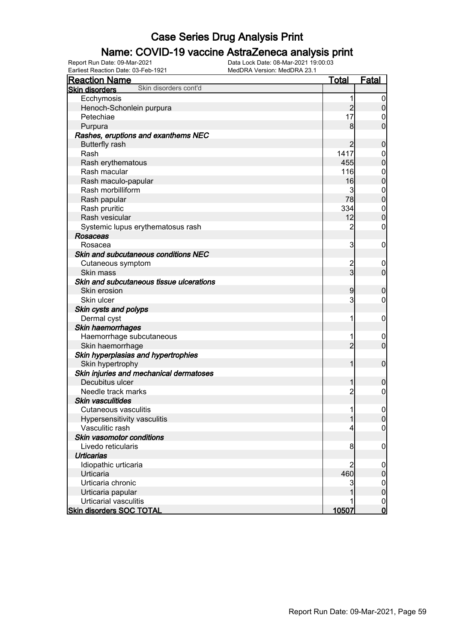### Name: COVID-19 vaccine AstraZeneca analysis print

Earliest Reaction Date: 03-Feb-1921 MedDRA Version: MedDRA 23.1

| <b>Reaction Name</b>                           | Total                            | <b>Fatal</b>     |
|------------------------------------------------|----------------------------------|------------------|
| Skin disorders cont'd<br><b>Skin disorders</b> |                                  |                  |
| Ecchymosis                                     | 1                                | $\boldsymbol{0}$ |
| Henoch-Schonlein purpura                       | $\overline{c}$                   | $\pmb{0}$        |
| Petechiae                                      | 17                               | 0                |
| Purpura                                        | 8                                | $\mathbf 0$      |
| Rashes, eruptions and exanthems NEC            |                                  |                  |
| <b>Butterfly rash</b>                          | $\overline{c}$                   | $\boldsymbol{0}$ |
| Rash                                           | 1417                             | $\mathbf 0$      |
| Rash erythematous                              | 455                              | $\mathbf 0$      |
| Rash macular                                   | 116                              | $\boldsymbol{0}$ |
| Rash maculo-papular                            | 16                               | $\mathbf 0$      |
| Rash morbilliform                              | 3                                | $\mathbf{0}$     |
| Rash papular                                   | 78                               | $\mathbf 0$      |
| Rash pruritic                                  | 334                              | $\mathbf{0}$     |
| Rash vesicular                                 | 12                               | $\mathbf 0$      |
| Systemic lupus erythematosus rash              | $\overline{c}$                   | $\boldsymbol{0}$ |
| <b>Rosaceas</b>                                |                                  |                  |
| Rosacea                                        | $\overline{3}$                   |                  |
| Skin and subcutaneous conditions NEC           |                                  | $\mathbf 0$      |
|                                                |                                  |                  |
| Cutaneous symptom                              | $\overline{c}$<br>$\overline{3}$ | $\mathbf 0$      |
| Skin mass                                      |                                  | $\mathbf 0$      |
| Skin and subcutaneous tissue ulcerations       |                                  |                  |
| Skin erosion                                   | 9                                | $\boldsymbol{0}$ |
| Skin ulcer                                     | 3                                | $\mathbf 0$      |
| Skin cysts and polyps                          |                                  |                  |
| Dermal cyst                                    | 1                                | $\mathbf 0$      |
| Skin haemorrhages                              |                                  |                  |
| Haemorrhage subcutaneous                       | 1                                | $\mathbf 0$      |
| Skin haemorrhage                               | $\overline{2}$                   | $\mathbf 0$      |
| Skin hyperplasias and hypertrophies            |                                  |                  |
| Skin hypertrophy                               | 1                                | $\boldsymbol{0}$ |
| Skin injuries and mechanical dermatoses        |                                  |                  |
| Decubitus ulcer                                | 1                                | $\boldsymbol{0}$ |
| Needle track marks                             | $\overline{c}$                   | $\mathbf 0$      |
| <b>Skin vasculitides</b>                       |                                  |                  |
| Cutaneous vasculitis                           | 1                                | $\boldsymbol{0}$ |
| Hypersensitivity vasculitis                    | $\mathbf{1}$                     | 0                |
| Vasculitic rash                                | 4                                | $\overline{0}$   |
| Skin vasomotor conditions                      |                                  |                  |
| Livedo reticularis                             | 8                                | $\boldsymbol{0}$ |
| <b>Urticarias</b>                              |                                  |                  |
| Idiopathic urticaria                           | $\overline{2}$                   | $\mathbf 0$      |
| Urticaria                                      | 460                              | $\pmb{0}$        |
| Urticaria chronic                              | 3                                | $\mathbf 0$      |
| Urticaria papular                              |                                  | $\mathbf 0$      |
| Urticarial vasculitis                          |                                  | $\mathbf 0$      |
| <b>Skin disorders SOC TOTAL</b>                | 10507                            | $\mathsf{O}$     |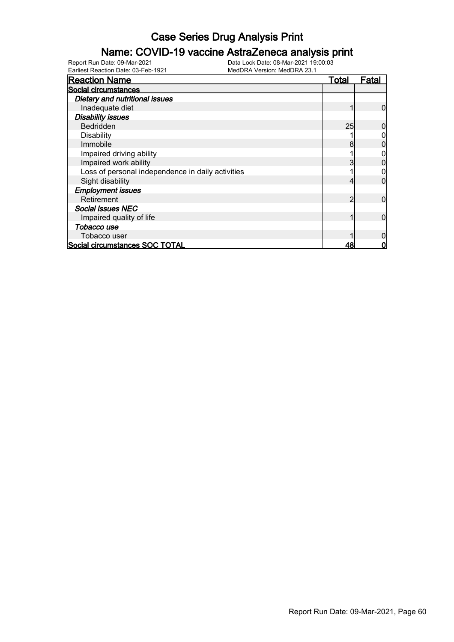### Name: COVID-19 vaccine AstraZeneca analysis print

| <b>Reaction Name</b>                              | Total | Fatal |
|---------------------------------------------------|-------|-------|
| Social circumstances                              |       |       |
| Dietary and nutritional issues                    |       |       |
| Inadequate diet                                   |       |       |
| <b>Disability issues</b>                          |       |       |
| <b>Bedridden</b>                                  | 25    |       |
| Disability                                        |       |       |
| Immobile                                          | 8     |       |
| Impaired driving ability                          |       |       |
| Impaired work ability                             |       |       |
| Loss of personal independence in daily activities |       |       |
| Sight disability                                  |       |       |
| <b>Employment issues</b>                          |       |       |
| Retirement                                        | っ     | O     |
| <b>Social issues NEC</b>                          |       |       |
| Impaired quality of life                          |       |       |
| Tobacco use                                       |       |       |
| Tobacco user                                      |       |       |
| Social circumstances SOC TOTAL                    | 48    |       |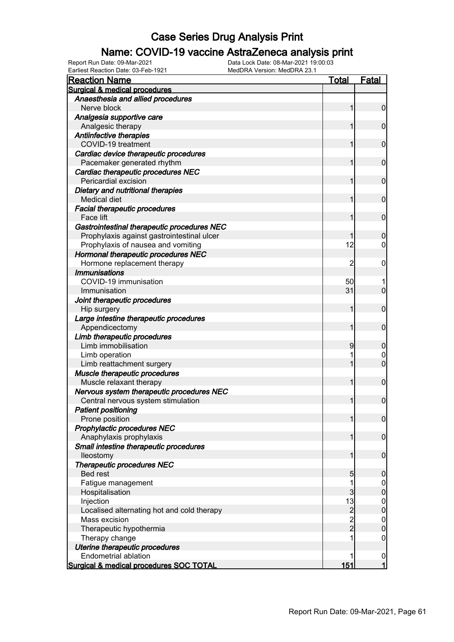### Name: COVID-19 vaccine AstraZeneca analysis print

| <b>Reaction Name</b>                                     | Total          | Fatal                                |
|----------------------------------------------------------|----------------|--------------------------------------|
| <b>Surgical &amp; medical procedures</b>                 |                |                                      |
| Anaesthesia and allied procedures                        |                |                                      |
| Nerve block                                              |                | $\mathbf 0$                          |
| Analgesia supportive care                                |                |                                      |
| Analgesic therapy                                        |                | $\mathbf 0$                          |
| <b>Antiinfective therapies</b>                           |                |                                      |
| COVID-19 treatment                                       |                | $\mathbf 0$                          |
| Cardiac device therapeutic procedures                    |                |                                      |
| Pacemaker generated rhythm                               |                | $\mathbf 0$                          |
| Cardiac therapeutic procedures NEC                       |                |                                      |
| Pericardial excision                                     |                | $\mathbf 0$                          |
| Dietary and nutritional therapies                        |                |                                      |
| Medical diet                                             |                | $\mathbf 0$                          |
| <b>Facial therapeutic procedures</b>                     |                |                                      |
| Face lift                                                |                | $\mathbf 0$                          |
| Gastrointestinal therapeutic procedures NEC              |                |                                      |
| Prophylaxis against gastrointestinal ulcer               |                | $\mathbf 0$                          |
| Prophylaxis of nausea and vomiting                       | 12             | 0                                    |
| Hormonal therapeutic procedures NEC                      |                |                                      |
| Hormone replacement therapy                              | 2              | 0                                    |
| <b>Immunisations</b>                                     |                |                                      |
| COVID-19 immunisation                                    | 50             |                                      |
| Immunisation                                             | 31             | $\overline{0}$                       |
| Joint therapeutic procedures                             |                |                                      |
| Hip surgery                                              | 1              | $\mathbf 0$                          |
| Large intestine therapeutic procedures                   |                |                                      |
| Appendicectomy                                           | 1              | $\mathbf 0$                          |
| Limb therapeutic procedures                              |                |                                      |
| Limb immobilisation                                      | 9              | $\mathbf 0$                          |
| Limb operation                                           |                | 0<br>$\overline{0}$                  |
| Limb reattachment surgery                                |                |                                      |
| Muscle therapeutic procedures<br>Muscle relaxant therapy |                | $\mathbf 0$                          |
|                                                          |                |                                      |
| Nervous system therapeutic procedures NEC                |                | $\mathbf 0$                          |
| Central nervous system stimulation                       |                |                                      |
| <b>Patient positioning</b><br>Prone position             | 1              | $\overline{0}$                       |
| Prophylactic procedures NEC                              |                |                                      |
| Anaphylaxis prophylaxis                                  | 1              | $\mathbf 0$                          |
| Small intestine therapeutic procedures                   |                |                                      |
| lleostomy                                                | 1              | $\boldsymbol{0}$                     |
| <b>Therapeutic procedures NEC</b>                        |                |                                      |
| <b>Bed rest</b>                                          | 5              | $\boldsymbol{0}$                     |
| Fatigue management                                       | 1              | $\mathbf 0$                          |
| Hospitalisation                                          | 3              | $\mathbf 0$                          |
| Injection                                                | 13             |                                      |
| Localised alternating hot and cold therapy               | $\overline{c}$ | $\begin{matrix} 0 \\ 0 \end{matrix}$ |
| Mass excision                                            |                |                                      |
| Therapeutic hypothermia                                  | $\frac{2}{2}$  | $0$<br>0                             |
| Therapy change                                           |                | $\mathbf 0$                          |
| Uterine therapeutic procedures                           |                |                                      |
| Endometrial ablation                                     |                | $\mathbf 0$                          |
| Surgical & medical procedures SOC TOTAL                  | 151            | $\mathbf{1}$                         |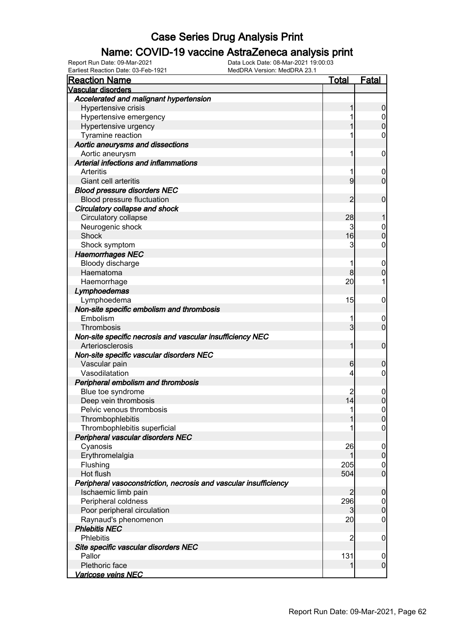### Name: COVID-19 vaccine AstraZeneca analysis print

| <b>Reaction Name</b>                                             | <u>Total</u>   | <b>Fatal</b>                         |
|------------------------------------------------------------------|----------------|--------------------------------------|
| <b>Vascular disorders</b>                                        |                |                                      |
| Accelerated and malignant hypertension                           |                |                                      |
| Hypertensive crisis                                              | 1              | $\boldsymbol{0}$                     |
| Hypertensive emergency                                           | 1              | $\begin{matrix} 0 \\ 0 \end{matrix}$ |
| Hypertensive urgency                                             | 1              |                                      |
| Tyramine reaction                                                | 1              | $\mathbf 0$                          |
| Aortic aneurysms and dissections                                 |                |                                      |
| Aortic aneurysm                                                  | 1              | $\mathbf 0$                          |
| Arterial infections and inflammations                            |                |                                      |
| Arteritis                                                        | 1              | $\mathbf 0$                          |
| Giant cell arteritis                                             | 9              | $\mathbf 0$                          |
| <b>Blood pressure disorders NEC</b>                              |                |                                      |
| Blood pressure fluctuation                                       | 2              | $\mathbf 0$                          |
| Circulatory collapse and shock                                   |                |                                      |
| Circulatory collapse                                             | 28             | 1                                    |
| Neurogenic shock                                                 | $\overline{3}$ | $\begin{matrix}0\\0\end{matrix}$     |
| <b>Shock</b>                                                     | 16             |                                      |
| Shock symptom                                                    | 3              | $\mathbf 0$                          |
| <b>Haemorrhages NEC</b>                                          |                |                                      |
| Bloody discharge                                                 | 1              | $\mathbf 0$                          |
| Haematoma                                                        | 8              | $\overline{0}$                       |
| Haemorrhage                                                      | 20             | 1                                    |
| Lymphoedemas                                                     |                |                                      |
| Lymphoedema                                                      | 15             | $\mathbf 0$                          |
| Non-site specific embolism and thrombosis                        |                |                                      |
| Embolism                                                         | 1              | $\mathbf 0$                          |
| Thrombosis                                                       | $\overline{3}$ | $\overline{0}$                       |
| Non-site specific necrosis and vascular insufficiency NEC        |                |                                      |
| Arteriosclerosis                                                 | 1              | $\mathbf 0$                          |
| Non-site specific vascular disorders NEC                         |                |                                      |
| Vascular pain                                                    | 6              | $\mathbf 0$                          |
| Vasodilatation                                                   | 4              | $\mathbf 0$                          |
| Peripheral embolism and thrombosis                               |                |                                      |
| Blue toe syndrome                                                | 2              | $\mathbf 0$                          |
| Deep vein thrombosis                                             | 14             | $\overline{0}$                       |
| Pelvic venous thrombosis                                         | 1              | $\mathbf 0$                          |
| Thrombophlebitis                                                 | 1              | 0                                    |
| Thrombophlebitis superficial                                     |                | $\overline{0}$                       |
| Peripheral vascular disorders NEC                                |                |                                      |
| Cyanosis                                                         | 26             | $\mathbf 0$                          |
| Erythromelalgia                                                  | 1              | $\boldsymbol{0}$                     |
| Flushing                                                         | 205            | $\boldsymbol{0}$                     |
| Hot flush                                                        | 504            | $\overline{0}$                       |
| Peripheral vasoconstriction, necrosis and vascular insufficiency |                |                                      |
| Ischaemic limb pain                                              | 2              | $\mathbf 0$                          |
| Peripheral coldness                                              | 296            | $\mathbf 0$                          |
| Poor peripheral circulation                                      | $\overline{3}$ | $\mathbf 0$                          |
| Raynaud's phenomenon                                             | 20             | $\mathbf 0$                          |
| <b>Phlebitis NEC</b>                                             |                |                                      |
| <b>Phlebitis</b>                                                 | $\overline{2}$ | $\mathbf 0$                          |
| Site specific vascular disorders NEC                             |                |                                      |
| Pallor                                                           | 131            | 0                                    |
| Plethoric face                                                   | 1              | $\overline{0}$                       |
| Varicose veins NEC                                               |                |                                      |